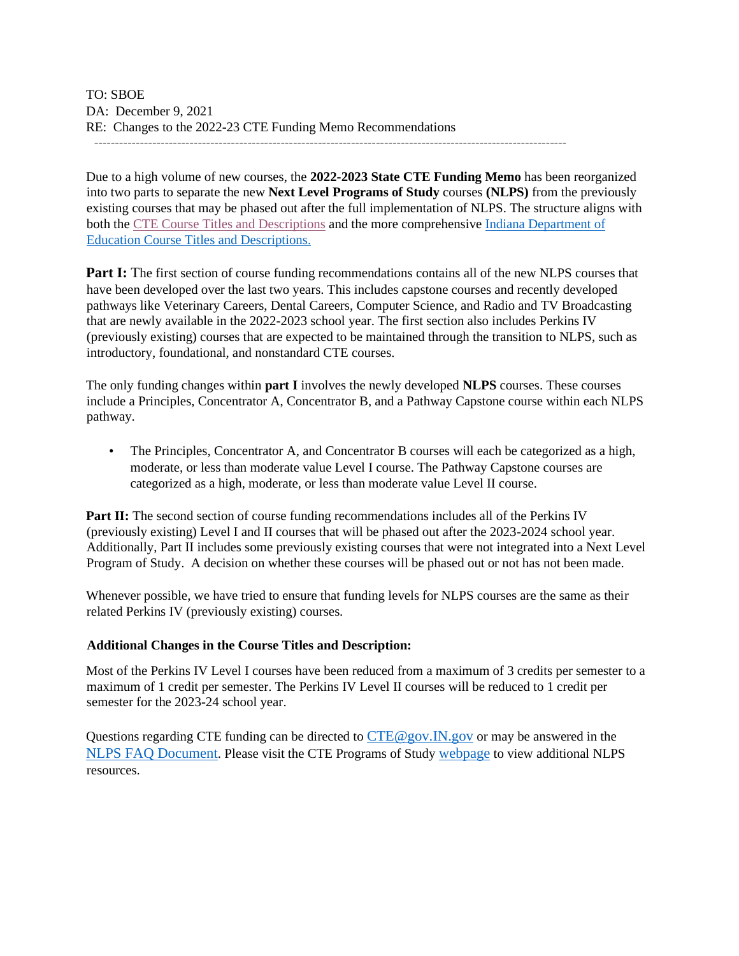TO: SBOE DA: December 9, 2021 RE: Changes to the 2022-23 CTE Funding Memo Recommendations ------------------------------------------------------------------------------------------------------------------

Due to a high volume of new courses, the **2022-2023 State CTE Funding Memo** has been reorganized into two parts to separate the new **Next Level Programs of Study** courses **(NLPS)** from the previously existing courses that may be phased out after the full implementation of NLPS. The structure aligns with both the CTE [Course Titles and Descriptions](https://www.in.gov/gwc/cte/files/2022-23-CTE-CTD_11.19.21.pdf) and the more comprehensive [Indiana Department of](https://www.in.gov/doe/files/Current-High-School-CTD-document-2022-2023_1206_Revised.pdf) [Education](https://www.in.gov/doe/files/Current-High-School-CTD-document-2022-2023_1206_Revised.pdf) [Course Titles and Descriptions.](https://www.in.gov/doe/files/Current-High-School-CTD-document-2022-2023_1206_Revised.pdf)

**Part I:** The first section of course funding recommendations contains all of the new NLPS courses that have been developed over the last two years. This includes capstone courses and recently developed pathways like Veterinary Careers, Dental Careers, Computer Science, and Radio and TV Broadcasting that are newly available in the 2022-2023 school year. The first section also includes Perkins IV (previously existing) courses that are expected to be maintained through the transition to NLPS, such as introductory, foundational, and nonstandard CTE courses.

The only funding changes within **part I** involves the newly developed **NLPS** courses. These courses include a Principles, Concentrator A, Concentrator B, and a Pathway Capstone course within each NLPS pathway.

• The Principles, Concentrator A, and Concentrator B courses will each be categorized as a high, moderate, or less than moderate value Level I course. The Pathway Capstone courses are categorized as a high, moderate, or less than moderate value Level II course.

**Part II:** The second section of course funding recommendations includes all of the Perkins IV (previously existing) Level I and II courses that will be phased out after the 2023-2024 school year. Additionally, Part II includes some previously existing courses that were not integrated into a Next Level Program of Study. A decision on whether these courses will be phased out or not has not been made.

Whenever possible, we have tried to ensure that funding levels for NLPS courses are the same as their related Perkins IV (previously existing) courses.

#### **Additional Changes in the Course Titles and Description:**

Most of the Perkins IV Level I courses have been reduced from a maximum of 3 credits per semester to a maximum of 1 credit per semester. The Perkins IV Level II courses will be reduced to 1 credit per semester for the 2023-24 school year.

Questions regarding CTE funding can be directed to CTE@gov.IN.gov or may be answered in the [NLPS FAQ Document](https://www.in.gov/gwc/cte/files/NLPS-FAQ_8.1.21.pdf)[.](https://www.in.gov/gwc/cte/files/NLPS-FAQ_8.1.21.pdf) Please visit the CTE Programs of Study [webpage](https://www.in.gov/gwc/cte/career-pathways-programs-of-study/) to view additional NLPS resources.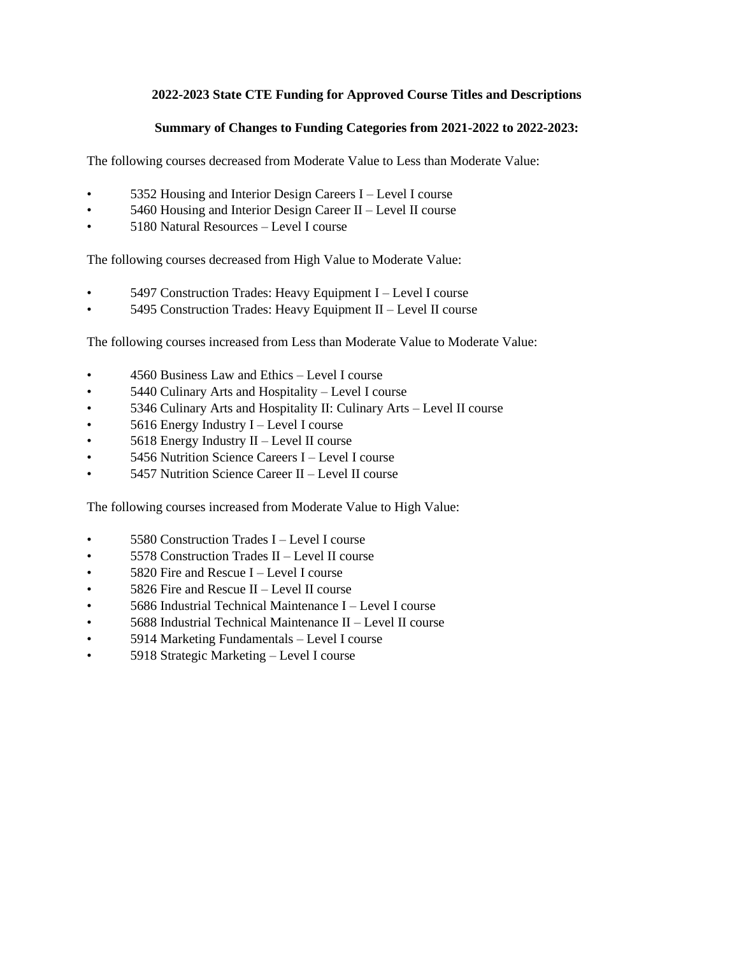## **2022-2023 State CTE Funding for Approved Course Titles and Descriptions**

## **Summary of Changes to Funding Categories from 2021-2022 to 2022-2023:**

The following courses decreased from Moderate Value to Less than Moderate Value:

- 5352 Housing and Interior Design Careers I Level I course
- 5460 Housing and Interior Design Career II Level II course
- 5180 Natural Resources Level I course

The following courses decreased from High Value to Moderate Value:

- 5497 Construction Trades: Heavy Equipment I Level I course
- 5495 Construction Trades: Heavy Equipment II Level II course

The following courses increased from Less than Moderate Value to Moderate Value:

- 4560 Business Law and Ethics Level I course
- 5440 Culinary Arts and Hospitality Level I course
- 5346 Culinary Arts and Hospitality II: Culinary Arts Level II course
- 5616 Energy Industry I Level I course
- $5618$  Energy Industry II Level II course
- 5456 Nutrition Science Careers I Level I course
- 5457 Nutrition Science Career II Level II course

The following courses increased from Moderate Value to High Value:

- 5580 Construction Trades I Level I course
- 5578 Construction Trades II Level II course
- 5820 Fire and Rescue I Level I course
- 5826 Fire and Rescue II Level II course
- 5686 Industrial Technical Maintenance I Level I course
- 5688 Industrial Technical Maintenance II Level II course
- 5914 Marketing Fundamentals Level I course
- 5918 Strategic Marketing Level I course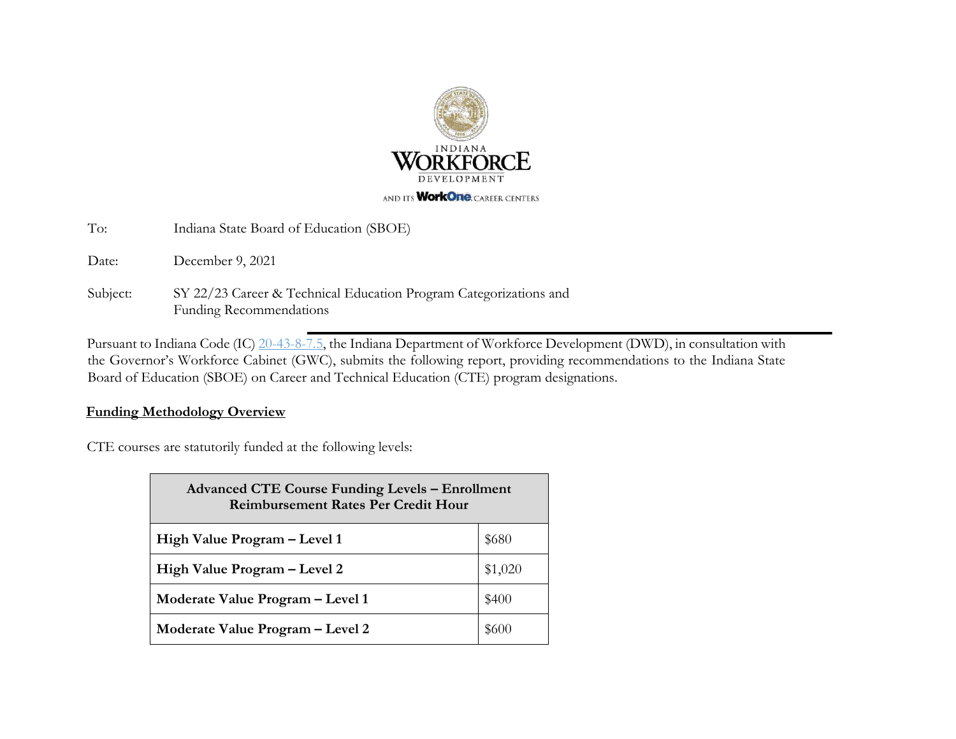

To: Indiana State Board of Education (SBOE)

Date: December 9, 2021

Subject: SY 22/23 Career & Technical Education Program Categorizations and Funding Recommendations

Pursuant to Indiana Code [\(IC\)](http://iga.in.gov/legislative/laws/2017/ic/titles/020#20-43-8) [20-43-8-7.5,](http://iga.in.gov/legislative/laws/2017/ic/titles/020#20-43-8) [t](http://iga.in.gov/legislative/laws/2017/ic/titles/020#20-43-8)he Indiana Department of Workforce Development (DWD), in consultation with the Governor's Workforce Cabinet (GWC), submits the following report, providing recommendations to the Indiana State Board of Education (SBOE) on Career and Technical Education (CTE) program designations.

i,

## **Funding Methodology Overview**

CTE courses are statutorily funded at the following levels:

| <b>Advanced CTE Course Funding Levels - Enrollment</b><br><b>Reimbursement Rates Per Credit Hour</b> |         |  |  |  |  |  |  |
|------------------------------------------------------------------------------------------------------|---------|--|--|--|--|--|--|
| High Value Program - Level 1                                                                         | \$680   |  |  |  |  |  |  |
| High Value Program – Level 2                                                                         | \$1,020 |  |  |  |  |  |  |
| Moderate Value Program - Level 1                                                                     | \$400   |  |  |  |  |  |  |
| Moderate Value Program – Level 2                                                                     |         |  |  |  |  |  |  |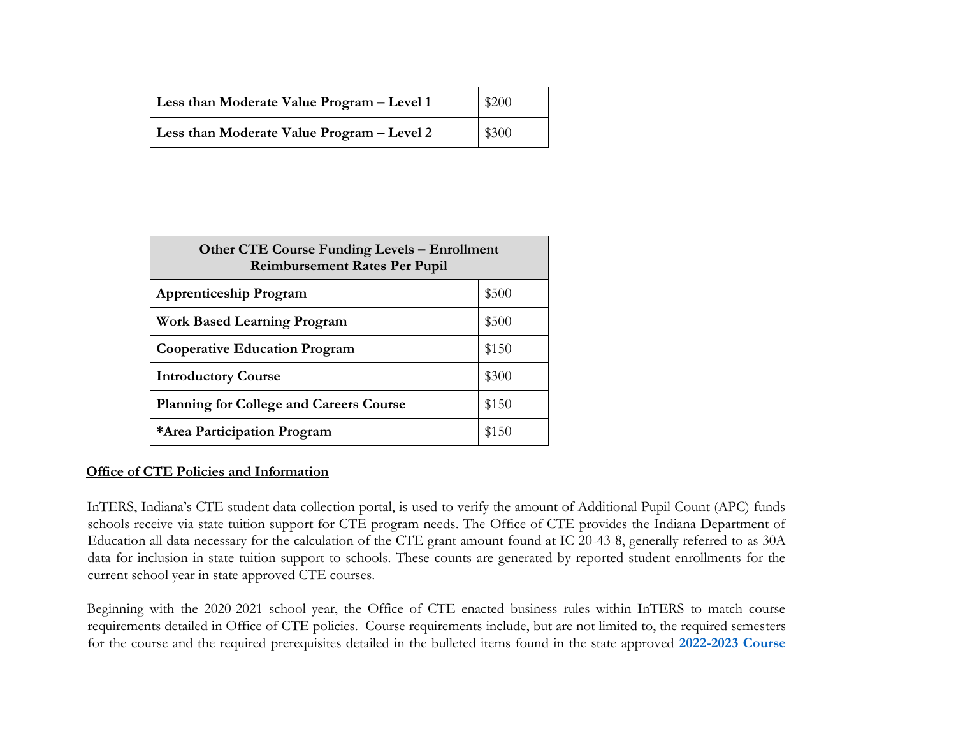| Less than Moderate Value Program – Level 1 | \$200 |
|--------------------------------------------|-------|
| Less than Moderate Value Program – Level 2 | \$300 |

| <b>Other CTE Course Funding Levels – Enrollment</b><br><b>Reimbursement Rates Per Pupil</b> |       |  |  |  |  |  |  |
|---------------------------------------------------------------------------------------------|-------|--|--|--|--|--|--|
| <b>Apprenticeship Program</b>                                                               | \$500 |  |  |  |  |  |  |
| <b>Work Based Learning Program</b>                                                          | \$500 |  |  |  |  |  |  |
| <b>Cooperative Education Program</b>                                                        | \$150 |  |  |  |  |  |  |
| <b>Introductory Course</b>                                                                  | \$300 |  |  |  |  |  |  |
| <b>Planning for College and Careers Course</b>                                              | \$150 |  |  |  |  |  |  |
| *Area Participation Program                                                                 | \$150 |  |  |  |  |  |  |

# **Office of CTE Policies and Information**

InTERS, Indiana's CTE student data collection portal, is used to verify the amount of Additional Pupil Count (APC) funds schools receive via state tuition support for CTE program needs. The Office of CTE provides the Indiana Department of Education all data necessary for the calculation of the CTE grant amount found at IC 20-43-8, generally referred to as 30A data for inclusion in state tuition support to schools. These counts are generated by reported student enrollments for the current school year in state approved CTE courses.

Beginning with the 2020-2021 school year, the Office of CTE enacted business rules within InTERS to match course requirements detailed in Office of CTE policies. Course requirements include, but are not limited to, the required semesters for the course and the required prerequisites detailed in the bulleted items found in the state approved **[2022-2023 Course](https://www.in.gov/gwc/cte/files/2022-23-CTE-CTD_11.19.21.pdf)**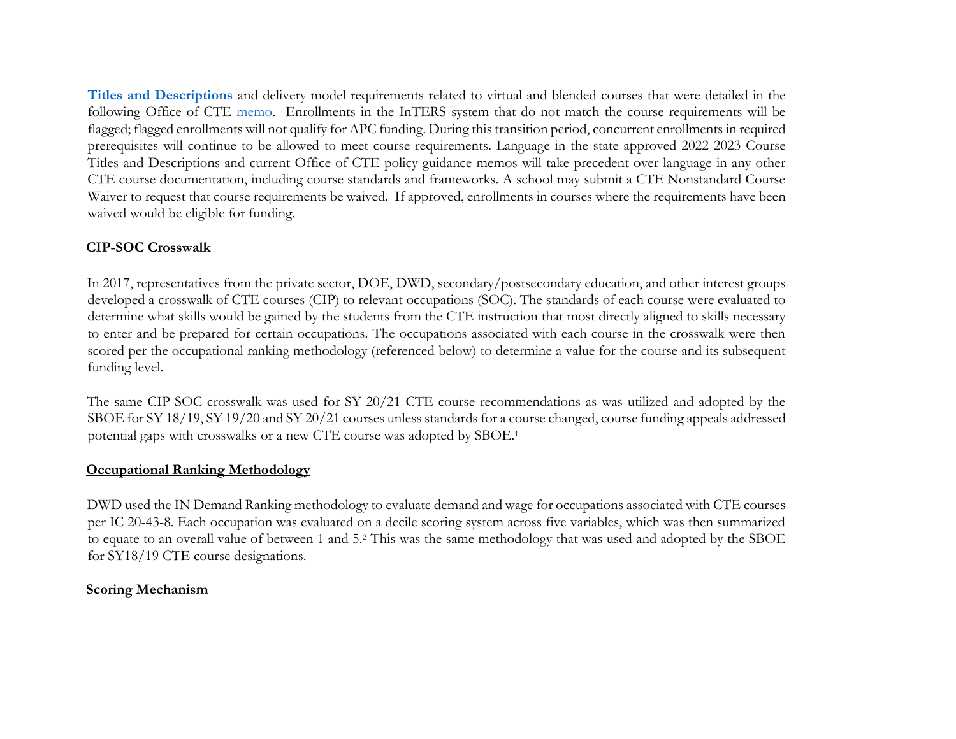**[Titles and Descriptions](https://www.in.gov/gwc/cte/files/2022-23-CTE-CTD_11.19.21.pdf)** and delivery model requirements related to virtual and blended courses that were detailed in the following Office of CTE [memo.](https://www.in.gov/gwc/files/Guidance%20for%20CTE%20Virtual%20and%20Online%20Courses%20w%20Approved%20Course%20List_7.15.20.pdf) Enrollments in the InTERS system that do not match the course requirements will be flagged; flagged enrollments will not qualify for APC funding. During this transition period, concurrent enrollments in required prerequisites will continue to be allowed to meet course requirements. Language in the state approved 2022-2023 Course Titles and Descriptions and current Office of CTE policy guidance memos will take precedent over language in any other CTE course documentation, including course standards and frameworks. A school may submit a CTE Nonstandard Course Waiver to request that course requirements be waived. If approved, enrollments in courses where the requirements have been waived would be eligible for funding.

# **CIP-SOC Crosswalk**

In 2017, representatives from the private sector, DOE, DWD, secondary/postsecondary education, and other interest groups developed a crosswalk of CTE courses (CIP) to relevant occupations (SOC). The standards of each course were evaluated to determine what skills would be gained by the students from the CTE instruction that most directly aligned to skills necessary to enter and be prepared for certain occupations. The occupations associated with each course in the crosswalk were then scored per the occupational ranking methodology (referenced below) to determine a value for the course and its subsequent funding level.

The same CIP-SOC crosswalk was used for SY 20/21 CTE course recommendations as was utilized and adopted by the SBOE for SY 18/19, SY 19/20 and SY 20/21 courses unless standards for a course changed, course funding appeals addressed potential gaps with crosswalks or a new CTE course was adopted by SBOE.<sup>1</sup>

# **Occupational Ranking Methodology**

DWD used the IN Demand Ranking methodology to evaluate demand and wage for occupations associated with CTE courses per IC 20-43-8. Each occupation was evaluated on a decile scoring system across five variables, which was then summarized to equate to an overall value of between 1 and 5.<sup>2</sup> This was the same methodology that was used and adopted by the SBOE for SY18/19 CTE course designations.

# **Scoring Mechanism**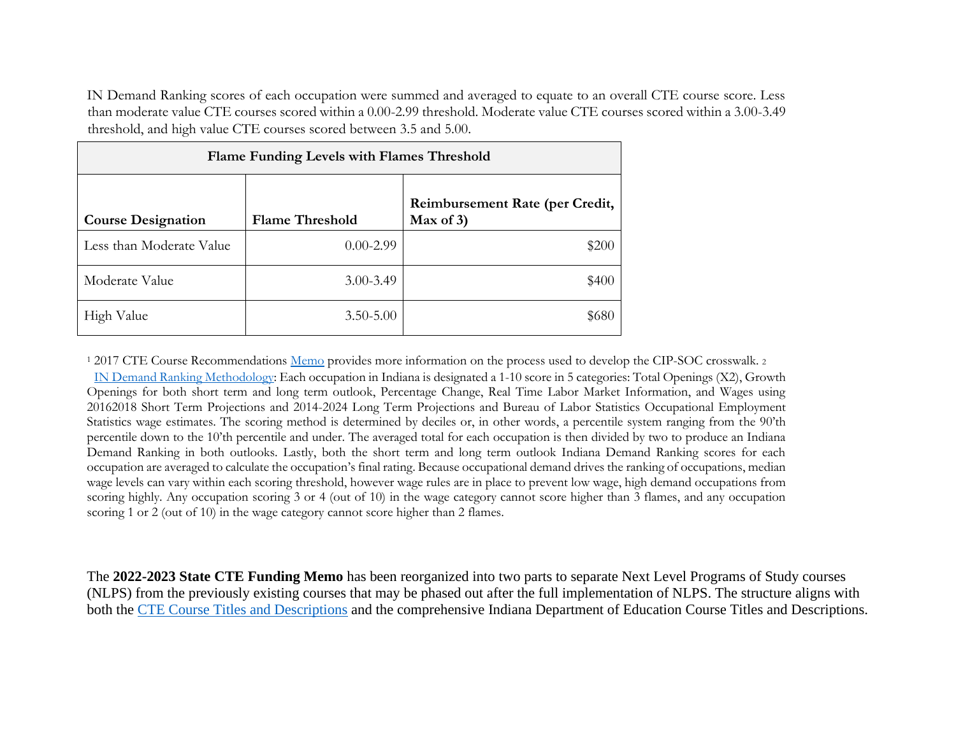IN Demand Ranking scores of each occupation were summed and averaged to equate to an overall CTE course score. Less than moderate value CTE courses scored within a 0.00-2.99 threshold. Moderate value CTE courses scored within a 3.00-3.49 threshold, and high value CTE courses scored between 3.5 and 5.00.

| Flame Funding Levels with Flames Threshold |                        |                                                 |  |  |  |  |  |  |  |  |
|--------------------------------------------|------------------------|-------------------------------------------------|--|--|--|--|--|--|--|--|
| <b>Course Designation</b>                  | <b>Flame Threshold</b> | Reimbursement Rate (per Credit,<br>Max of $3$ ) |  |  |  |  |  |  |  |  |
| Less than Moderate Value                   | $0.00 - 2.99$          | \$200                                           |  |  |  |  |  |  |  |  |
| Moderate Value                             | $3.00 - 3.49$          | \$400                                           |  |  |  |  |  |  |  |  |
| High Value                                 | $3.50 - 5.00$          | \$680                                           |  |  |  |  |  |  |  |  |

<sup>1</sup> 2017 CTE Course Recommendations [Memo](https://www.in.gov/dwd/files/CTE%20Funding%20Report%20Amended%202018%2019.pdf) [pr](https://www.in.gov/dwd/files/CTE%20Funding%20Report%20Amended%202018%2019.pdf)ovides more information on the process used to develop the CIP-SOC crosswalk. <sup>2</sup> [IN Demand Ranking](https://netsolutions.dwd.in.gov/new/INDemandMethodology.pdf) [Methodology:](https://netsolutions.dwd.in.gov/new/INDemandMethodology.pdf) [E](https://netsolutions.dwd.in.gov/new/INDemandMethodology.pdf)ach occupation in Indiana is designated a 1-10 score in 5 categories: Total Openings (X2), Growth Openings for both short term and long term outlook, Percentage Change, Real Time Labor Market Information, and Wages using 20162018 Short Term Projections and 2014-2024 Long Term Projections and Bureau of Labor Statistics Occupational Employment Statistics wage estimates. The scoring method is determined by deciles or, in other words, a percentile system ranging from the 90'th percentile down to the 10'th percentile and under. The averaged total for each occupation is then divided by two to produce an Indiana Demand Ranking in both outlooks. Lastly, both the short term and long term outlook Indiana Demand Ranking scores for each occupation are averaged to calculate the occupation's final rating. Because occupational demand drives the ranking of occupations, median wage levels can vary within each scoring threshold, however wage rules are in place to prevent low wage, high demand occupations from scoring highly. Any occupation scoring 3 or 4 (out of 10) in the wage category cannot score higher than 3 flames, and any occupation scoring 1 or 2 (out of 10) in the wage category cannot score higher than 2 flames.

The **2022-2023 State CTE Funding Memo** has been reorganized into two parts to separate Next Level Programs of Study courses (NLPS) from the previously existing courses that may be phased out after the full implementation of NLPS. The structure aligns with both the [CTE Course Titles and Descriptions](https://www.in.gov/gwc/cte/files/2022-23-CTE-CTD_11.19.21.pdf) and the comprehensive Indiana Department of Education Course Titles and Descriptions.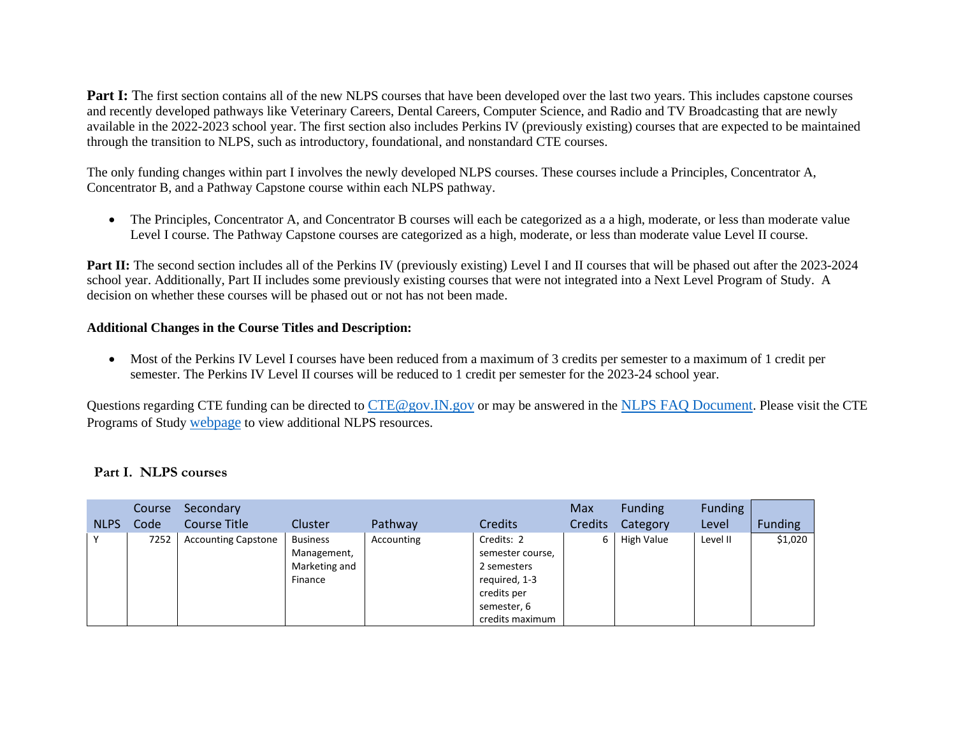**Part I:** The first section contains all of the new NLPS courses that have been developed over the last two years. This includes capstone courses and recently developed pathways like Veterinary Careers, Dental Careers, Computer Science, and Radio and TV Broadcasting that are newly available in the 2022-2023 school year. The first section also includes Perkins IV (previously existing) courses that are expected to be maintained through the transition to NLPS, such as introductory, foundational, and nonstandard CTE courses.

The only funding changes within part I involves the newly developed NLPS courses. These courses include a Principles, Concentrator A, Concentrator B, and a Pathway Capstone course within each NLPS pathway.

• The Principles, Concentrator A, and Concentrator B courses will each be categorized as a a high, moderate, or less than moderate value Level I course. The Pathway Capstone courses are categorized as a high, moderate, or less than moderate value Level II course.

**Part II:** The second section includes all of the Perkins IV (previously existing) Level I and II courses that will be phased out after the 2023-2024 school year. Additionally, Part II includes some previously existing courses that were not integrated into a Next Level Program of Study. A decision on whether these courses will be phased out or not has not been made.

### **Additional Changes in the Course Titles and Description:**

• Most of the Perkins IV Level I courses have been reduced from a maximum of 3 credits per semester to a maximum of 1 credit per semester. The Perkins IV Level II courses will be reduced to 1 credit per semester for the 2023-24 school year.

Questions regarding CTE funding can be directed to [CTE@gov.IN.gov](mailto:CTE@gov.IN.gov) or may be answered in the [NLPS FAQ Document](https://www.in.gov/gwc/cte/files/NLPS-FAQ_8.1.21.pdf). Please visit the CTE Programs of Study [webpage](https://www.in.gov/gwc/cte/career-pathways-programs-of-study/) to view additional NLPS resources.

### **Part I. NLPS courses**

|              | Course | Secondary                  |                                                            |            |                                                                                                                 | Max            | <b>Funding</b> | <b>Funding</b> |                |
|--------------|--------|----------------------------|------------------------------------------------------------|------------|-----------------------------------------------------------------------------------------------------------------|----------------|----------------|----------------|----------------|
| <b>NLPS</b>  | Code   | Course Title               | Cluster                                                    | Pathway    | <b>Credits</b>                                                                                                  | <b>Credits</b> | Category       | Level          | <b>Funding</b> |
| $\checkmark$ | 7252   | <b>Accounting Capstone</b> | <b>Business</b><br>Management,<br>Marketing and<br>Finance | Accounting | Credits: 2<br>semester course,<br>2 semesters<br>required, 1-3<br>credits per<br>semester, 6<br>credits maximum | 6              | High Value     | Level II       | \$1,020        |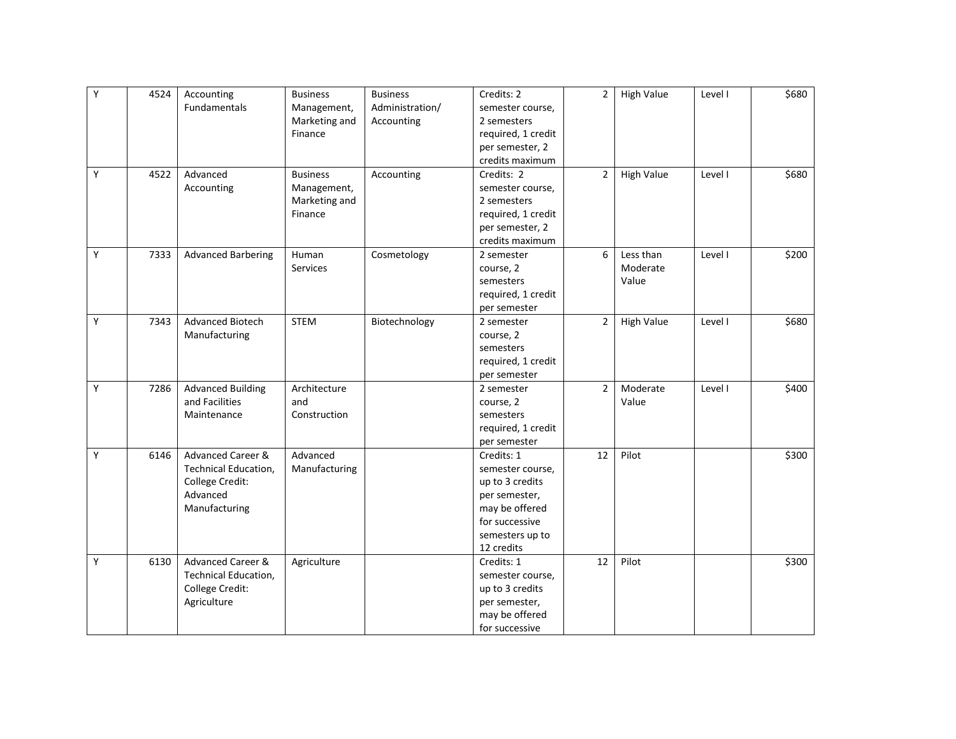| Υ | 4524 | Accounting                   | <b>Business</b> | <b>Business</b> | Credits: 2         | $\overline{2}$ | <b>High Value</b> | Level I | \$680 |
|---|------|------------------------------|-----------------|-----------------|--------------------|----------------|-------------------|---------|-------|
|   |      | Fundamentals                 | Management,     | Administration/ | semester course,   |                |                   |         |       |
|   |      |                              | Marketing and   | Accounting      | 2 semesters        |                |                   |         |       |
|   |      |                              | Finance         |                 | required, 1 credit |                |                   |         |       |
|   |      |                              |                 |                 | per semester, 2    |                |                   |         |       |
|   |      |                              |                 |                 | credits maximum    |                |                   |         |       |
| Υ | 4522 | Advanced                     | <b>Business</b> | Accounting      | Credits: 2         | $\overline{2}$ | <b>High Value</b> | Level I | \$680 |
|   |      | Accounting                   | Management,     |                 | semester course,   |                |                   |         |       |
|   |      |                              | Marketing and   |                 | 2 semesters        |                |                   |         |       |
|   |      |                              | Finance         |                 | required, 1 credit |                |                   |         |       |
|   |      |                              |                 |                 | per semester, 2    |                |                   |         |       |
|   |      |                              |                 |                 | credits maximum    |                |                   |         |       |
| Y | 7333 | <b>Advanced Barbering</b>    | Human           | Cosmetology     | 2 semester         | 6              | Less than         | Level I | \$200 |
|   |      |                              | Services        |                 | course, 2          |                | Moderate          |         |       |
|   |      |                              |                 |                 | semesters          |                | Value             |         |       |
|   |      |                              |                 |                 | required, 1 credit |                |                   |         |       |
|   |      |                              |                 |                 | per semester       |                |                   |         |       |
| Υ | 7343 | Advanced Biotech             | <b>STEM</b>     | Biotechnology   | 2 semester         | $\overline{2}$ | <b>High Value</b> | Level I | \$680 |
|   |      | Manufacturing                |                 |                 | course, 2          |                |                   |         |       |
|   |      |                              |                 |                 | semesters          |                |                   |         |       |
|   |      |                              |                 |                 | required, 1 credit |                |                   |         |       |
|   |      |                              |                 |                 | per semester       |                |                   |         |       |
| Y | 7286 | <b>Advanced Building</b>     | Architecture    |                 | 2 semester         | $\overline{2}$ | Moderate          | Level I | \$400 |
|   |      | and Facilities               | and             |                 | course, 2          |                | Value             |         |       |
|   |      | Maintenance                  | Construction    |                 | semesters          |                |                   |         |       |
|   |      |                              |                 |                 | required, 1 credit |                |                   |         |       |
|   |      |                              |                 |                 | per semester       |                |                   |         |       |
| Y | 6146 | Advanced Career &            | Advanced        |                 | Credits: 1         | 12             | Pilot             |         | \$300 |
|   |      | <b>Technical Education,</b>  | Manufacturing   |                 | semester course,   |                |                   |         |       |
|   |      | College Credit:              |                 |                 | up to 3 credits    |                |                   |         |       |
|   |      | Advanced                     |                 |                 | per semester,      |                |                   |         |       |
|   |      | Manufacturing                |                 |                 | may be offered     |                |                   |         |       |
|   |      |                              |                 |                 | for successive     |                |                   |         |       |
|   |      |                              |                 |                 | semesters up to    |                |                   |         |       |
|   |      |                              |                 |                 | 12 credits         |                |                   |         |       |
| Y | 6130 | <b>Advanced Career &amp;</b> | Agriculture     |                 | Credits: 1         | 12             | Pilot             |         | \$300 |
|   |      | Technical Education,         |                 |                 | semester course,   |                |                   |         |       |
|   |      | College Credit:              |                 |                 | up to 3 credits    |                |                   |         |       |
|   |      | Agriculture                  |                 |                 | per semester,      |                |                   |         |       |
|   |      |                              |                 |                 | may be offered     |                |                   |         |       |
|   |      |                              |                 |                 | for successive     |                |                   |         |       |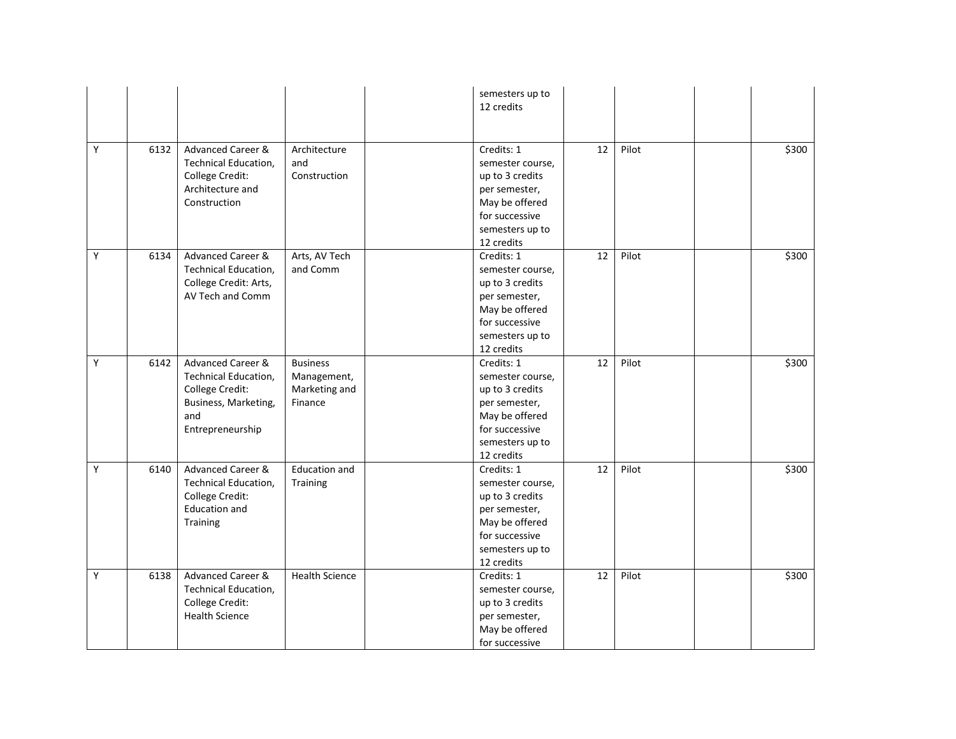|   |      |                                                                                                                 |                                                            | semesters up to<br>12 credits                                                                                                           |    |       |       |
|---|------|-----------------------------------------------------------------------------------------------------------------|------------------------------------------------------------|-----------------------------------------------------------------------------------------------------------------------------------------|----|-------|-------|
| Y | 6132 | Advanced Career &<br><b>Technical Education,</b><br>College Credit:<br>Architecture and<br>Construction         | Architecture<br>and<br>Construction                        | Credits: 1<br>semester course,<br>up to 3 credits<br>per semester,<br>May be offered<br>for successive<br>semesters up to<br>12 credits | 12 | Pilot | \$300 |
| Y | 6134 | Advanced Career &<br>Technical Education,<br>College Credit: Arts,<br>AV Tech and Comm                          | Arts, AV Tech<br>and Comm                                  | Credits: 1<br>semester course,<br>up to 3 credits<br>per semester,<br>May be offered<br>for successive<br>semesters up to<br>12 credits | 12 | Pilot | \$300 |
| Y | 6142 | Advanced Career &<br>Technical Education,<br>College Credit:<br>Business, Marketing,<br>and<br>Entrepreneurship | <b>Business</b><br>Management,<br>Marketing and<br>Finance | Credits: 1<br>semester course,<br>up to 3 credits<br>per semester,<br>May be offered<br>for successive<br>semesters up to<br>12 credits | 12 | Pilot | \$300 |
| Y | 6140 | Advanced Career &<br>Technical Education,<br>College Credit:<br><b>Education and</b><br>Training                | <b>Education and</b><br>Training                           | Credits: 1<br>semester course,<br>up to 3 credits<br>per semester,<br>May be offered<br>for successive<br>semesters up to<br>12 credits | 12 | Pilot | \$300 |
| Υ | 6138 | Advanced Career &<br>Technical Education,<br>College Credit:<br><b>Health Science</b>                           | <b>Health Science</b>                                      | Credits: 1<br>semester course,<br>up to 3 credits<br>per semester,<br>May be offered<br>for successive                                  | 12 | Pilot | \$300 |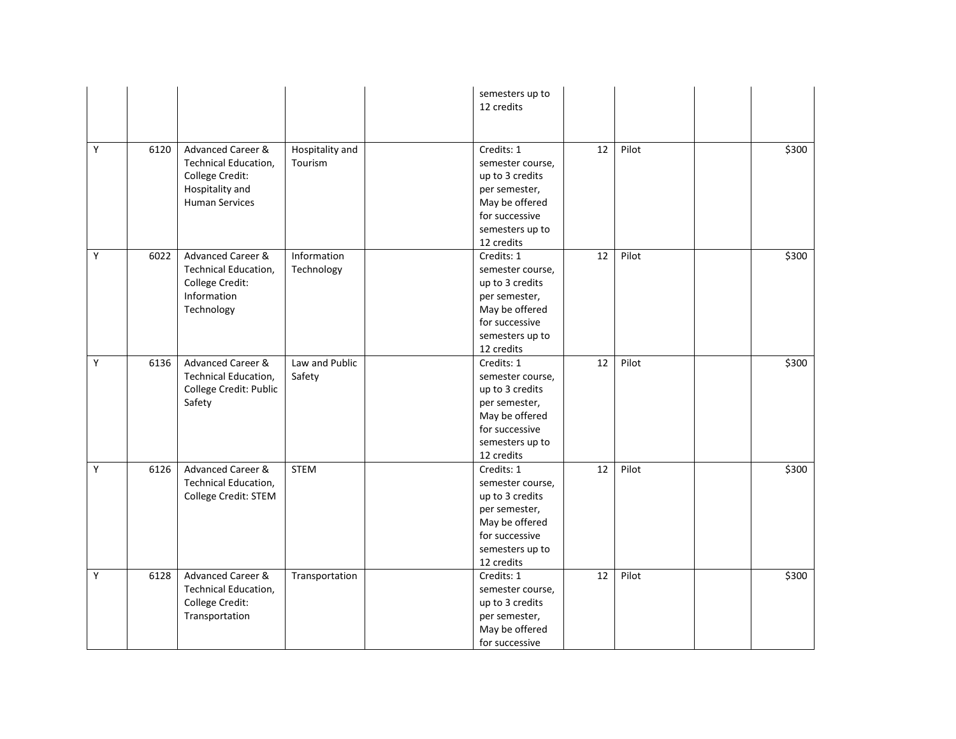|   |      |                                                                                                          |                            | semesters up to<br>12 credits                                                                                                           |    |       |       |
|---|------|----------------------------------------------------------------------------------------------------------|----------------------------|-----------------------------------------------------------------------------------------------------------------------------------------|----|-------|-------|
| Υ | 6120 | Advanced Career &<br>Technical Education,<br>College Credit:<br>Hospitality and<br><b>Human Services</b> | Hospitality and<br>Tourism | Credits: 1<br>semester course,<br>up to 3 credits<br>per semester,<br>May be offered<br>for successive<br>semesters up to<br>12 credits | 12 | Pilot | \$300 |
| Υ | 6022 | Advanced Career &<br>Technical Education,<br>College Credit:<br>Information<br>Technology                | Information<br>Technology  | Credits: 1<br>semester course,<br>up to 3 credits<br>per semester,<br>May be offered<br>for successive<br>semesters up to<br>12 credits | 12 | Pilot | \$300 |
| Υ | 6136 | Advanced Career &<br>Technical Education,<br>College Credit: Public<br>Safety                            | Law and Public<br>Safety   | Credits: 1<br>semester course,<br>up to 3 credits<br>per semester,<br>May be offered<br>for successive<br>semesters up to<br>12 credits | 12 | Pilot | \$300 |
| Υ | 6126 | <b>Advanced Career &amp;</b><br>Technical Education,<br>College Credit: STEM                             | <b>STEM</b>                | Credits: 1<br>semester course,<br>up to 3 credits<br>per semester,<br>May be offered<br>for successive<br>semesters up to<br>12 credits | 12 | Pilot | \$300 |
| Υ | 6128 | Advanced Career &<br>Technical Education,<br>College Credit:<br>Transportation                           | Transportation             | Credits: 1<br>semester course,<br>up to 3 credits<br>per semester,<br>May be offered<br>for successive                                  | 12 | Pilot | \$300 |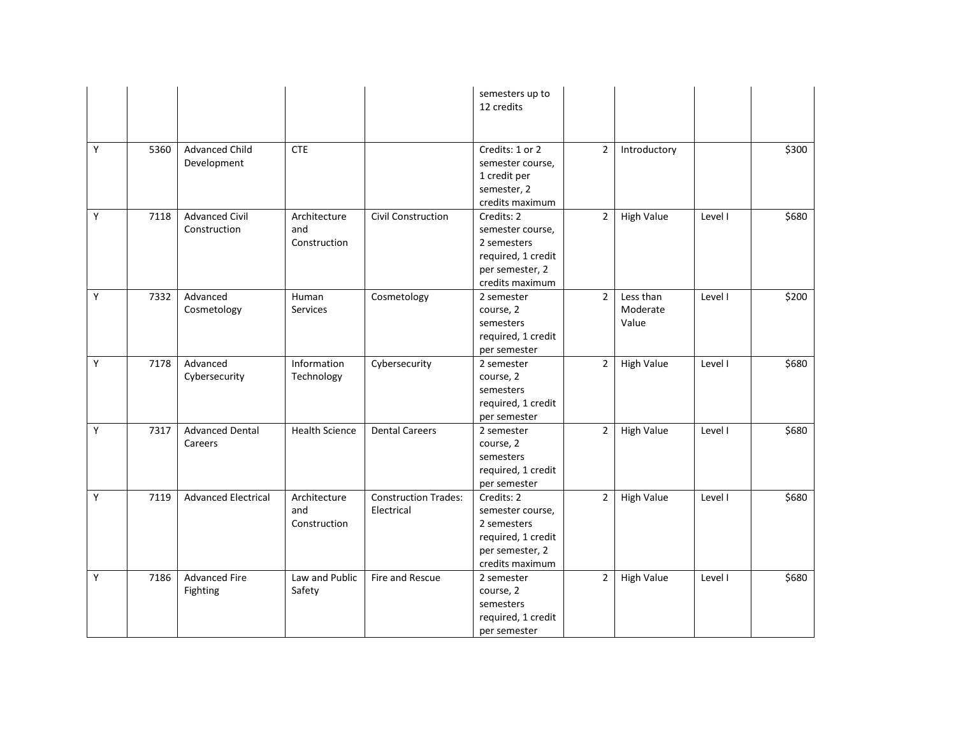|   |      |                                       |                                     |                                           | semesters up to<br>12 credits                                                                             |                |                                |         |       |
|---|------|---------------------------------------|-------------------------------------|-------------------------------------------|-----------------------------------------------------------------------------------------------------------|----------------|--------------------------------|---------|-------|
| Y | 5360 | <b>Advanced Child</b><br>Development  | <b>CTE</b>                          |                                           | Credits: 1 or 2<br>semester course,<br>1 credit per<br>semester, 2<br>credits maximum                     | $\overline{2}$ | Introductory                   |         | \$300 |
| Υ | 7118 | <b>Advanced Civil</b><br>Construction | Architecture<br>and<br>Construction | Civil Construction                        | Credits: 2<br>semester course,<br>2 semesters<br>required, 1 credit<br>per semester, 2<br>credits maximum | $\overline{2}$ | <b>High Value</b>              | Level I | \$680 |
| Y | 7332 | Advanced<br>Cosmetology               | Human<br>Services                   | Cosmetology                               | 2 semester<br>course, 2<br>semesters<br>required, 1 credit<br>per semester                                | $\overline{2}$ | Less than<br>Moderate<br>Value | Level I | \$200 |
| Y | 7178 | Advanced<br>Cybersecurity             | Information<br>Technology           | Cybersecurity                             | 2 semester<br>course, 2<br>semesters<br>required, 1 credit<br>per semester                                | $\overline{2}$ | <b>High Value</b>              | Level I | \$680 |
| Y | 7317 | <b>Advanced Dental</b><br>Careers     | <b>Health Science</b>               | <b>Dental Careers</b>                     | 2 semester<br>course, 2<br>semesters<br>required, 1 credit<br>per semester                                | $\overline{2}$ | <b>High Value</b>              | Level I | \$680 |
| Y | 7119 | <b>Advanced Electrical</b>            | Architecture<br>and<br>Construction | <b>Construction Trades:</b><br>Electrical | Credits: 2<br>semester course,<br>2 semesters<br>required, 1 credit<br>per semester, 2<br>credits maximum | $\overline{2}$ | <b>High Value</b>              | Level I | \$680 |
| Y | 7186 | <b>Advanced Fire</b><br>Fighting      | Law and Public<br>Safety            | Fire and Rescue                           | 2 semester<br>course, 2<br>semesters<br>required, 1 credit<br>per semester                                | $\overline{2}$ | <b>High Value</b>              | Level I | \$680 |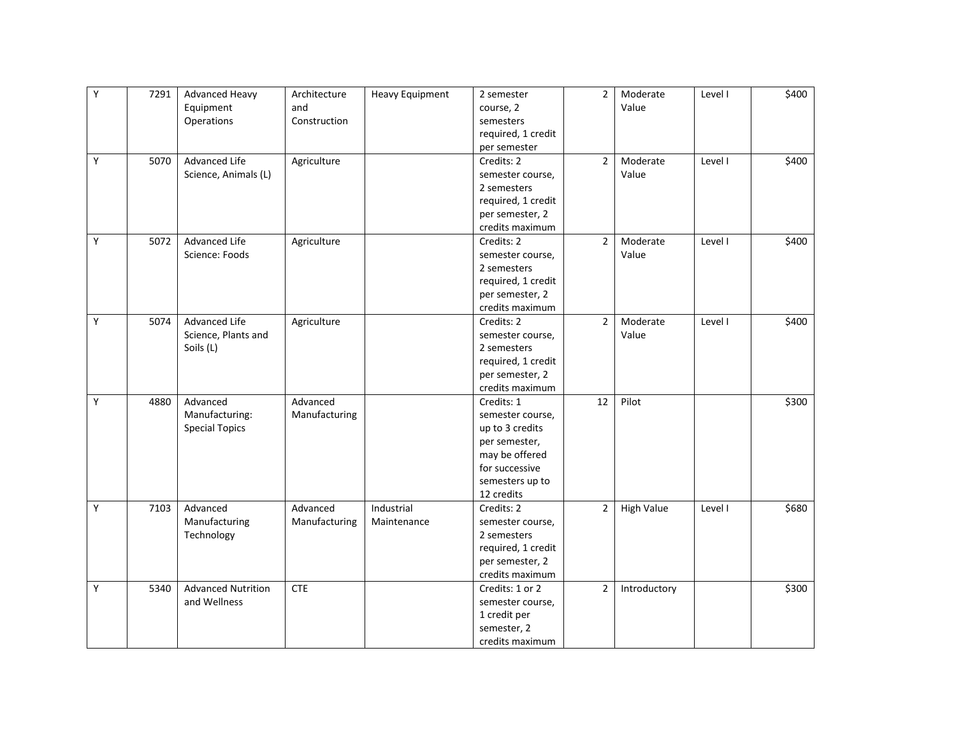| Y | 7291 | <b>Advanced Heavy</b>     | Architecture  | <b>Heavy Equipment</b> | 2 semester         | $\overline{2}$ | Moderate          | Level I | \$400 |
|---|------|---------------------------|---------------|------------------------|--------------------|----------------|-------------------|---------|-------|
|   |      | Equipment                 | and           |                        | course, 2          |                | Value             |         |       |
|   |      | Operations                | Construction  |                        | semesters          |                |                   |         |       |
|   |      |                           |               |                        | required, 1 credit |                |                   |         |       |
|   |      |                           |               |                        | per semester       |                |                   |         |       |
| Υ | 5070 | <b>Advanced Life</b>      | Agriculture   |                        | Credits: 2         | $\overline{2}$ | Moderate          | Level I | \$400 |
|   |      | Science, Animals (L)      |               |                        | semester course,   |                | Value             |         |       |
|   |      |                           |               |                        | 2 semesters        |                |                   |         |       |
|   |      |                           |               |                        | required, 1 credit |                |                   |         |       |
|   |      |                           |               |                        | per semester, 2    |                |                   |         |       |
|   |      |                           |               |                        | credits maximum    |                |                   |         |       |
| Y | 5072 | Advanced Life             | Agriculture   |                        | Credits: 2         | $\overline{2}$ | Moderate          | Level I | \$400 |
|   |      | Science: Foods            |               |                        | semester course,   |                | Value             |         |       |
|   |      |                           |               |                        | 2 semesters        |                |                   |         |       |
|   |      |                           |               |                        | required, 1 credit |                |                   |         |       |
|   |      |                           |               |                        | per semester, 2    |                |                   |         |       |
|   |      |                           |               |                        | credits maximum    |                |                   |         |       |
| Υ | 5074 | Advanced Life             | Agriculture   |                        | Credits: 2         | $\overline{2}$ | Moderate          | Level I | \$400 |
|   |      | Science, Plants and       |               |                        | semester course,   |                | Value             |         |       |
|   |      | Soils (L)                 |               |                        | 2 semesters        |                |                   |         |       |
|   |      |                           |               |                        | required, 1 credit |                |                   |         |       |
|   |      |                           |               |                        | per semester, 2    |                |                   |         |       |
|   |      |                           |               |                        | credits maximum    |                |                   |         |       |
| Y | 4880 | Advanced                  | Advanced      |                        | Credits: 1         | 12             | Pilot             |         | \$300 |
|   |      | Manufacturing:            | Manufacturing |                        | semester course,   |                |                   |         |       |
|   |      | <b>Special Topics</b>     |               |                        | up to 3 credits    |                |                   |         |       |
|   |      |                           |               |                        | per semester,      |                |                   |         |       |
|   |      |                           |               |                        | may be offered     |                |                   |         |       |
|   |      |                           |               |                        | for successive     |                |                   |         |       |
|   |      |                           |               |                        | semesters up to    |                |                   |         |       |
|   |      |                           |               |                        | 12 credits         |                |                   |         |       |
| Y | 7103 | Advanced                  | Advanced      | Industrial             | Credits: 2         | $\overline{2}$ | <b>High Value</b> | Level I | \$680 |
|   |      | Manufacturing             | Manufacturing | Maintenance            | semester course,   |                |                   |         |       |
|   |      | Technology                |               |                        | 2 semesters        |                |                   |         |       |
|   |      |                           |               |                        | required, 1 credit |                |                   |         |       |
|   |      |                           |               |                        | per semester, 2    |                |                   |         |       |
|   |      |                           |               |                        | credits maximum    |                |                   |         |       |
| Y | 5340 | <b>Advanced Nutrition</b> | <b>CTE</b>    |                        | Credits: 1 or 2    | $\overline{2}$ | Introductory      |         | \$300 |
|   |      | and Wellness              |               |                        | semester course,   |                |                   |         |       |
|   |      |                           |               |                        | 1 credit per       |                |                   |         |       |
|   |      |                           |               |                        | semester, 2        |                |                   |         |       |
|   |      |                           |               |                        | credits maximum    |                |                   |         |       |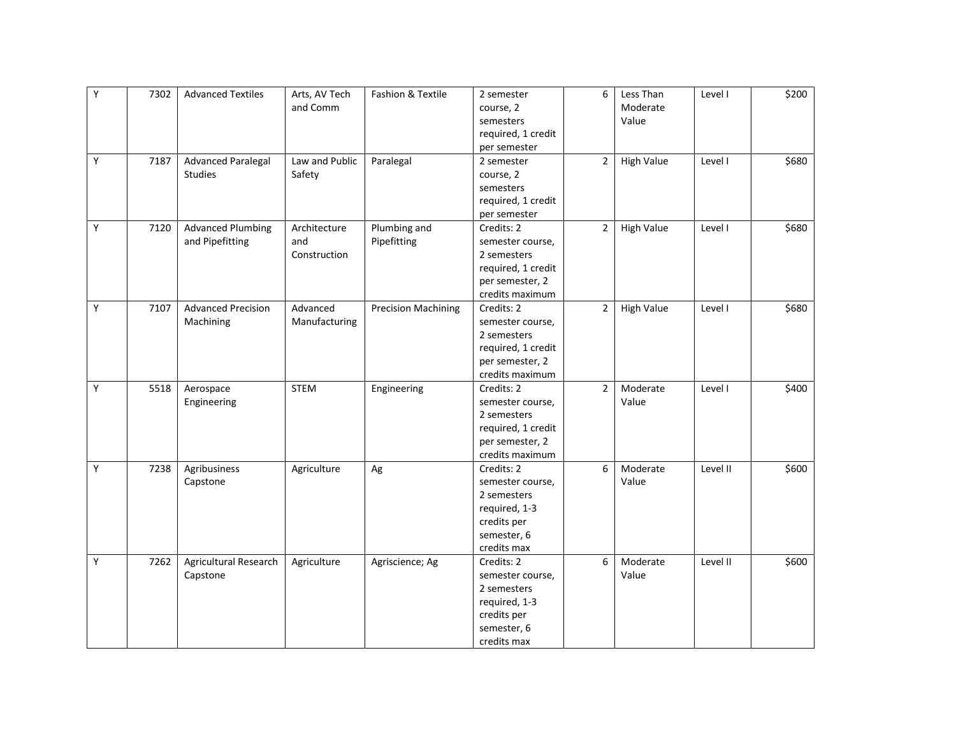| Υ | 7302 | <b>Advanced Textiles</b>  | Arts, AV Tech  | Fashion & Textile          | 2 semester         | 6              | Less Than         | Level I  | \$200 |
|---|------|---------------------------|----------------|----------------------------|--------------------|----------------|-------------------|----------|-------|
|   |      |                           | and Comm       |                            | course, 2          |                | Moderate          |          |       |
|   |      |                           |                |                            | semesters          |                | Value             |          |       |
|   |      |                           |                |                            | required, 1 credit |                |                   |          |       |
|   |      |                           |                |                            | per semester       |                |                   |          |       |
| Υ | 7187 | <b>Advanced Paralegal</b> | Law and Public | Paralegal                  | 2 semester         | $\overline{2}$ | <b>High Value</b> | Level I  | \$680 |
|   |      | <b>Studies</b>            | Safety         |                            | course, 2          |                |                   |          |       |
|   |      |                           |                |                            | semesters          |                |                   |          |       |
|   |      |                           |                |                            | required, 1 credit |                |                   |          |       |
|   |      |                           |                |                            | per semester       |                |                   |          |       |
| Υ | 7120 | <b>Advanced Plumbing</b>  | Architecture   | Plumbing and               | Credits: 2         | $\overline{2}$ | <b>High Value</b> | Level I  | \$680 |
|   |      | and Pipefitting           | and            | Pipefitting                | semester course,   |                |                   |          |       |
|   |      |                           | Construction   |                            | 2 semesters        |                |                   |          |       |
|   |      |                           |                |                            | required, 1 credit |                |                   |          |       |
|   |      |                           |                |                            | per semester, 2    |                |                   |          |       |
|   |      |                           |                |                            | credits maximum    |                |                   |          |       |
| Y | 7107 | <b>Advanced Precision</b> | Advanced       | <b>Precision Machining</b> | Credits: 2         | $\overline{2}$ | <b>High Value</b> | Level I  | \$680 |
|   |      | Machining                 | Manufacturing  |                            | semester course,   |                |                   |          |       |
|   |      |                           |                |                            | 2 semesters        |                |                   |          |       |
|   |      |                           |                |                            | required, 1 credit |                |                   |          |       |
|   |      |                           |                |                            | per semester, 2    |                |                   |          |       |
|   |      |                           |                |                            | credits maximum    |                |                   |          |       |
| Υ | 5518 | Aerospace                 | <b>STEM</b>    | Engineering                | Credits: 2         | $\overline{2}$ | Moderate          | Level I  | \$400 |
|   |      | Engineering               |                |                            | semester course,   |                | Value             |          |       |
|   |      |                           |                |                            | 2 semesters        |                |                   |          |       |
|   |      |                           |                |                            | required, 1 credit |                |                   |          |       |
|   |      |                           |                |                            | per semester, 2    |                |                   |          |       |
|   |      |                           |                |                            | credits maximum    |                |                   |          |       |
| Y | 7238 | Agribusiness              | Agriculture    | Ag                         | Credits: 2         | 6              | Moderate          | Level II | \$600 |
|   |      | Capstone                  |                |                            | semester course,   |                | Value             |          |       |
|   |      |                           |                |                            | 2 semesters        |                |                   |          |       |
|   |      |                           |                |                            | required, 1-3      |                |                   |          |       |
|   |      |                           |                |                            | credits per        |                |                   |          |       |
|   |      |                           |                |                            | semester, 6        |                |                   |          |       |
|   |      |                           |                |                            | credits max        |                |                   |          |       |
| Υ | 7262 | Agricultural Research     | Agriculture    | Agriscience; Ag            | Credits: 2         | 6              | Moderate          | Level II | \$600 |
|   |      | Capstone                  |                |                            | semester course,   |                | Value             |          |       |
|   |      |                           |                |                            | 2 semesters        |                |                   |          |       |
|   |      |                           |                |                            | required, 1-3      |                |                   |          |       |
|   |      |                           |                |                            | credits per        |                |                   |          |       |
|   |      |                           |                |                            | semester, 6        |                |                   |          |       |
|   |      |                           |                |                            | credits max        |                |                   |          |       |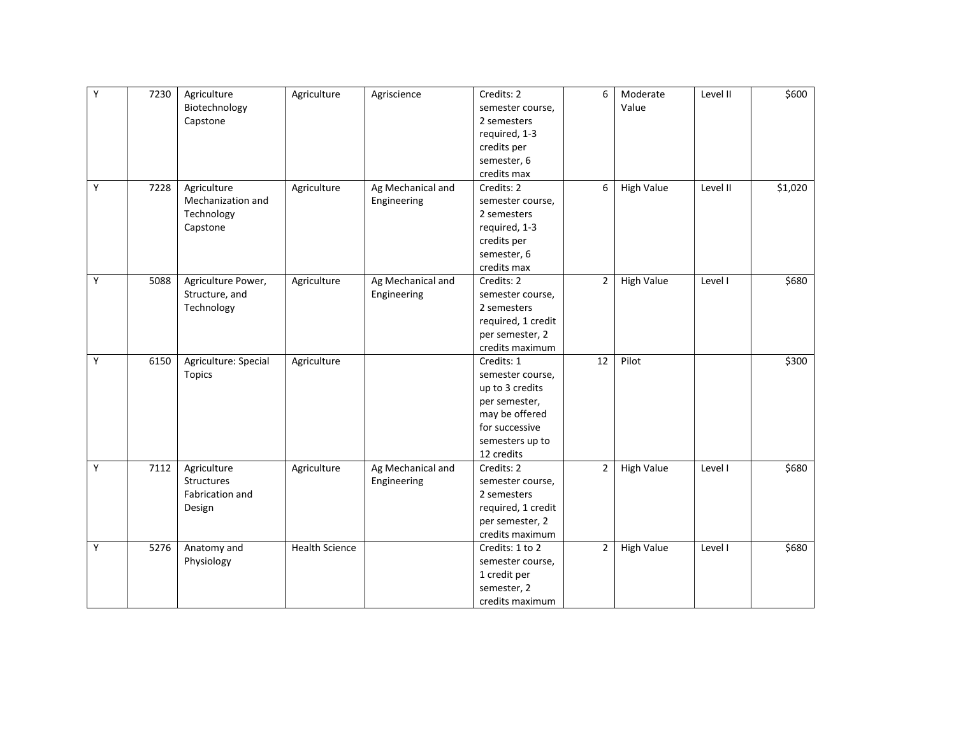| Υ | 7230 | Agriculture          | Agriculture           | Agriscience       | Credits: 2         | 6              | Moderate          | Level II | \$600   |
|---|------|----------------------|-----------------------|-------------------|--------------------|----------------|-------------------|----------|---------|
|   |      | Biotechnology        |                       |                   | semester course,   |                | Value             |          |         |
|   |      | Capstone             |                       |                   | 2 semesters        |                |                   |          |         |
|   |      |                      |                       |                   | required, 1-3      |                |                   |          |         |
|   |      |                      |                       |                   | credits per        |                |                   |          |         |
|   |      |                      |                       |                   | semester, 6        |                |                   |          |         |
|   |      |                      |                       |                   | credits max        |                |                   |          |         |
| Y | 7228 | Agriculture          | Agriculture           | Ag Mechanical and | Credits: 2         | 6              | <b>High Value</b> | Level II | \$1,020 |
|   |      | Mechanization and    |                       | Engineering       | semester course,   |                |                   |          |         |
|   |      | Technology           |                       |                   | 2 semesters        |                |                   |          |         |
|   |      | Capstone             |                       |                   | required, 1-3      |                |                   |          |         |
|   |      |                      |                       |                   | credits per        |                |                   |          |         |
|   |      |                      |                       |                   | semester, 6        |                |                   |          |         |
|   |      |                      |                       |                   | credits max        |                |                   |          |         |
| Y | 5088 | Agriculture Power,   | Agriculture           | Ag Mechanical and | Credits: 2         | $\overline{2}$ | <b>High Value</b> | Level I  | \$680   |
|   |      | Structure, and       |                       | Engineering       | semester course,   |                |                   |          |         |
|   |      | Technology           |                       |                   | 2 semesters        |                |                   |          |         |
|   |      |                      |                       |                   | required, 1 credit |                |                   |          |         |
|   |      |                      |                       |                   | per semester, 2    |                |                   |          |         |
|   |      |                      |                       |                   | credits maximum    |                |                   |          |         |
| Υ | 6150 | Agriculture: Special | Agriculture           |                   | Credits: 1         | 12             | Pilot             |          | \$300   |
|   |      | <b>Topics</b>        |                       |                   | semester course,   |                |                   |          |         |
|   |      |                      |                       |                   | up to 3 credits    |                |                   |          |         |
|   |      |                      |                       |                   | per semester,      |                |                   |          |         |
|   |      |                      |                       |                   | may be offered     |                |                   |          |         |
|   |      |                      |                       |                   | for successive     |                |                   |          |         |
|   |      |                      |                       |                   | semesters up to    |                |                   |          |         |
|   |      |                      |                       |                   | 12 credits         |                |                   |          |         |
| Y | 7112 | Agriculture          | Agriculture           | Ag Mechanical and | Credits: 2         | $\overline{2}$ | <b>High Value</b> | Level I  | \$680   |
|   |      | Structures           |                       | Engineering       | semester course,   |                |                   |          |         |
|   |      | Fabrication and      |                       |                   | 2 semesters        |                |                   |          |         |
|   |      | Design               |                       |                   | required, 1 credit |                |                   |          |         |
|   |      |                      |                       |                   | per semester, 2    |                |                   |          |         |
|   |      |                      |                       |                   | credits maximum    |                |                   |          |         |
| Y | 5276 | Anatomy and          | <b>Health Science</b> |                   | Credits: 1 to 2    | $\overline{2}$ | <b>High Value</b> | Level I  | \$680   |
|   |      | Physiology           |                       |                   | semester course,   |                |                   |          |         |
|   |      |                      |                       |                   | 1 credit per       |                |                   |          |         |
|   |      |                      |                       |                   | semester, 2        |                |                   |          |         |
|   |      |                      |                       |                   | credits maximum    |                |                   |          |         |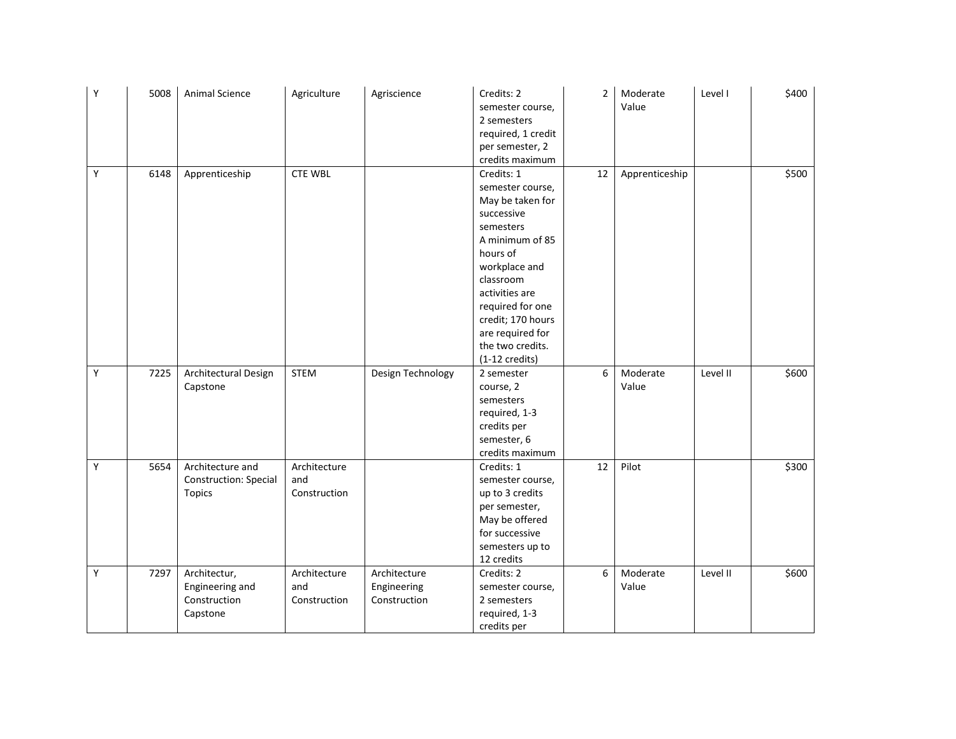| Υ | 5008 | Animal Science                                              | Agriculture                         | Agriscience                                 | Credits: 2<br>semester course,<br>2 semesters<br>required, 1 credit<br>per semester, 2<br>credits maximum                                                                                                                                                                 | $\overline{2}$ | Moderate<br>Value | Level I  | \$400 |
|---|------|-------------------------------------------------------------|-------------------------------------|---------------------------------------------|---------------------------------------------------------------------------------------------------------------------------------------------------------------------------------------------------------------------------------------------------------------------------|----------------|-------------------|----------|-------|
| Y | 6148 | Apprenticeship                                              | <b>CTE WBL</b>                      |                                             | Credits: 1<br>semester course,<br>May be taken for<br>successive<br>semesters<br>A minimum of 85<br>hours of<br>workplace and<br>classroom<br>activities are<br>required for one<br>credit; 170 hours<br>are required for<br>the two credits.<br>$(1-12 \text{ credits})$ | 12             | Apprenticeship    |          | \$500 |
| Y | 7225 | Architectural Design<br>Capstone                            | <b>STEM</b>                         | Design Technology                           | 2 semester<br>course, 2<br>semesters<br>required, 1-3<br>credits per<br>semester, 6<br>credits maximum                                                                                                                                                                    | 6              | Moderate<br>Value | Level II | \$600 |
| Y | 5654 | Architecture and<br>Construction: Special<br><b>Topics</b>  | Architecture<br>and<br>Construction |                                             | Credits: 1<br>semester course,<br>up to 3 credits<br>per semester,<br>May be offered<br>for successive<br>semesters up to<br>12 credits                                                                                                                                   | 12             | Pilot             |          | \$300 |
| Y | 7297 | Architectur,<br>Engineering and<br>Construction<br>Capstone | Architecture<br>and<br>Construction | Architecture<br>Engineering<br>Construction | Credits: 2<br>semester course,<br>2 semesters<br>required, 1-3<br>credits per                                                                                                                                                                                             | 6              | Moderate<br>Value | Level II | \$600 |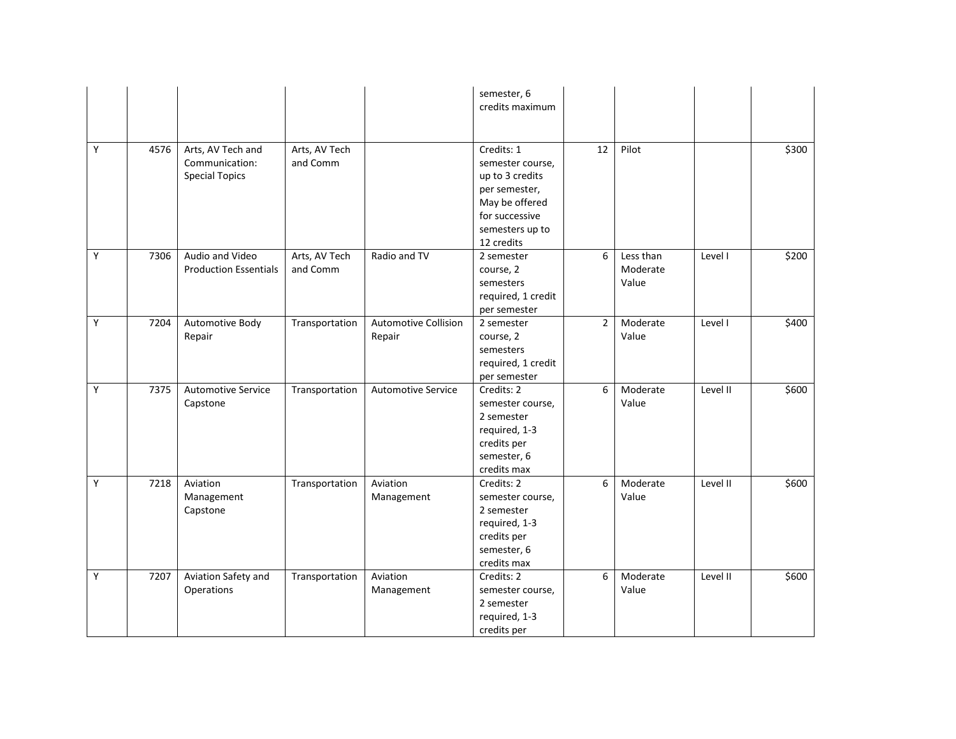|   |      |                                                              |                           |                                       | semester, 6<br>credits maximum                                                                                                          |                |                                |          |       |
|---|------|--------------------------------------------------------------|---------------------------|---------------------------------------|-----------------------------------------------------------------------------------------------------------------------------------------|----------------|--------------------------------|----------|-------|
| Υ | 4576 | Arts, AV Tech and<br>Communication:<br><b>Special Topics</b> | Arts, AV Tech<br>and Comm |                                       | Credits: 1<br>semester course,<br>up to 3 credits<br>per semester,<br>May be offered<br>for successive<br>semesters up to<br>12 credits | 12             | Pilot                          |          | \$300 |
| Υ | 7306 | Audio and Video<br><b>Production Essentials</b>              | Arts, AV Tech<br>and Comm | Radio and TV                          | 2 semester<br>course, 2<br>semesters<br>required, 1 credit<br>per semester                                                              | 6              | Less than<br>Moderate<br>Value | Level I  | \$200 |
| Υ | 7204 | Automotive Body<br>Repair                                    | Transportation            | <b>Automotive Collision</b><br>Repair | 2 semester<br>course, 2<br>semesters<br>required, 1 credit<br>per semester                                                              | $\overline{2}$ | Moderate<br>Value              | Level I  | \$400 |
| Y | 7375 | <b>Automotive Service</b><br>Capstone                        | Transportation            | <b>Automotive Service</b>             | Credits: 2<br>semester course,<br>2 semester<br>required, 1-3<br>credits per<br>semester, 6<br>credits max                              | 6              | Moderate<br>Value              | Level II | \$600 |
| Y | 7218 | Aviation<br>Management<br>Capstone                           | Transportation            | Aviation<br>Management                | Credits: 2<br>semester course,<br>2 semester<br>required, 1-3<br>credits per<br>semester, 6<br>credits max                              | 6              | Moderate<br>Value              | Level II | \$600 |
| Y | 7207 | Aviation Safety and<br>Operations                            | Transportation            | Aviation<br>Management                | Credits: 2<br>semester course,<br>2 semester<br>required, 1-3<br>credits per                                                            | 6              | Moderate<br>Value              | Level II | \$600 |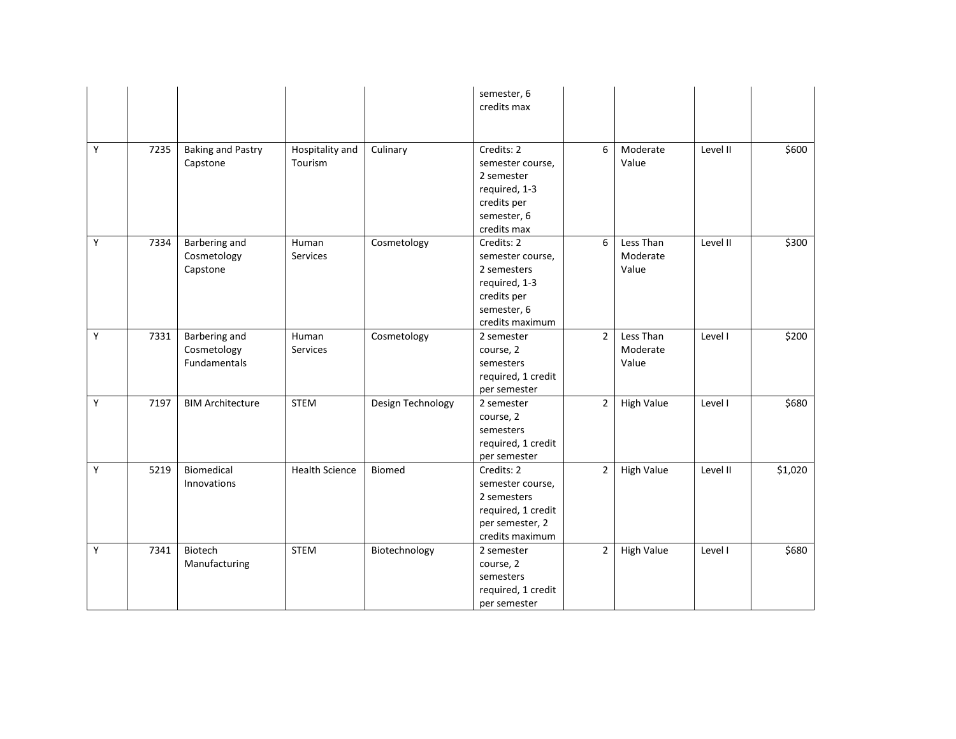|   |      |                                              |                            |                   | semester, 6<br>credits max                                                                                      |                |                                |          |         |
|---|------|----------------------------------------------|----------------------------|-------------------|-----------------------------------------------------------------------------------------------------------------|----------------|--------------------------------|----------|---------|
| Y | 7235 | <b>Baking and Pastry</b><br>Capstone         | Hospitality and<br>Tourism | Culinary          | Credits: 2<br>semester course,<br>2 semester<br>required, 1-3<br>credits per<br>semester, 6<br>credits max      | 6              | Moderate<br>Value              | Level II | \$600   |
| Y | 7334 | Barbering and<br>Cosmetology<br>Capstone     | Human<br><b>Services</b>   | Cosmetology       | Credits: 2<br>semester course,<br>2 semesters<br>required, 1-3<br>credits per<br>semester, 6<br>credits maximum | 6              | Less Than<br>Moderate<br>Value | Level II | \$300   |
| Υ | 7331 | Barbering and<br>Cosmetology<br>Fundamentals | Human<br>Services          | Cosmetology       | 2 semester<br>course, 2<br>semesters<br>required, 1 credit<br>per semester                                      | $\overline{2}$ | Less Than<br>Moderate<br>Value | Level I  | \$200   |
| Y | 7197 | <b>BIM Architecture</b>                      | <b>STEM</b>                | Design Technology | 2 semester<br>course, 2<br>semesters<br>required, 1 credit<br>per semester                                      | $\overline{2}$ | <b>High Value</b>              | Level I  | \$680   |
| Y | 5219 | Biomedical<br>Innovations                    | <b>Health Science</b>      | <b>Biomed</b>     | Credits: 2<br>semester course,<br>2 semesters<br>required, 1 credit<br>per semester, 2<br>credits maximum       | $\overline{2}$ | <b>High Value</b>              | Level II | \$1,020 |
| Y | 7341 | Biotech<br>Manufacturing                     | <b>STEM</b>                | Biotechnology     | 2 semester<br>course, 2<br>semesters<br>required, 1 credit<br>per semester                                      | $\overline{2}$ | <b>High Value</b>              | Level I  | \$680   |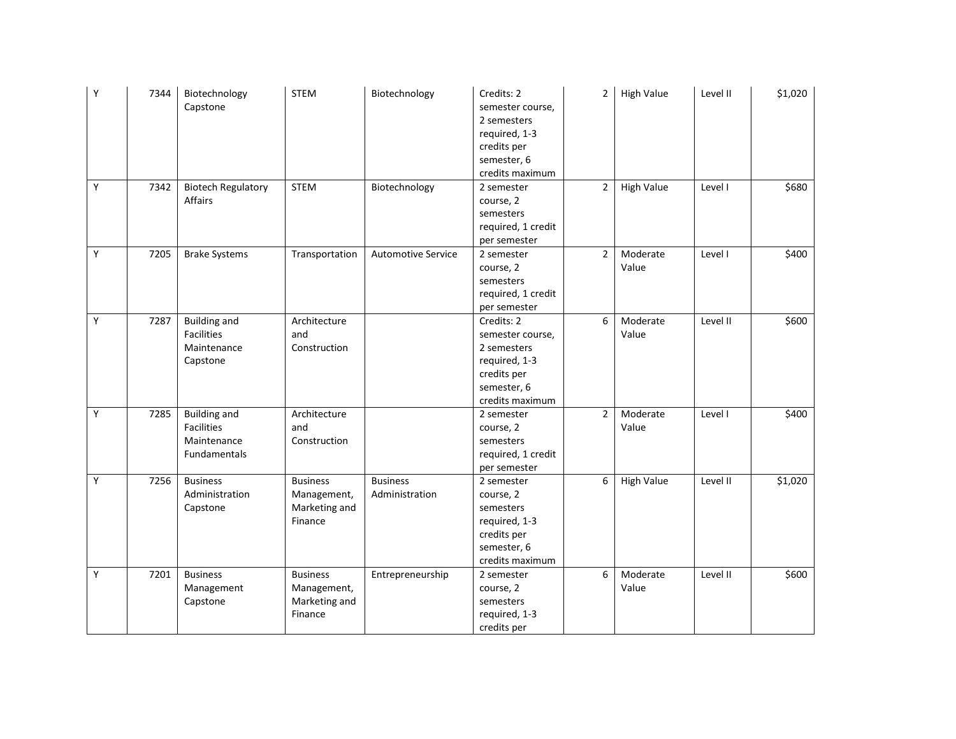| Υ | 7344 | Biotechnology<br>Capstone                                               | <b>STEM</b>                                                | Biotechnology                     | Credits: 2<br>semester course,<br>2 semesters<br>required, 1-3<br>credits per<br>semester, 6<br>credits maximum | $\overline{2}$ | <b>High Value</b> | Level II | \$1,020 |
|---|------|-------------------------------------------------------------------------|------------------------------------------------------------|-----------------------------------|-----------------------------------------------------------------------------------------------------------------|----------------|-------------------|----------|---------|
| Y | 7342 | <b>Biotech Regulatory</b><br>Affairs                                    | <b>STEM</b>                                                | Biotechnology                     | 2 semester<br>course, 2<br>semesters<br>required, 1 credit<br>per semester                                      | $\overline{2}$ | <b>High Value</b> | Level I  | \$680   |
| Y | 7205 | <b>Brake Systems</b>                                                    | Transportation                                             | <b>Automotive Service</b>         | 2 semester<br>course, 2<br>semesters<br>required, 1 credit<br>per semester                                      | $\overline{2}$ | Moderate<br>Value | Level I  | \$400   |
| Y | 7287 | <b>Building and</b><br><b>Facilities</b><br>Maintenance<br>Capstone     | Architecture<br>and<br>Construction                        |                                   | Credits: 2<br>semester course,<br>2 semesters<br>required, 1-3<br>credits per<br>semester, 6<br>credits maximum | 6              | Moderate<br>Value | Level II | \$600   |
| Υ | 7285 | <b>Building and</b><br><b>Facilities</b><br>Maintenance<br>Fundamentals | Architecture<br>and<br>Construction                        |                                   | 2 semester<br>course, 2<br>semesters<br>required, 1 credit<br>per semester                                      | $\overline{2}$ | Moderate<br>Value | Level I  | \$400   |
| Y | 7256 | <b>Business</b><br>Administration<br>Capstone                           | <b>Business</b><br>Management,<br>Marketing and<br>Finance | <b>Business</b><br>Administration | 2 semester<br>course, 2<br>semesters<br>required, 1-3<br>credits per<br>semester, 6<br>credits maximum          | 6              | <b>High Value</b> | Level II | \$1,020 |
| Y | 7201 | <b>Business</b><br>Management<br>Capstone                               | <b>Business</b><br>Management,<br>Marketing and<br>Finance | Entrepreneurship                  | 2 semester<br>course, 2<br>semesters<br>required, 1-3<br>credits per                                            | 6              | Moderate<br>Value | Level II | \$600   |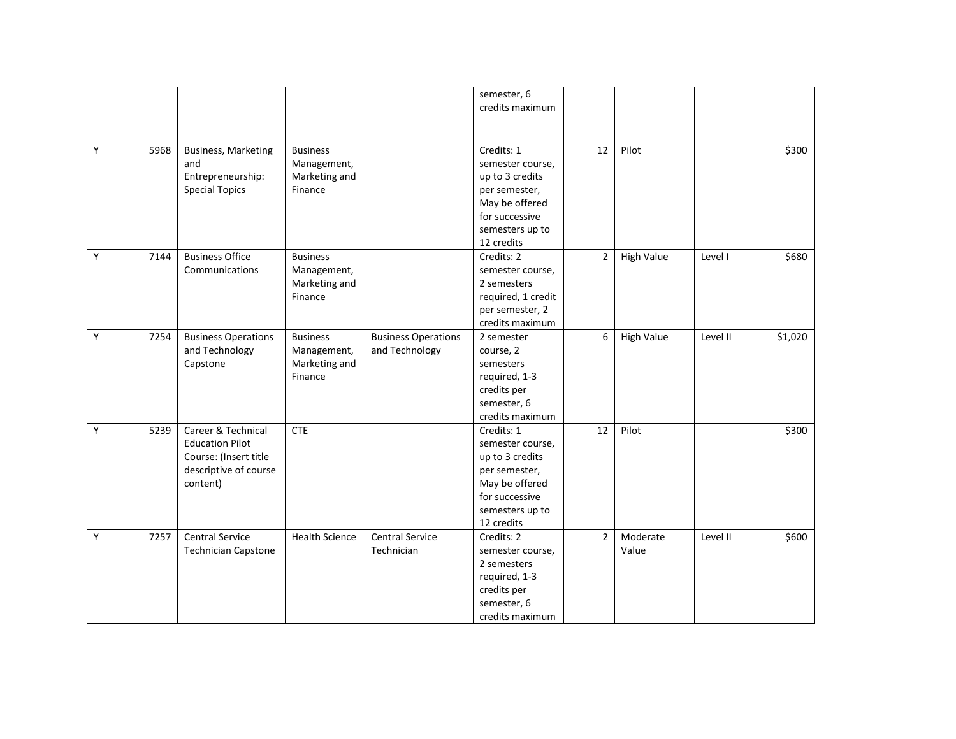|   |      |                            |                       |                            | semester, 6        |                |                   |          |         |
|---|------|----------------------------|-----------------------|----------------------------|--------------------|----------------|-------------------|----------|---------|
|   |      |                            |                       |                            | credits maximum    |                |                   |          |         |
|   |      |                            |                       |                            |                    |                |                   |          |         |
|   |      |                            |                       |                            |                    |                |                   |          |         |
| Y | 5968 | <b>Business, Marketing</b> | <b>Business</b>       |                            | Credits: 1         | 12             | Pilot             |          | \$300   |
|   |      | and                        | Management,           |                            | semester course,   |                |                   |          |         |
|   |      | Entrepreneurship:          | Marketing and         |                            | up to 3 credits    |                |                   |          |         |
|   |      | <b>Special Topics</b>      | Finance               |                            | per semester,      |                |                   |          |         |
|   |      |                            |                       |                            | May be offered     |                |                   |          |         |
|   |      |                            |                       |                            | for successive     |                |                   |          |         |
|   |      |                            |                       |                            | semesters up to    |                |                   |          |         |
|   |      |                            |                       |                            | 12 credits         |                |                   |          |         |
| Y | 7144 | <b>Business Office</b>     | <b>Business</b>       |                            | Credits: 2         | $\overline{2}$ | <b>High Value</b> | Level I  | \$680   |
|   |      | Communications             | Management,           |                            | semester course,   |                |                   |          |         |
|   |      |                            | Marketing and         |                            | 2 semesters        |                |                   |          |         |
|   |      |                            | Finance               |                            | required, 1 credit |                |                   |          |         |
|   |      |                            |                       |                            | per semester, 2    |                |                   |          |         |
|   |      |                            |                       |                            | credits maximum    |                |                   |          |         |
| Y | 7254 | <b>Business Operations</b> | <b>Business</b>       | <b>Business Operations</b> | 2 semester         | 6              | <b>High Value</b> | Level II | \$1,020 |
|   |      | and Technology             | Management,           | and Technology             | course, 2          |                |                   |          |         |
|   |      | Capstone                   | Marketing and         |                            | semesters          |                |                   |          |         |
|   |      |                            | Finance               |                            | required, 1-3      |                |                   |          |         |
|   |      |                            |                       |                            | credits per        |                |                   |          |         |
|   |      |                            |                       |                            | semester, 6        |                |                   |          |         |
|   |      |                            |                       |                            | credits maximum    |                |                   |          |         |
| Y | 5239 | Career & Technical         | <b>CTE</b>            |                            | Credits: 1         | 12             | Pilot             |          | \$300   |
|   |      | <b>Education Pilot</b>     |                       |                            | semester course,   |                |                   |          |         |
|   |      | Course: (Insert title      |                       |                            | up to 3 credits    |                |                   |          |         |
|   |      | descriptive of course      |                       |                            | per semester,      |                |                   |          |         |
|   |      | content)                   |                       |                            | May be offered     |                |                   |          |         |
|   |      |                            |                       |                            | for successive     |                |                   |          |         |
|   |      |                            |                       |                            | semesters up to    |                |                   |          |         |
|   |      |                            |                       |                            | 12 credits         |                |                   |          |         |
| Y | 7257 | <b>Central Service</b>     | <b>Health Science</b> | <b>Central Service</b>     | Credits: 2         | $\overline{2}$ | Moderate          | Level II | \$600   |
|   |      | <b>Technician Capstone</b> |                       | Technician                 | semester course,   |                | Value             |          |         |
|   |      |                            |                       |                            | 2 semesters        |                |                   |          |         |
|   |      |                            |                       |                            | required, 1-3      |                |                   |          |         |
|   |      |                            |                       |                            | credits per        |                |                   |          |         |
|   |      |                            |                       |                            | semester, 6        |                |                   |          |         |
|   |      |                            |                       |                            | credits maximum    |                |                   |          |         |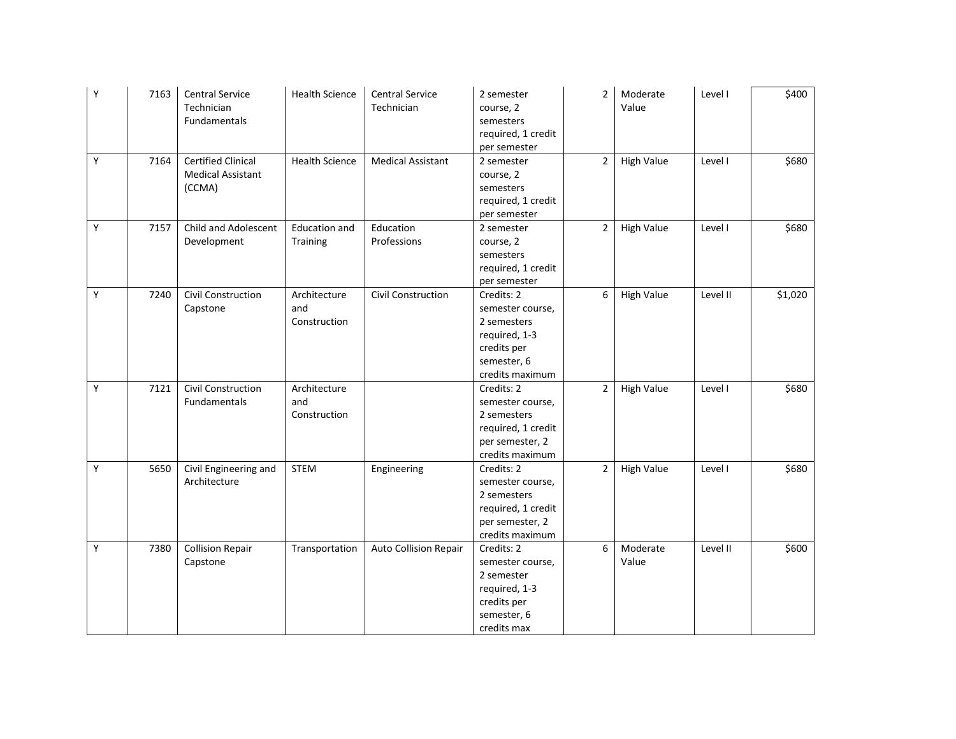| Y           | 7163 | <b>Central Service</b><br>Technician<br><b>Fundamentals</b>     | <b>Health Science</b>               | <b>Central Service</b><br>Technician | 2 semester<br>course, 2<br>semesters<br>required, 1 credit<br>per semester                                      | $\overline{2}$ | Moderate<br>Value | Level I  | \$400   |
|-------------|------|-----------------------------------------------------------------|-------------------------------------|--------------------------------------|-----------------------------------------------------------------------------------------------------------------|----------------|-------------------|----------|---------|
| Y           | 7164 | <b>Certified Clinical</b><br><b>Medical Assistant</b><br>(CCMA) | <b>Health Science</b>               | <b>Medical Assistant</b>             | 2 semester<br>course, 2<br>semesters<br>required, 1 credit<br>per semester                                      | $\overline{2}$ | <b>High Value</b> | Level I  | \$680   |
| Y           | 7157 | Child and Adolescent<br>Development                             | <b>Education and</b><br>Training    | Education<br>Professions             | 2 semester<br>course, 2<br>semesters<br>required, 1 credit<br>per semester                                      | $\overline{2}$ | <b>High Value</b> | Level I  | \$680   |
| Y           | 7240 | Civil Construction<br>Capstone                                  | Architecture<br>and<br>Construction | Civil Construction                   | Credits: 2<br>semester course,<br>2 semesters<br>required, 1-3<br>credits per<br>semester, 6<br>credits maximum | 6              | <b>High Value</b> | Level II | \$1,020 |
| Y           | 7121 | Civil Construction<br>Fundamentals                              | Architecture<br>and<br>Construction |                                      | Credits: 2<br>semester course,<br>2 semesters<br>required, 1 credit<br>per semester, 2<br>credits maximum       | $\overline{2}$ | <b>High Value</b> | Level I  | \$680   |
| $\mathsf Y$ | 5650 | Civil Engineering and<br>Architecture                           | <b>STEM</b>                         | Engineering                          | Credits: 2<br>semester course,<br>2 semesters<br>required, 1 credit<br>per semester, 2<br>credits maximum       | $\overline{2}$ | <b>High Value</b> | Level I  | \$680   |
| $\mathsf Y$ | 7380 | <b>Collision Repair</b><br>Capstone                             | Transportation                      | Auto Collision Repair                | Credits: 2<br>semester course,<br>2 semester<br>required, 1-3<br>credits per<br>semester, 6<br>credits max      | 6              | Moderate<br>Value | Level II | \$600   |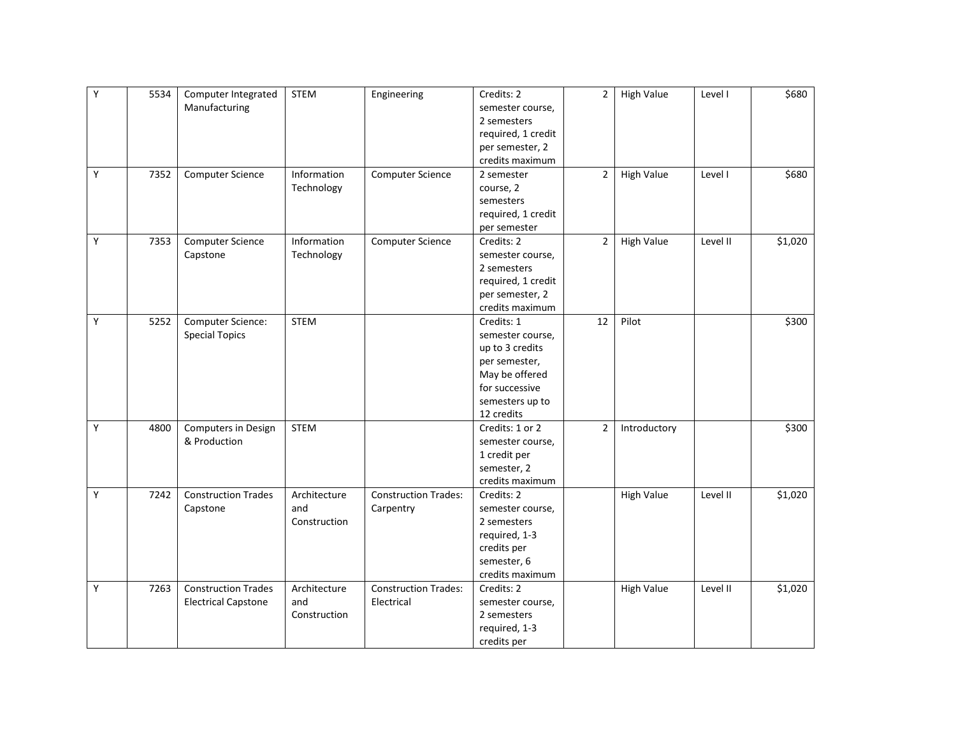| Υ | 5534 | Computer Integrated<br>Manufacturing                     | <b>STEM</b>                         | Engineering                               | Credits: 2<br>semester course,<br>2 semesters<br>required, 1 credit<br>per semester, 2<br>credits maximum                               | $\overline{2}$ | <b>High Value</b> | Level I  | \$680   |
|---|------|----------------------------------------------------------|-------------------------------------|-------------------------------------------|-----------------------------------------------------------------------------------------------------------------------------------------|----------------|-------------------|----------|---------|
| Y | 7352 | Computer Science                                         | Information<br>Technology           | Computer Science                          | 2 semester<br>course, 2<br>semesters<br>required, 1 credit<br>per semester                                                              | $\overline{2}$ | <b>High Value</b> | Level I  | \$680   |
| Y | 7353 | Computer Science<br>Capstone                             | Information<br>Technology           | Computer Science                          | Credits: 2<br>semester course,<br>2 semesters<br>required, 1 credit<br>per semester, 2<br>credits maximum                               | $\overline{2}$ | High Value        | Level II | \$1,020 |
| Υ | 5252 | Computer Science:<br><b>Special Topics</b>               | <b>STEM</b>                         |                                           | Credits: 1<br>semester course,<br>up to 3 credits<br>per semester,<br>May be offered<br>for successive<br>semesters up to<br>12 credits | 12             | Pilot             |          | \$300   |
| Y | 4800 | Computers in Design<br>& Production                      | <b>STEM</b>                         |                                           | Credits: 1 or 2<br>semester course,<br>1 credit per<br>semester, 2<br>credits maximum                                                   | $\overline{2}$ | Introductory      |          | \$300   |
| Υ | 7242 | <b>Construction Trades</b><br>Capstone                   | Architecture<br>and<br>Construction | <b>Construction Trades:</b><br>Carpentry  | Credits: 2<br>semester course,<br>2 semesters<br>required, 1-3<br>credits per<br>semester, 6<br>credits maximum                         |                | <b>High Value</b> | Level II | \$1,020 |
| Y | 7263 | <b>Construction Trades</b><br><b>Electrical Capstone</b> | Architecture<br>and<br>Construction | <b>Construction Trades:</b><br>Electrical | Credits: 2<br>semester course,<br>2 semesters<br>required, 1-3<br>credits per                                                           |                | <b>High Value</b> | Level II | \$1,020 |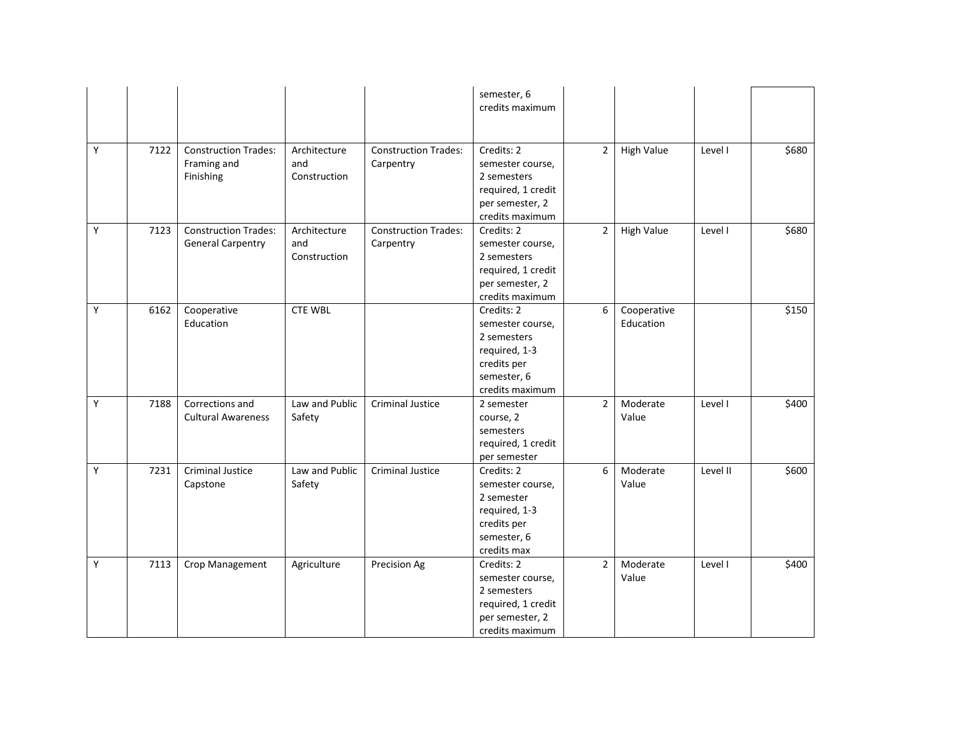|   |      |                                                         |                                     |                                          | semester, 6<br>credits maximum                                                                                  |                |                          |          |       |
|---|------|---------------------------------------------------------|-------------------------------------|------------------------------------------|-----------------------------------------------------------------------------------------------------------------|----------------|--------------------------|----------|-------|
| Y | 7122 | <b>Construction Trades:</b><br>Framing and<br>Finishing | Architecture<br>and<br>Construction | <b>Construction Trades:</b><br>Carpentry | Credits: 2<br>semester course,<br>2 semesters<br>required, 1 credit<br>per semester, 2<br>credits maximum       | $\overline{2}$ | <b>High Value</b>        | Level I  | \$680 |
| Y | 7123 | <b>Construction Trades:</b><br><b>General Carpentry</b> | Architecture<br>and<br>Construction | <b>Construction Trades:</b><br>Carpentry | Credits: 2<br>semester course,<br>2 semesters<br>required, 1 credit<br>per semester, 2<br>credits maximum       | $\overline{2}$ | <b>High Value</b>        | Level I  | \$680 |
| Υ | 6162 | Cooperative<br>Education                                | <b>CTE WBL</b>                      |                                          | Credits: 2<br>semester course,<br>2 semesters<br>required, 1-3<br>credits per<br>semester, 6<br>credits maximum | 6              | Cooperative<br>Education |          | \$150 |
| Υ | 7188 | Corrections and<br><b>Cultural Awareness</b>            | Law and Public<br>Safety            | <b>Criminal Justice</b>                  | 2 semester<br>course, 2<br>semesters<br>required, 1 credit<br>per semester                                      | $\overline{2}$ | Moderate<br>Value        | Level I  | \$400 |
| Υ | 7231 | <b>Criminal Justice</b><br>Capstone                     | Law and Public<br>Safety            | <b>Criminal Justice</b>                  | Credits: 2<br>semester course,<br>2 semester<br>required, 1-3<br>credits per<br>semester, 6<br>credits max      | 6              | Moderate<br>Value        | Level II | \$600 |
| Υ | 7113 | Crop Management                                         | Agriculture                         | Precision Ag                             | Credits: 2<br>semester course,<br>2 semesters<br>required, 1 credit<br>per semester, 2<br>credits maximum       | $\overline{2}$ | Moderate<br>Value        | Level I  | \$400 |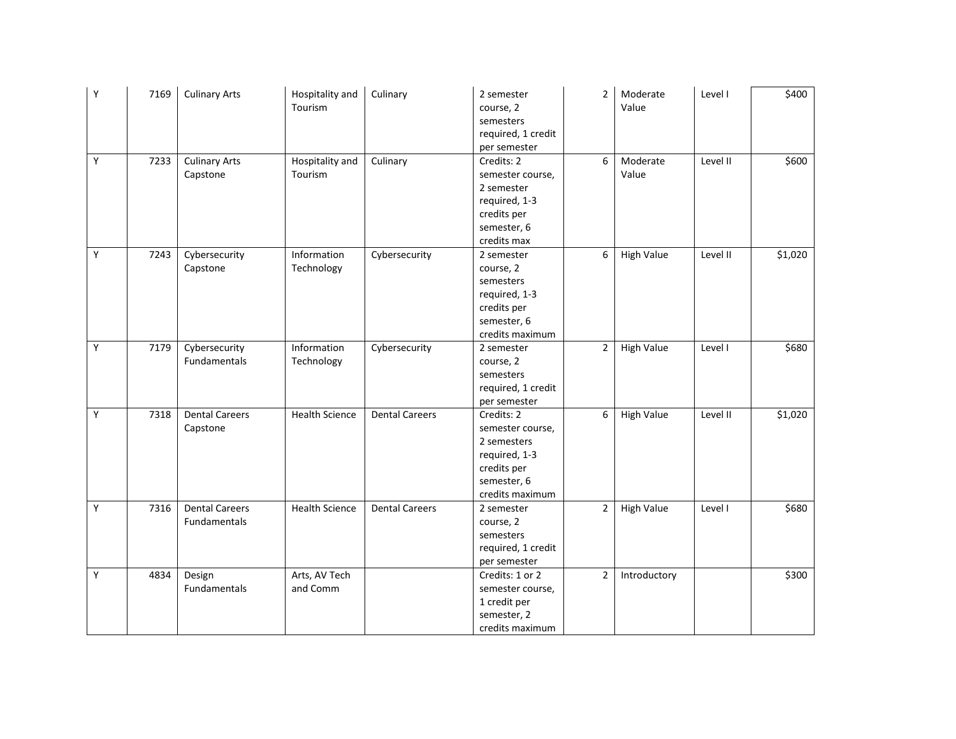| Υ | 7169 | <b>Culinary Arts</b>  | Hospitality and<br>Tourism | Culinary              | 2 semester<br>course, 2<br>semesters<br>required, 1 credit | $\overline{2}$ | Moderate<br>Value | Level I  | \$400   |
|---|------|-----------------------|----------------------------|-----------------------|------------------------------------------------------------|----------------|-------------------|----------|---------|
|   |      |                       |                            |                       | per semester                                               |                |                   |          |         |
| Y | 7233 | <b>Culinary Arts</b>  | Hospitality and            | Culinary              | Credits: 2                                                 | 6              | Moderate          | Level II | \$600   |
|   |      | Capstone              | Tourism                    |                       | semester course,                                           |                | Value             |          |         |
|   |      |                       |                            |                       | 2 semester                                                 |                |                   |          |         |
|   |      |                       |                            |                       | required, 1-3                                              |                |                   |          |         |
|   |      |                       |                            |                       | credits per                                                |                |                   |          |         |
|   |      |                       |                            |                       | semester, 6                                                |                |                   |          |         |
|   |      |                       |                            |                       | credits max                                                |                |                   |          |         |
| Y | 7243 | Cybersecurity         | Information                | Cybersecurity         | 2 semester                                                 | 6              | <b>High Value</b> | Level II | \$1,020 |
|   |      | Capstone              | Technology                 |                       | course, 2                                                  |                |                   |          |         |
|   |      |                       |                            |                       | semesters                                                  |                |                   |          |         |
|   |      |                       |                            |                       | required, 1-3                                              |                |                   |          |         |
|   |      |                       |                            |                       | credits per                                                |                |                   |          |         |
|   |      |                       |                            |                       | semester, 6                                                |                |                   |          |         |
|   |      |                       |                            |                       | credits maximum                                            |                |                   |          |         |
| Υ | 7179 | Cybersecurity         | Information                | Cybersecurity         | 2 semester                                                 | $\overline{2}$ | <b>High Value</b> | Level I  | \$680   |
|   |      | Fundamentals          | Technology                 |                       | course, 2                                                  |                |                   |          |         |
|   |      |                       |                            |                       | semesters                                                  |                |                   |          |         |
|   |      |                       |                            |                       | required, 1 credit                                         |                |                   |          |         |
|   |      |                       |                            |                       | per semester                                               |                |                   |          |         |
| Y | 7318 | <b>Dental Careers</b> | <b>Health Science</b>      | <b>Dental Careers</b> | Credits: 2                                                 | 6              | <b>High Value</b> | Level II | \$1,020 |
|   |      | Capstone              |                            |                       | semester course,                                           |                |                   |          |         |
|   |      |                       |                            |                       | 2 semesters                                                |                |                   |          |         |
|   |      |                       |                            |                       | required, 1-3                                              |                |                   |          |         |
|   |      |                       |                            |                       | credits per                                                |                |                   |          |         |
|   |      |                       |                            |                       | semester, 6                                                |                |                   |          |         |
|   |      |                       |                            |                       | credits maximum                                            |                |                   |          |         |
| Y | 7316 | <b>Dental Careers</b> | <b>Health Science</b>      | <b>Dental Careers</b> | 2 semester                                                 | $\overline{2}$ | <b>High Value</b> | Level I  | \$680   |
|   |      | Fundamentals          |                            |                       | course, 2                                                  |                |                   |          |         |
|   |      |                       |                            |                       | semesters                                                  |                |                   |          |         |
|   |      |                       |                            |                       | required, 1 credit                                         |                |                   |          |         |
|   |      |                       |                            |                       | per semester                                               |                |                   |          |         |
| Y | 4834 | Design                | Arts, AV Tech              |                       | Credits: 1 or 2                                            | $\overline{2}$ | Introductory      |          | \$300   |
|   |      | Fundamentals          | and Comm                   |                       | semester course,                                           |                |                   |          |         |
|   |      |                       |                            |                       | 1 credit per                                               |                |                   |          |         |
|   |      |                       |                            |                       | semester, 2                                                |                |                   |          |         |
|   |      |                       |                            |                       | credits maximum                                            |                |                   |          |         |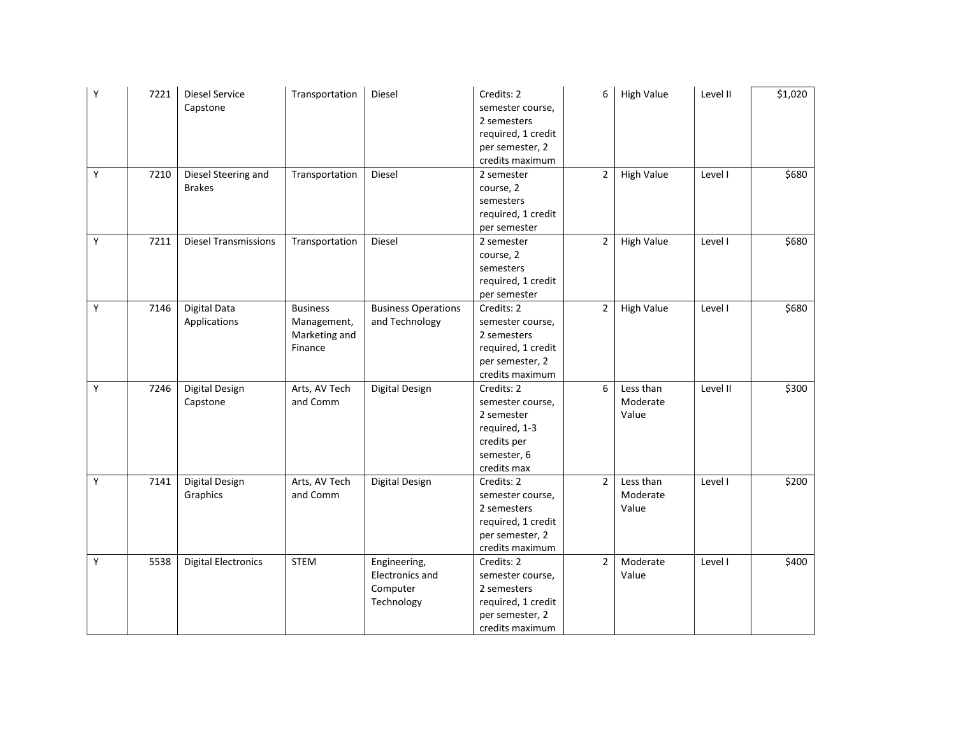| Υ | 7221 | <b>Diesel Service</b><br>Capstone    | Transportation                                             | Diesel                                                    | Credits: 2<br>semester course,<br>2 semesters<br>required, 1 credit<br>per semester, 2<br>credits maximum  | 6              | <b>High Value</b>              | Level II | \$1,020 |
|---|------|--------------------------------------|------------------------------------------------------------|-----------------------------------------------------------|------------------------------------------------------------------------------------------------------------|----------------|--------------------------------|----------|---------|
| Y | 7210 | Diesel Steering and<br><b>Brakes</b> | Transportation                                             | Diesel                                                    | 2 semester<br>course, 2<br>semesters<br>required, 1 credit<br>per semester                                 | $\overline{2}$ | <b>High Value</b>              | Level I  | \$680   |
| Y | 7211 | <b>Diesel Transmissions</b>          | Transportation                                             | Diesel                                                    | 2 semester<br>course, 2<br>semesters<br>required, 1 credit<br>per semester                                 | $\overline{2}$ | <b>High Value</b>              | Level I  | \$680   |
| Y | 7146 | Digital Data<br>Applications         | <b>Business</b><br>Management,<br>Marketing and<br>Finance | <b>Business Operations</b><br>and Technology              | Credits: 2<br>semester course,<br>2 semesters<br>required, 1 credit<br>per semester, 2<br>credits maximum  | $\overline{2}$ | <b>High Value</b>              | Level I  | \$680   |
| Y | 7246 | Digital Design<br>Capstone           | Arts, AV Tech<br>and Comm                                  | Digital Design                                            | Credits: 2<br>semester course,<br>2 semester<br>required, 1-3<br>credits per<br>semester, 6<br>credits max | 6              | Less than<br>Moderate<br>Value | Level II | \$300   |
| Y | 7141 | Digital Design<br>Graphics           | Arts, AV Tech<br>and Comm                                  | Digital Design                                            | Credits: 2<br>semester course,<br>2 semesters<br>required, 1 credit<br>per semester, 2<br>credits maximum  | $\overline{2}$ | Less than<br>Moderate<br>Value | Level I  | \$200   |
| Υ | 5538 | <b>Digital Electronics</b>           | <b>STEM</b>                                                | Engineering,<br>Electronics and<br>Computer<br>Technology | Credits: 2<br>semester course,<br>2 semesters<br>required, 1 credit<br>per semester, 2<br>credits maximum  | $\overline{2}$ | Moderate<br>Value              | Level I  | \$400   |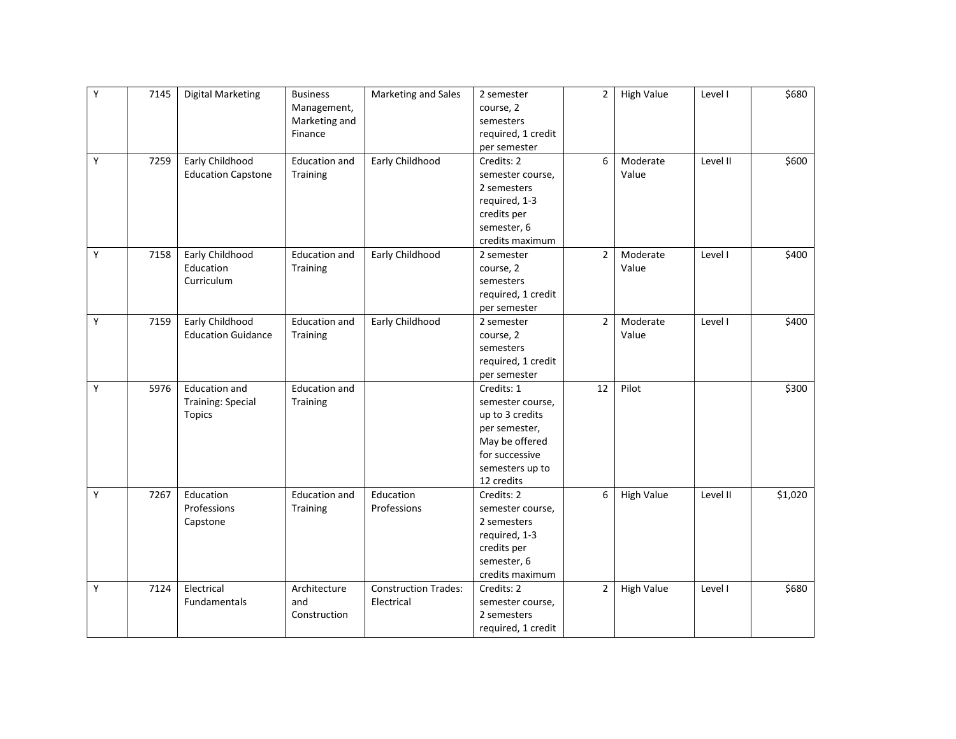| Y | 7145 | <b>Digital Marketing</b>  | <b>Business</b><br>Management,<br>Marketing and<br>Finance | Marketing and Sales         | 2 semester<br>course, 2<br>semesters<br>required, 1 credit | $\overline{2}$ | <b>High Value</b> | Level I  | \$680   |
|---|------|---------------------------|------------------------------------------------------------|-----------------------------|------------------------------------------------------------|----------------|-------------------|----------|---------|
|   |      |                           |                                                            |                             | per semester                                               |                |                   |          |         |
| Y | 7259 | Early Childhood           | <b>Education and</b>                                       | Early Childhood             | Credits: 2                                                 | 6              | Moderate          | Level II | \$600   |
|   |      | <b>Education Capstone</b> | Training                                                   |                             | semester course,                                           |                | Value             |          |         |
|   |      |                           |                                                            |                             | 2 semesters                                                |                |                   |          |         |
|   |      |                           |                                                            |                             | required, 1-3                                              |                |                   |          |         |
|   |      |                           |                                                            |                             | credits per                                                |                |                   |          |         |
|   |      |                           |                                                            |                             | semester, 6                                                |                |                   |          |         |
|   |      |                           |                                                            |                             | credits maximum                                            |                |                   |          |         |
| Υ | 7158 | Early Childhood           | <b>Education and</b>                                       | Early Childhood             | 2 semester                                                 | $\overline{2}$ | Moderate          | Level I  | \$400   |
|   |      | Education                 | Training                                                   |                             | course, 2                                                  |                | Value             |          |         |
|   |      | Curriculum                |                                                            |                             | semesters                                                  |                |                   |          |         |
|   |      |                           |                                                            |                             | required, 1 credit                                         |                |                   |          |         |
|   |      |                           |                                                            |                             | per semester                                               |                |                   |          |         |
| Y | 7159 | Early Childhood           | <b>Education and</b>                                       | Early Childhood             | 2 semester                                                 | $\overline{2}$ | Moderate          | Level I  | \$400   |
|   |      | <b>Education Guidance</b> | Training                                                   |                             | course, 2                                                  |                | Value             |          |         |
|   |      |                           |                                                            |                             | semesters                                                  |                |                   |          |         |
|   |      |                           |                                                            |                             | required, 1 credit                                         |                |                   |          |         |
|   |      |                           |                                                            |                             | per semester                                               |                |                   |          |         |
| Y | 5976 | <b>Education and</b>      | <b>Education and</b>                                       |                             | Credits: 1                                                 | 12             | Pilot             |          | \$300   |
|   |      | <b>Training: Special</b>  | Training                                                   |                             | semester course,                                           |                |                   |          |         |
|   |      | <b>Topics</b>             |                                                            |                             | up to 3 credits                                            |                |                   |          |         |
|   |      |                           |                                                            |                             | per semester,                                              |                |                   |          |         |
|   |      |                           |                                                            |                             | May be offered                                             |                |                   |          |         |
|   |      |                           |                                                            |                             | for successive                                             |                |                   |          |         |
|   |      |                           |                                                            |                             | semesters up to                                            |                |                   |          |         |
|   |      |                           |                                                            |                             | 12 credits                                                 |                |                   |          |         |
| Y | 7267 | Education                 | <b>Education and</b>                                       | Education                   | Credits: 2                                                 | 6              | <b>High Value</b> | Level II | \$1,020 |
|   |      | Professions               | Training                                                   | Professions                 | semester course,                                           |                |                   |          |         |
|   |      | Capstone                  |                                                            |                             | 2 semesters                                                |                |                   |          |         |
|   |      |                           |                                                            |                             | required, 1-3                                              |                |                   |          |         |
|   |      |                           |                                                            |                             | credits per                                                |                |                   |          |         |
|   |      |                           |                                                            |                             | semester, 6                                                |                |                   |          |         |
|   |      |                           |                                                            |                             | credits maximum                                            |                |                   |          |         |
| Υ | 7124 | Electrical                | Architecture                                               | <b>Construction Trades:</b> | Credits: 2                                                 | $\overline{2}$ | <b>High Value</b> | Level I  | \$680   |
|   |      | <b>Fundamentals</b>       | and                                                        | Electrical                  | semester course,                                           |                |                   |          |         |
|   |      |                           | Construction                                               |                             | 2 semesters                                                |                |                   |          |         |
|   |      |                           |                                                            |                             | required, 1 credit                                         |                |                   |          |         |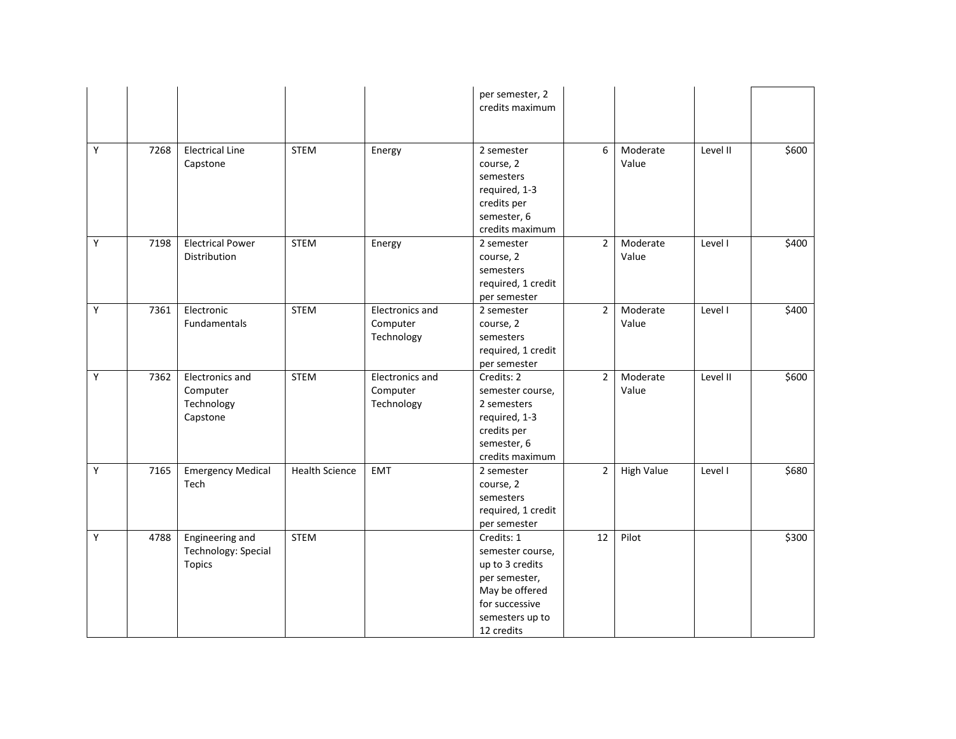|   |      |                                                         |                       |                                           | per semester, 2<br>credits maximum                                                                                                      |                |                   |          |       |
|---|------|---------------------------------------------------------|-----------------------|-------------------------------------------|-----------------------------------------------------------------------------------------------------------------------------------------|----------------|-------------------|----------|-------|
| Y | 7268 | <b>Electrical Line</b><br>Capstone                      | <b>STEM</b>           | Energy                                    | 2 semester<br>course, 2<br>semesters<br>required, 1-3<br>credits per<br>semester, 6<br>credits maximum                                  | 6              | Moderate<br>Value | Level II | \$600 |
| Υ | 7198 | <b>Electrical Power</b><br>Distribution                 | <b>STEM</b>           | Energy                                    | 2 semester<br>course, 2<br>semesters<br>required, 1 credit<br>per semester                                                              | $\overline{2}$ | Moderate<br>Value | Level I  | \$400 |
| Υ | 7361 | Electronic<br>Fundamentals                              | <b>STEM</b>           | Electronics and<br>Computer<br>Technology | 2 semester<br>course, 2<br>semesters<br>required, 1 credit<br>per semester                                                              | $\overline{2}$ | Moderate<br>Value | Level I  | \$400 |
| Y | 7362 | Electronics and<br>Computer<br>Technology<br>Capstone   | <b>STEM</b>           | Electronics and<br>Computer<br>Technology | Credits: 2<br>semester course,<br>2 semesters<br>required, 1-3<br>credits per<br>semester, 6<br>credits maximum                         | $\overline{2}$ | Moderate<br>Value | Level II | \$600 |
| Υ | 7165 | <b>Emergency Medical</b><br>Tech                        | <b>Health Science</b> | <b>EMT</b>                                | 2 semester<br>course, 2<br>semesters<br>required, 1 credit<br>per semester                                                              | $\overline{2}$ | <b>High Value</b> | Level I  | \$680 |
| Υ | 4788 | Engineering and<br>Technology: Special<br><b>Topics</b> | <b>STEM</b>           |                                           | Credits: 1<br>semester course,<br>up to 3 credits<br>per semester,<br>May be offered<br>for successive<br>semesters up to<br>12 credits | 12             | Pilot             |          | \$300 |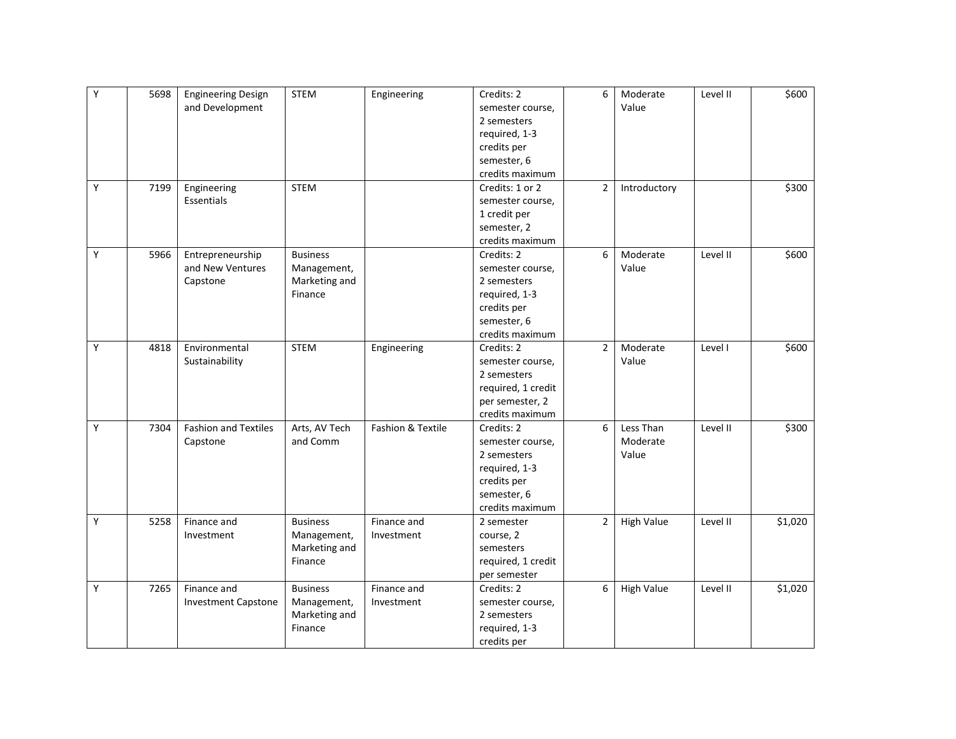| Y | 5698 | <b>Engineering Design</b>   | <b>STEM</b>     | Engineering       | Credits: 2         | 6              | Moderate          | Level II | \$600   |
|---|------|-----------------------------|-----------------|-------------------|--------------------|----------------|-------------------|----------|---------|
|   |      | and Development             |                 |                   | semester course,   |                | Value             |          |         |
|   |      |                             |                 |                   | 2 semesters        |                |                   |          |         |
|   |      |                             |                 |                   | required, 1-3      |                |                   |          |         |
|   |      |                             |                 |                   | credits per        |                |                   |          |         |
|   |      |                             |                 |                   | semester, 6        |                |                   |          |         |
|   |      |                             |                 |                   | credits maximum    |                |                   |          |         |
| Y | 7199 | Engineering                 | <b>STEM</b>     |                   | Credits: 1 or 2    | $\overline{2}$ | Introductory      |          | \$300   |
|   |      | Essentials                  |                 |                   | semester course,   |                |                   |          |         |
|   |      |                             |                 |                   | 1 credit per       |                |                   |          |         |
|   |      |                             |                 |                   | semester, 2        |                |                   |          |         |
|   |      |                             |                 |                   | credits maximum    |                |                   |          |         |
| Υ | 5966 | Entrepreneurship            | <b>Business</b> |                   | Credits: 2         | 6              | Moderate          | Level II | \$600   |
|   |      | and New Ventures            | Management,     |                   | semester course,   |                | Value             |          |         |
|   |      | Capstone                    | Marketing and   |                   | 2 semesters        |                |                   |          |         |
|   |      |                             | Finance         |                   | required, 1-3      |                |                   |          |         |
|   |      |                             |                 |                   | credits per        |                |                   |          |         |
|   |      |                             |                 |                   | semester, 6        |                |                   |          |         |
|   |      |                             |                 |                   | credits maximum    |                |                   |          |         |
| Y | 4818 | Environmental               | <b>STEM</b>     | Engineering       | Credits: 2         | $\overline{2}$ | Moderate          | Level I  | \$600   |
|   |      | Sustainability              |                 |                   | semester course,   |                | Value             |          |         |
|   |      |                             |                 |                   | 2 semesters        |                |                   |          |         |
|   |      |                             |                 |                   | required, 1 credit |                |                   |          |         |
|   |      |                             |                 |                   | per semester, 2    |                |                   |          |         |
|   |      |                             |                 |                   | credits maximum    |                |                   |          |         |
| Υ | 7304 | <b>Fashion and Textiles</b> | Arts, AV Tech   | Fashion & Textile | Credits: 2         | 6              | Less Than         | Level II | \$300   |
|   |      | Capstone                    | and Comm        |                   | semester course,   |                | Moderate          |          |         |
|   |      |                             |                 |                   | 2 semesters        |                | Value             |          |         |
|   |      |                             |                 |                   | required, 1-3      |                |                   |          |         |
|   |      |                             |                 |                   | credits per        |                |                   |          |         |
|   |      |                             |                 |                   | semester, 6        |                |                   |          |         |
|   |      |                             |                 |                   | credits maximum    |                |                   |          |         |
| Y | 5258 | Finance and                 | <b>Business</b> | Finance and       | 2 semester         | $\overline{2}$ | <b>High Value</b> | Level II | \$1,020 |
|   |      | Investment                  | Management,     | Investment        | course, 2          |                |                   |          |         |
|   |      |                             | Marketing and   |                   | semesters          |                |                   |          |         |
|   |      |                             | Finance         |                   | required, 1 credit |                |                   |          |         |
|   |      |                             |                 |                   | per semester       |                |                   |          |         |
| Y | 7265 | Finance and                 | <b>Business</b> | Finance and       | Credits: 2         | 6              | <b>High Value</b> | Level II | \$1,020 |
|   |      | <b>Investment Capstone</b>  | Management,     | Investment        | semester course,   |                |                   |          |         |
|   |      |                             | Marketing and   |                   | 2 semesters        |                |                   |          |         |
|   |      |                             | Finance         |                   | required, 1-3      |                |                   |          |         |
|   |      |                             |                 |                   | credits per        |                |                   |          |         |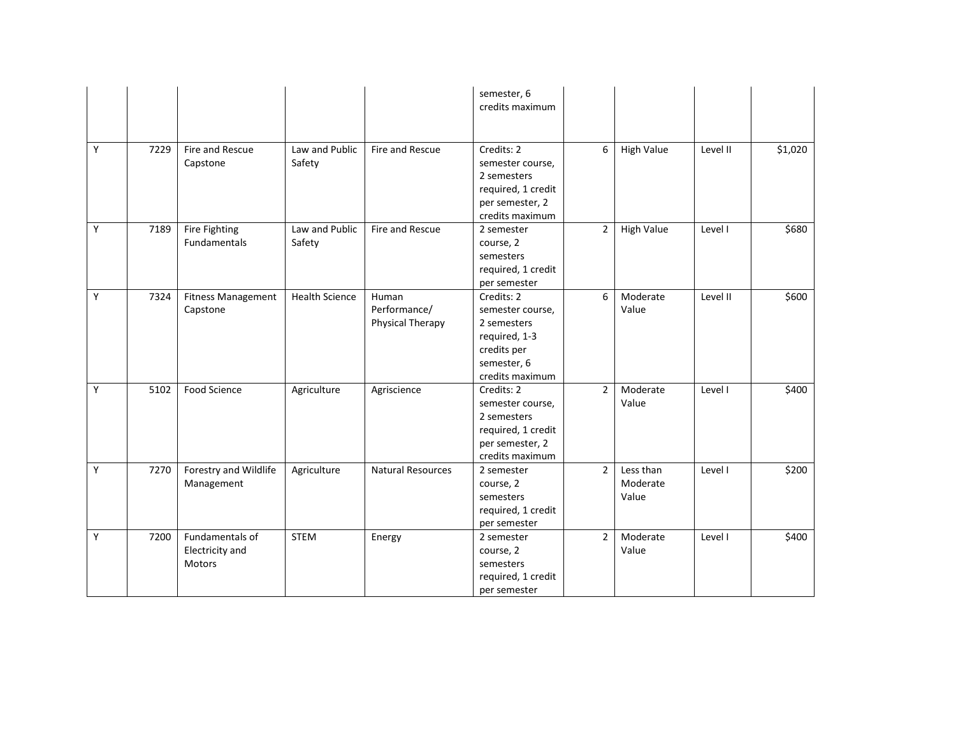|   |      |                                              |                          |                                           | semester, 6<br>credits maximum                                                                                  |                |                                |          |         |
|---|------|----------------------------------------------|--------------------------|-------------------------------------------|-----------------------------------------------------------------------------------------------------------------|----------------|--------------------------------|----------|---------|
| Y | 7229 | Fire and Rescue<br>Capstone                  | Law and Public<br>Safety | Fire and Rescue                           | Credits: 2<br>semester course,<br>2 semesters<br>required, 1 credit<br>per semester, 2<br>credits maximum       | 6              | <b>High Value</b>              | Level II | \$1,020 |
| Y | 7189 | Fire Fighting<br><b>Fundamentals</b>         | Law and Public<br>Safety | Fire and Rescue                           | 2 semester<br>course, 2<br>semesters<br>required, 1 credit<br>per semester                                      | $\overline{2}$ | <b>High Value</b>              | Level I  | \$680   |
| Y | 7324 | <b>Fitness Management</b><br>Capstone        | <b>Health Science</b>    | Human<br>Performance/<br>Physical Therapy | Credits: 2<br>semester course,<br>2 semesters<br>required, 1-3<br>credits per<br>semester, 6<br>credits maximum | 6              | Moderate<br>Value              | Level II | \$600   |
| Y | 5102 | <b>Food Science</b>                          | Agriculture              | Agriscience                               | Credits: 2<br>semester course,<br>2 semesters<br>required, 1 credit<br>per semester, 2<br>credits maximum       | $\overline{2}$ | Moderate<br>Value              | Level I  | \$400   |
| Υ | 7270 | Forestry and Wildlife<br>Management          | Agriculture              | <b>Natural Resources</b>                  | 2 semester<br>course, 2<br>semesters<br>required, 1 credit<br>per semester                                      | $\overline{2}$ | Less than<br>Moderate<br>Value | Level I  | \$200   |
| Y | 7200 | Fundamentals of<br>Electricity and<br>Motors | <b>STEM</b>              | Energy                                    | 2 semester<br>course, 2<br>semesters<br>required, 1 credit<br>per semester                                      | $\overline{2}$ | Moderate<br>Value              | Level I  | \$400   |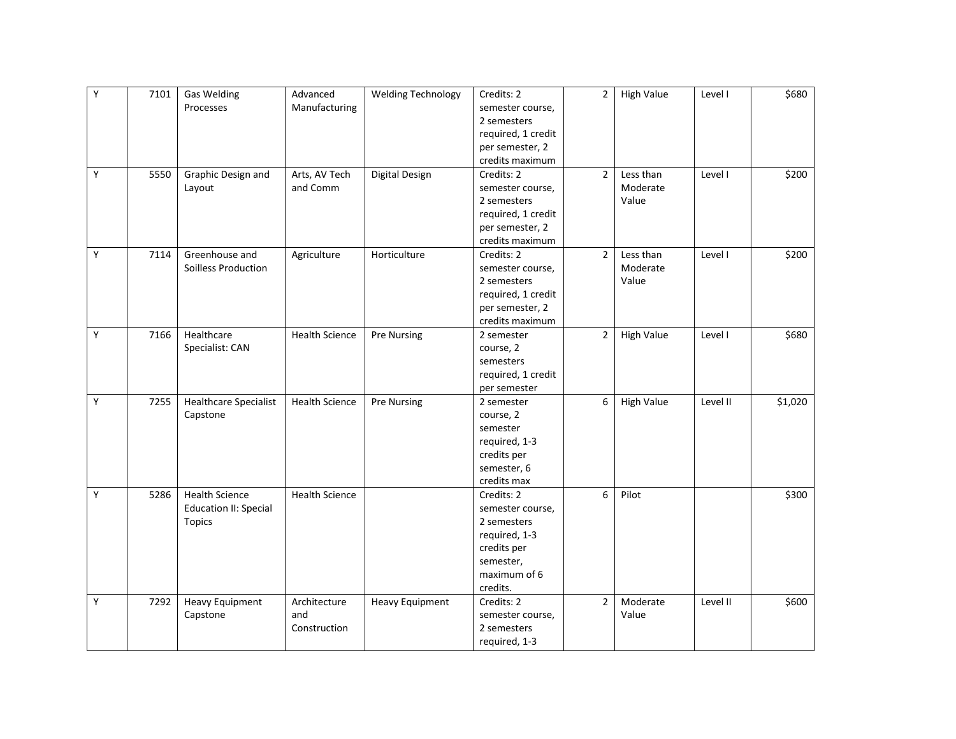| Υ | 7101 | <b>Gas Welding</b>           | Advanced              | <b>Welding Technology</b> | Credits: 2         | $\overline{2}$ | <b>High Value</b> | Level I  | \$680   |
|---|------|------------------------------|-----------------------|---------------------------|--------------------|----------------|-------------------|----------|---------|
|   |      | Processes                    | Manufacturing         |                           | semester course,   |                |                   |          |         |
|   |      |                              |                       |                           | 2 semesters        |                |                   |          |         |
|   |      |                              |                       |                           | required, 1 credit |                |                   |          |         |
|   |      |                              |                       |                           | per semester, 2    |                |                   |          |         |
|   |      |                              |                       |                           | credits maximum    |                |                   |          |         |
| Υ | 5550 | Graphic Design and           | Arts, AV Tech         | Digital Design            | Credits: 2         | $\overline{2}$ | Less than         | Level I  | \$200   |
|   |      | Layout                       | and Comm              |                           | semester course,   |                | Moderate          |          |         |
|   |      |                              |                       |                           | 2 semesters        |                | Value             |          |         |
|   |      |                              |                       |                           | required, 1 credit |                |                   |          |         |
|   |      |                              |                       |                           | per semester, 2    |                |                   |          |         |
|   |      |                              |                       |                           | credits maximum    |                |                   |          |         |
| Υ | 7114 | Greenhouse and               | Agriculture           | Horticulture              | Credits: 2         | $\overline{2}$ | Less than         | Level I  | \$200   |
|   |      | Soilless Production          |                       |                           | semester course,   |                | Moderate          |          |         |
|   |      |                              |                       |                           | 2 semesters        |                | Value             |          |         |
|   |      |                              |                       |                           | required, 1 credit |                |                   |          |         |
|   |      |                              |                       |                           | per semester, 2    |                |                   |          |         |
|   |      |                              |                       |                           | credits maximum    |                |                   |          |         |
| Y | 7166 | Healthcare                   | <b>Health Science</b> | <b>Pre Nursing</b>        | 2 semester         | $\overline{2}$ | <b>High Value</b> | Level I  | \$680   |
|   |      | Specialist: CAN              |                       |                           | course, 2          |                |                   |          |         |
|   |      |                              |                       |                           | semesters          |                |                   |          |         |
|   |      |                              |                       |                           | required, 1 credit |                |                   |          |         |
|   |      |                              |                       |                           | per semester       |                |                   |          |         |
| Υ | 7255 | <b>Healthcare Specialist</b> | <b>Health Science</b> | <b>Pre Nursing</b>        | 2 semester         | 6              | <b>High Value</b> | Level II | \$1,020 |
|   |      | Capstone                     |                       |                           | course, 2          |                |                   |          |         |
|   |      |                              |                       |                           | semester           |                |                   |          |         |
|   |      |                              |                       |                           | required, 1-3      |                |                   |          |         |
|   |      |                              |                       |                           | credits per        |                |                   |          |         |
|   |      |                              |                       |                           | semester, 6        |                |                   |          |         |
|   |      |                              |                       |                           | credits max        |                |                   |          |         |
| Y | 5286 | <b>Health Science</b>        | <b>Health Science</b> |                           | Credits: 2         | 6              | Pilot             |          | \$300   |
|   |      | <b>Education II: Special</b> |                       |                           | semester course,   |                |                   |          |         |
|   |      | <b>Topics</b>                |                       |                           | 2 semesters        |                |                   |          |         |
|   |      |                              |                       |                           | required, 1-3      |                |                   |          |         |
|   |      |                              |                       |                           | credits per        |                |                   |          |         |
|   |      |                              |                       |                           | semester,          |                |                   |          |         |
|   |      |                              |                       |                           | maximum of 6       |                |                   |          |         |
|   |      |                              |                       |                           | credits.           |                |                   |          |         |
| Υ | 7292 | <b>Heavy Equipment</b>       | Architecture          | <b>Heavy Equipment</b>    | Credits: 2         | $\overline{2}$ | Moderate          | Level II | \$600   |
|   |      | Capstone                     | and                   |                           | semester course,   |                | Value             |          |         |
|   |      |                              | Construction          |                           | 2 semesters        |                |                   |          |         |
|   |      |                              |                       |                           | required, 1-3      |                |                   |          |         |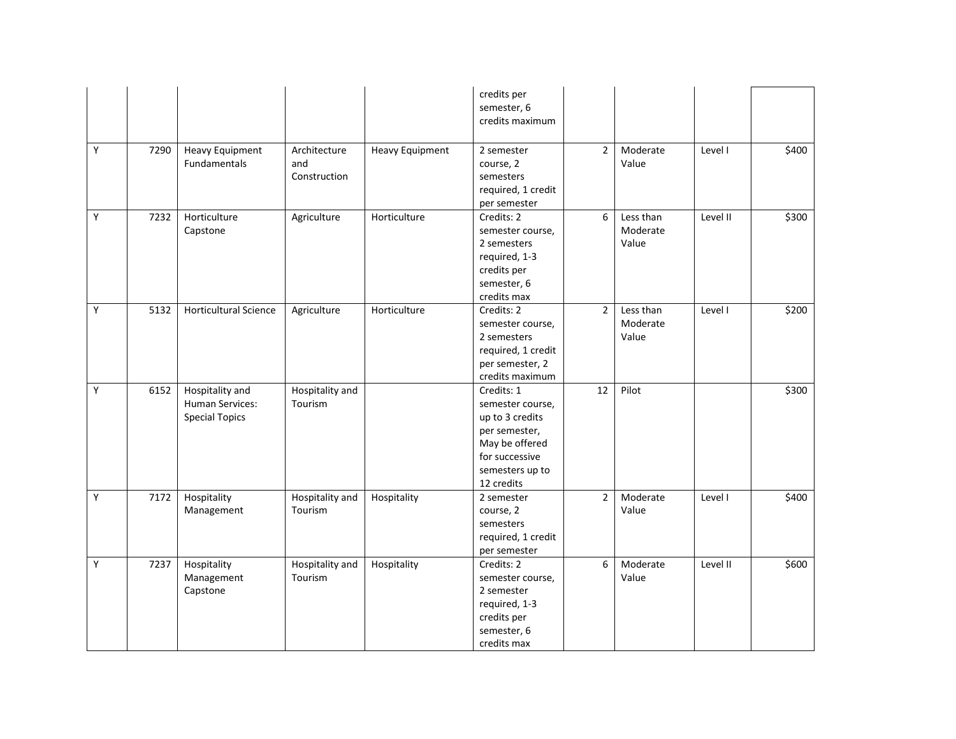|   |      |                                                             |                                     |                        | credits per<br>semester, 6<br>credits maximum                                                                                           |                |                                |          |       |
|---|------|-------------------------------------------------------------|-------------------------------------|------------------------|-----------------------------------------------------------------------------------------------------------------------------------------|----------------|--------------------------------|----------|-------|
| Υ | 7290 | <b>Heavy Equipment</b><br><b>Fundamentals</b>               | Architecture<br>and<br>Construction | <b>Heavy Equipment</b> | 2 semester<br>course, 2<br>semesters<br>required, 1 credit<br>per semester                                                              | $\overline{2}$ | Moderate<br>Value              | Level I  | \$400 |
| Υ | 7232 | Horticulture<br>Capstone                                    | Agriculture                         | Horticulture           | Credits: 2<br>semester course,<br>2 semesters<br>required, 1-3<br>credits per<br>semester, 6<br>credits max                             | 6              | Less than<br>Moderate<br>Value | Level II | \$300 |
| Υ | 5132 | <b>Horticultural Science</b>                                | Agriculture                         | Horticulture           | Credits: 2<br>semester course,<br>2 semesters<br>required, 1 credit<br>per semester, 2<br>credits maximum                               | $\overline{2}$ | Less than<br>Moderate<br>Value | Level I  | \$200 |
| Y | 6152 | Hospitality and<br>Human Services:<br><b>Special Topics</b> | Hospitality and<br>Tourism          |                        | Credits: 1<br>semester course,<br>up to 3 credits<br>per semester,<br>May be offered<br>for successive<br>semesters up to<br>12 credits | 12             | Pilot                          |          | \$300 |
| Y | 7172 | Hospitality<br>Management                                   | Hospitality and<br>Tourism          | Hospitality            | 2 semester<br>course, 2<br>semesters<br>required, 1 credit<br>per semester                                                              | $\overline{2}$ | Moderate<br>Value              | Level I  | \$400 |
| Υ | 7237 | Hospitality<br>Management<br>Capstone                       | Hospitality and<br>Tourism          | Hospitality            | Credits: 2<br>semester course,<br>2 semester<br>required, 1-3<br>credits per<br>semester, 6<br>credits max                              | 6              | Moderate<br>Value              | Level II | \$600 |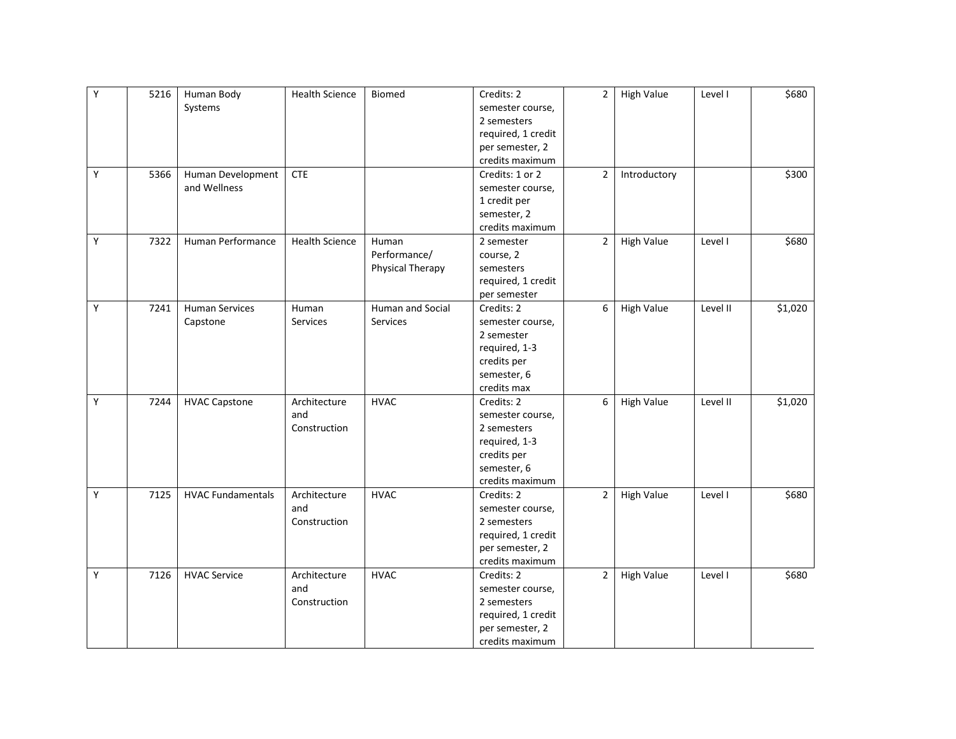| Υ | 5216 | Human Body               | <b>Health Science</b> | Biomed           | Credits: 2         | $\overline{2}$ | <b>High Value</b> | Level I  | \$680   |
|---|------|--------------------------|-----------------------|------------------|--------------------|----------------|-------------------|----------|---------|
|   |      | Systems                  |                       |                  | semester course,   |                |                   |          |         |
|   |      |                          |                       |                  | 2 semesters        |                |                   |          |         |
|   |      |                          |                       |                  | required, 1 credit |                |                   |          |         |
|   |      |                          |                       |                  | per semester, 2    |                |                   |          |         |
|   |      |                          |                       |                  | credits maximum    |                |                   |          |         |
| Y | 5366 | Human Development        | <b>CTE</b>            |                  | Credits: 1 or 2    | $\overline{2}$ | Introductory      |          | \$300   |
|   |      | and Wellness             |                       |                  | semester course,   |                |                   |          |         |
|   |      |                          |                       |                  | 1 credit per       |                |                   |          |         |
|   |      |                          |                       |                  | semester, 2        |                |                   |          |         |
|   |      |                          |                       |                  | credits maximum    |                |                   |          |         |
| Υ | 7322 | Human Performance        | <b>Health Science</b> | Human            | 2 semester         | $\overline{2}$ | <b>High Value</b> | Level I  | \$680   |
|   |      |                          |                       | Performance/     | course, 2          |                |                   |          |         |
|   |      |                          |                       | Physical Therapy | semesters          |                |                   |          |         |
|   |      |                          |                       |                  | required, 1 credit |                |                   |          |         |
|   |      |                          |                       |                  | per semester       |                |                   |          |         |
| Υ | 7241 | <b>Human Services</b>    | Human                 | Human and Social | Credits: 2         | 6              | <b>High Value</b> | Level II | \$1,020 |
|   |      | Capstone                 | Services              | Services         | semester course,   |                |                   |          |         |
|   |      |                          |                       |                  | 2 semester         |                |                   |          |         |
|   |      |                          |                       |                  | required, 1-3      |                |                   |          |         |
|   |      |                          |                       |                  | credits per        |                |                   |          |         |
|   |      |                          |                       |                  | semester, 6        |                |                   |          |         |
|   |      |                          |                       |                  | credits max        |                |                   |          |         |
| Υ | 7244 | <b>HVAC Capstone</b>     | Architecture          | <b>HVAC</b>      | Credits: 2         | 6              | <b>High Value</b> | Level II | \$1,020 |
|   |      |                          | and                   |                  | semester course,   |                |                   |          |         |
|   |      |                          | Construction          |                  | 2 semesters        |                |                   |          |         |
|   |      |                          |                       |                  | required, 1-3      |                |                   |          |         |
|   |      |                          |                       |                  | credits per        |                |                   |          |         |
|   |      |                          |                       |                  | semester, 6        |                |                   |          |         |
|   |      |                          |                       |                  | credits maximum    |                |                   |          |         |
| Υ | 7125 | <b>HVAC Fundamentals</b> | Architecture          | <b>HVAC</b>      | Credits: 2         | $\overline{2}$ | <b>High Value</b> | Level I  | \$680   |
|   |      |                          | and                   |                  | semester course,   |                |                   |          |         |
|   |      |                          | Construction          |                  | 2 semesters        |                |                   |          |         |
|   |      |                          |                       |                  | required, 1 credit |                |                   |          |         |
|   |      |                          |                       |                  | per semester, 2    |                |                   |          |         |
|   |      |                          |                       |                  | credits maximum    |                |                   |          |         |
| Υ | 7126 | <b>HVAC Service</b>      | Architecture          | <b>HVAC</b>      | Credits: 2         | $\overline{2}$ | <b>High Value</b> | Level I  | \$680   |
|   |      |                          | and                   |                  | semester course,   |                |                   |          |         |
|   |      |                          | Construction          |                  | 2 semesters        |                |                   |          |         |
|   |      |                          |                       |                  | required, 1 credit |                |                   |          |         |
|   |      |                          |                       |                  | per semester, 2    |                |                   |          |         |
|   |      |                          |                       |                  | credits maximum    |                |                   |          |         |
|   |      |                          |                       |                  |                    |                |                   |          |         |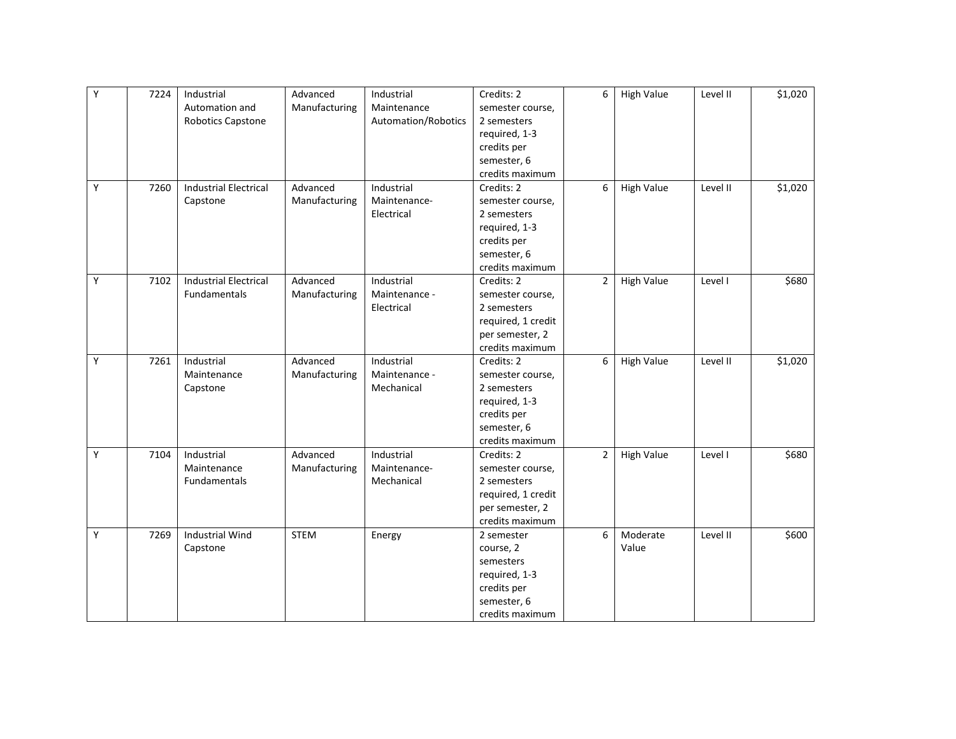| $\overline{Y}$ | 7224 | Industrial                   | Advanced      | Industrial          | Credits: 2         | 6              | <b>High Value</b> | Level II | \$1,020 |
|----------------|------|------------------------------|---------------|---------------------|--------------------|----------------|-------------------|----------|---------|
|                |      | Automation and               | Manufacturing | Maintenance         | semester course,   |                |                   |          |         |
|                |      | Robotics Capstone            |               | Automation/Robotics | 2 semesters        |                |                   |          |         |
|                |      |                              |               |                     | required, 1-3      |                |                   |          |         |
|                |      |                              |               |                     | credits per        |                |                   |          |         |
|                |      |                              |               |                     | semester, 6        |                |                   |          |         |
|                |      |                              |               |                     | credits maximum    |                |                   |          |         |
| Y              | 7260 | <b>Industrial Electrical</b> | Advanced      | Industrial          | Credits: 2         | 6              | <b>High Value</b> | Level II | \$1,020 |
|                |      | Capstone                     | Manufacturing | Maintenance-        | semester course,   |                |                   |          |         |
|                |      |                              |               | Electrical          | 2 semesters        |                |                   |          |         |
|                |      |                              |               |                     | required, 1-3      |                |                   |          |         |
|                |      |                              |               |                     | credits per        |                |                   |          |         |
|                |      |                              |               |                     | semester, 6        |                |                   |          |         |
|                |      |                              |               |                     | credits maximum    |                |                   |          |         |
| Υ              | 7102 | <b>Industrial Electrical</b> | Advanced      | Industrial          | Credits: 2         | $\overline{2}$ | <b>High Value</b> | Level I  | \$680   |
|                |      | Fundamentals                 | Manufacturing | Maintenance -       | semester course,   |                |                   |          |         |
|                |      |                              |               | Electrical          | 2 semesters        |                |                   |          |         |
|                |      |                              |               |                     | required, 1 credit |                |                   |          |         |
|                |      |                              |               |                     | per semester, 2    |                |                   |          |         |
|                |      |                              |               |                     | credits maximum    |                |                   |          |         |
| Y              | 7261 | Industrial                   | Advanced      | Industrial          | Credits: 2         | 6              | <b>High Value</b> | Level II | \$1,020 |
|                |      | Maintenance                  | Manufacturing | Maintenance -       | semester course,   |                |                   |          |         |
|                |      | Capstone                     |               | Mechanical          | 2 semesters        |                |                   |          |         |
|                |      |                              |               |                     | required, 1-3      |                |                   |          |         |
|                |      |                              |               |                     | credits per        |                |                   |          |         |
|                |      |                              |               |                     | semester, 6        |                |                   |          |         |
|                |      |                              |               |                     | credits maximum    |                |                   |          |         |
| Y              | 7104 | Industrial                   | Advanced      | Industrial          | Credits: 2         | $\overline{2}$ | <b>High Value</b> | Level I  | \$680   |
|                |      | Maintenance                  | Manufacturing | Maintenance-        | semester course,   |                |                   |          |         |
|                |      | Fundamentals                 |               | Mechanical          | 2 semesters        |                |                   |          |         |
|                |      |                              |               |                     | required, 1 credit |                |                   |          |         |
|                |      |                              |               |                     | per semester, 2    |                |                   |          |         |
|                |      |                              |               |                     | credits maximum    |                |                   |          |         |
| Y              | 7269 | <b>Industrial Wind</b>       | <b>STEM</b>   | Energy              | 2 semester         | 6              | Moderate          | Level II | \$600   |
|                |      | Capstone                     |               |                     | course, 2          |                | Value             |          |         |
|                |      |                              |               |                     | semesters          |                |                   |          |         |
|                |      |                              |               |                     | required, 1-3      |                |                   |          |         |
|                |      |                              |               |                     | credits per        |                |                   |          |         |
|                |      |                              |               |                     | semester, 6        |                |                   |          |         |
|                |      |                              |               |                     | credits maximum    |                |                   |          |         |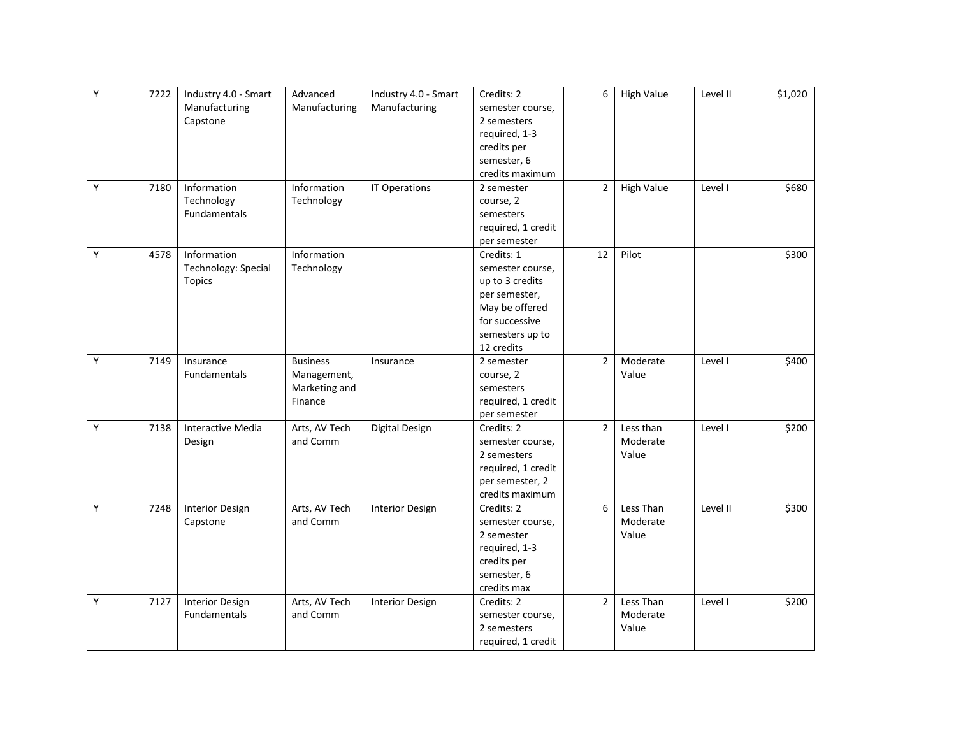| Υ | 7222 | Industry 4.0 - Smart     | Advanced        | Industry 4.0 - Smart   | Credits: 2         | 6              | <b>High Value</b> | Level II | \$1,020 |
|---|------|--------------------------|-----------------|------------------------|--------------------|----------------|-------------------|----------|---------|
|   |      |                          | Manufacturing   |                        |                    |                |                   |          |         |
|   |      | Manufacturing            |                 | Manufacturing          | semester course,   |                |                   |          |         |
|   |      | Capstone                 |                 |                        | 2 semesters        |                |                   |          |         |
|   |      |                          |                 |                        | required, 1-3      |                |                   |          |         |
|   |      |                          |                 |                        | credits per        |                |                   |          |         |
|   |      |                          |                 |                        | semester, 6        |                |                   |          |         |
|   |      |                          |                 |                        | credits maximum    |                |                   |          |         |
| Υ | 7180 | Information              | Information     | IT Operations          | 2 semester         | $\overline{2}$ | <b>High Value</b> | Level I  | \$680   |
|   |      | Technology               | Technology      |                        | course, 2          |                |                   |          |         |
|   |      | Fundamentals             |                 |                        | semesters          |                |                   |          |         |
|   |      |                          |                 |                        | required, 1 credit |                |                   |          |         |
|   |      |                          |                 |                        | per semester       |                |                   |          |         |
| Υ | 4578 | Information              | Information     |                        | Credits: 1         | 12             | Pilot             |          | \$300   |
|   |      | Technology: Special      | Technology      |                        | semester course,   |                |                   |          |         |
|   |      | <b>Topics</b>            |                 |                        | up to 3 credits    |                |                   |          |         |
|   |      |                          |                 |                        | per semester,      |                |                   |          |         |
|   |      |                          |                 |                        | May be offered     |                |                   |          |         |
|   |      |                          |                 |                        | for successive     |                |                   |          |         |
|   |      |                          |                 |                        | semesters up to    |                |                   |          |         |
|   |      |                          |                 |                        | 12 credits         |                |                   |          |         |
| Y | 7149 | Insurance                | <b>Business</b> | Insurance              | 2 semester         | $\overline{2}$ | Moderate          | Level I  | \$400   |
|   |      | Fundamentals             |                 |                        |                    |                | Value             |          |         |
|   |      |                          | Management,     |                        | course, 2          |                |                   |          |         |
|   |      |                          | Marketing and   |                        | semesters          |                |                   |          |         |
|   |      |                          | Finance         |                        | required, 1 credit |                |                   |          |         |
|   |      |                          |                 |                        | per semester       |                |                   |          |         |
| Υ | 7138 | <b>Interactive Media</b> | Arts, AV Tech   | Digital Design         | Credits: 2         | $\overline{2}$ | Less than         | Level I  | \$200   |
|   |      | Design                   | and Comm        |                        | semester course,   |                | Moderate          |          |         |
|   |      |                          |                 |                        | 2 semesters        |                | Value             |          |         |
|   |      |                          |                 |                        | required, 1 credit |                |                   |          |         |
|   |      |                          |                 |                        | per semester, 2    |                |                   |          |         |
|   |      |                          |                 |                        | credits maximum    |                |                   |          |         |
| Y | 7248 | <b>Interior Design</b>   | Arts, AV Tech   | <b>Interior Design</b> | Credits: 2         | 6              | Less Than         | Level II | \$300   |
|   |      | Capstone                 | and Comm        |                        | semester course,   |                | Moderate          |          |         |
|   |      |                          |                 |                        | 2 semester         |                | Value             |          |         |
|   |      |                          |                 |                        | required, 1-3      |                |                   |          |         |
|   |      |                          |                 |                        | credits per        |                |                   |          |         |
|   |      |                          |                 |                        | semester, 6        |                |                   |          |         |
|   |      |                          |                 |                        | credits max        |                |                   |          |         |
| Υ | 7127 | <b>Interior Design</b>   | Arts, AV Tech   | <b>Interior Design</b> | Credits: 2         | $\overline{2}$ | Less Than         | Level I  | \$200   |
|   |      | Fundamentals             | and Comm        |                        | semester course,   |                | Moderate          |          |         |
|   |      |                          |                 |                        | 2 semesters        |                | Value             |          |         |
|   |      |                          |                 |                        | required, 1 credit |                |                   |          |         |
|   |      |                          |                 |                        |                    |                |                   |          |         |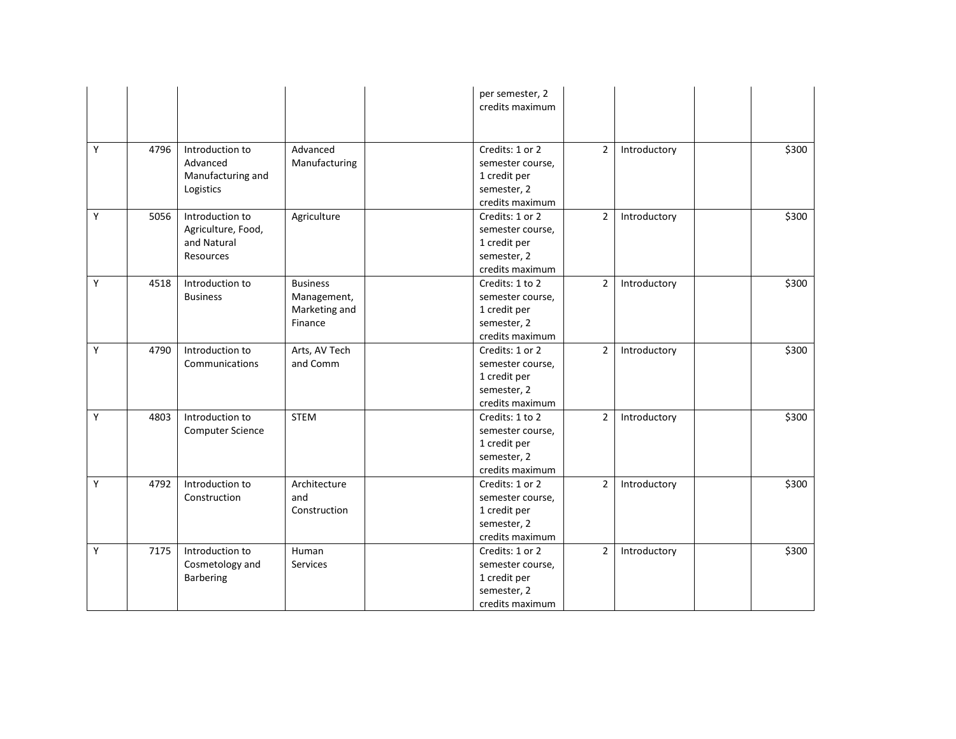|   |      |                                                                   |                                                            | per semester, 2<br>credits maximum                                                    |                |              |       |
|---|------|-------------------------------------------------------------------|------------------------------------------------------------|---------------------------------------------------------------------------------------|----------------|--------------|-------|
| Y | 4796 | Introduction to<br>Advanced<br>Manufacturing and<br>Logistics     | Advanced<br>Manufacturing                                  | Credits: 1 or 2<br>semester course,<br>1 credit per<br>semester, 2<br>credits maximum | $\overline{2}$ | Introductory | \$300 |
| Y | 5056 | Introduction to<br>Agriculture, Food,<br>and Natural<br>Resources | Agriculture                                                | Credits: 1 or 2<br>semester course,<br>1 credit per<br>semester, 2<br>credits maximum | $\overline{2}$ | Introductory | \$300 |
| Υ | 4518 | Introduction to<br><b>Business</b>                                | <b>Business</b><br>Management,<br>Marketing and<br>Finance | Credits: 1 to 2<br>semester course,<br>1 credit per<br>semester, 2<br>credits maximum | $\overline{2}$ | Introductory | \$300 |
| Υ | 4790 | Introduction to<br>Communications                                 | Arts, AV Tech<br>and Comm                                  | Credits: 1 or 2<br>semester course,<br>1 credit per<br>semester, 2<br>credits maximum | $\overline{2}$ | Introductory | \$300 |
| Y | 4803 | Introduction to<br><b>Computer Science</b>                        | <b>STEM</b>                                                | Credits: 1 to 2<br>semester course,<br>1 credit per<br>semester, 2<br>credits maximum | $\overline{2}$ | Introductory | \$300 |
| Υ | 4792 | Introduction to<br>Construction                                   | Architecture<br>and<br>Construction                        | Credits: 1 or 2<br>semester course,<br>1 credit per<br>semester, 2<br>credits maximum | $\overline{2}$ | Introductory | \$300 |
| Υ | 7175 | Introduction to<br>Cosmetology and<br><b>Barbering</b>            | Human<br><b>Services</b>                                   | Credits: 1 or 2<br>semester course,<br>1 credit per<br>semester, 2<br>credits maximum | $\overline{2}$ | Introductory | \$300 |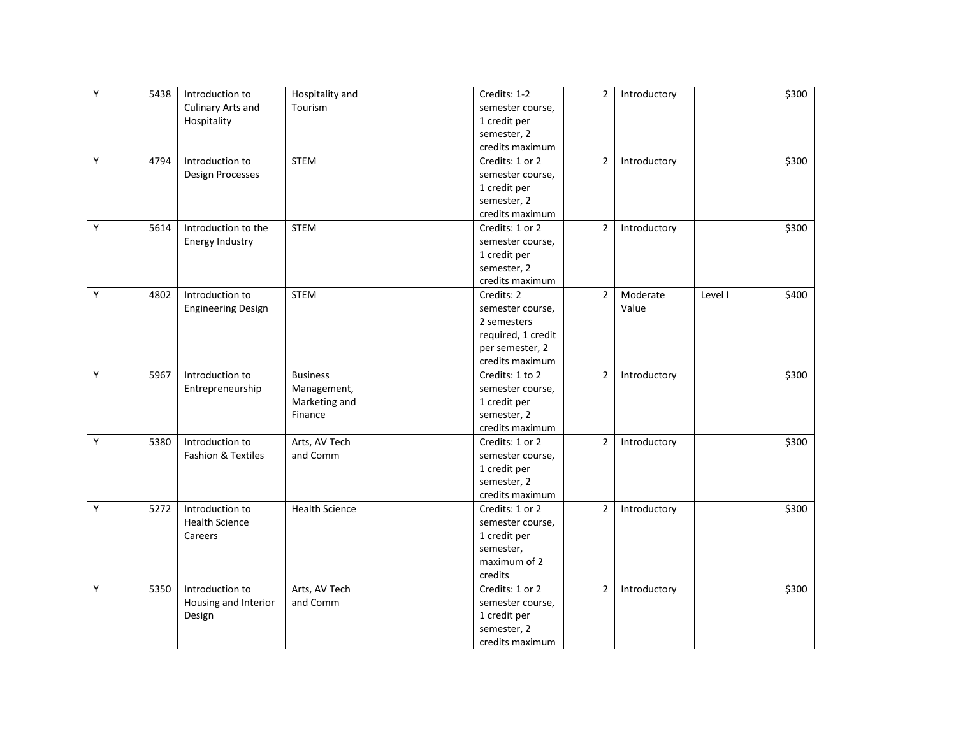| Y | 5438 | Introduction to           | Hospitality and       | Credits: 1-2       | $\overline{2}$ | Introductory |         | \$300 |
|---|------|---------------------------|-----------------------|--------------------|----------------|--------------|---------|-------|
|   |      | Culinary Arts and         | Tourism               | semester course,   |                |              |         |       |
|   |      | Hospitality               |                       | 1 credit per       |                |              |         |       |
|   |      |                           |                       | semester, 2        |                |              |         |       |
|   |      |                           |                       | credits maximum    |                |              |         |       |
| Y | 4794 | Introduction to           | <b>STEM</b>           | Credits: 1 or 2    | $\overline{2}$ | Introductory |         | \$300 |
|   |      | Design Processes          |                       | semester course,   |                |              |         |       |
|   |      |                           |                       | 1 credit per       |                |              |         |       |
|   |      |                           |                       | semester, 2        |                |              |         |       |
|   |      |                           |                       | credits maximum    |                |              |         |       |
| Y | 5614 | Introduction to the       | <b>STEM</b>           | Credits: 1 or 2    | $\overline{2}$ | Introductory |         | \$300 |
|   |      | Energy Industry           |                       | semester course,   |                |              |         |       |
|   |      |                           |                       | 1 credit per       |                |              |         |       |
|   |      |                           |                       | semester, 2        |                |              |         |       |
|   |      |                           |                       | credits maximum    |                |              |         |       |
| Y | 4802 | Introduction to           | <b>STEM</b>           | Credits: 2         | $\overline{2}$ | Moderate     | Level I | \$400 |
|   |      | <b>Engineering Design</b> |                       | semester course,   |                | Value        |         |       |
|   |      |                           |                       | 2 semesters        |                |              |         |       |
|   |      |                           |                       | required, 1 credit |                |              |         |       |
|   |      |                           |                       | per semester, 2    |                |              |         |       |
|   |      |                           |                       | credits maximum    |                |              |         |       |
| Y | 5967 | Introduction to           | <b>Business</b>       | Credits: 1 to 2    | $\overline{2}$ | Introductory |         | \$300 |
|   |      | Entrepreneurship          | Management,           | semester course,   |                |              |         |       |
|   |      |                           | Marketing and         | 1 credit per       |                |              |         |       |
|   |      |                           | Finance               | semester, 2        |                |              |         |       |
|   |      |                           |                       | credits maximum    |                |              |         |       |
| Υ | 5380 | Introduction to           | Arts, AV Tech         | Credits: 1 or 2    | $\overline{2}$ | Introductory |         | \$300 |
|   |      | Fashion & Textiles        | and Comm              | semester course,   |                |              |         |       |
|   |      |                           |                       | 1 credit per       |                |              |         |       |
|   |      |                           |                       | semester, 2        |                |              |         |       |
|   |      |                           |                       | credits maximum    |                |              |         |       |
| Y | 5272 | Introduction to           | <b>Health Science</b> | Credits: 1 or 2    | $\overline{2}$ | Introductory |         | \$300 |
|   |      | <b>Health Science</b>     |                       | semester course,   |                |              |         |       |
|   |      | Careers                   |                       | 1 credit per       |                |              |         |       |
|   |      |                           |                       | semester,          |                |              |         |       |
|   |      |                           |                       | maximum of 2       |                |              |         |       |
|   |      |                           |                       | credits            |                |              |         |       |
| Y | 5350 | Introduction to           | Arts, AV Tech         | Credits: 1 or 2    | $\overline{2}$ | Introductory |         | \$300 |
|   |      | Housing and Interior      | and Comm              | semester course,   |                |              |         |       |
|   |      | Design                    |                       | 1 credit per       |                |              |         |       |
|   |      |                           |                       | semester, 2        |                |              |         |       |
|   |      |                           |                       | credits maximum    |                |              |         |       |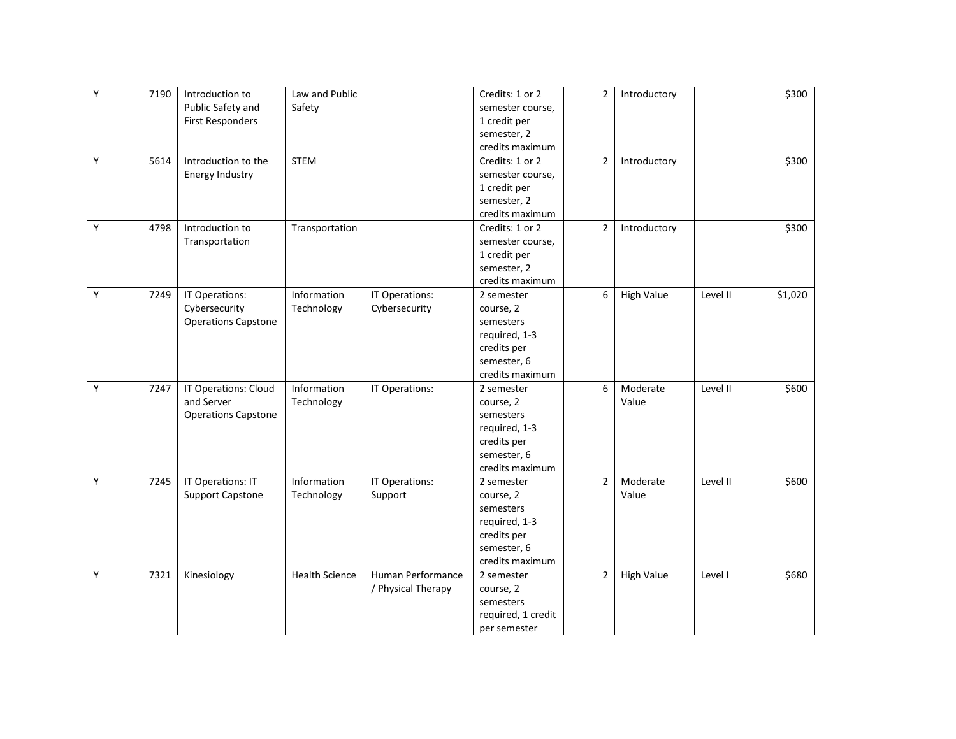| Y | 7190 | Introduction to            | Law and Public        |                    | Credits: 1 or 2    | $\overline{2}$ | Introductory      |          | \$300   |
|---|------|----------------------------|-----------------------|--------------------|--------------------|----------------|-------------------|----------|---------|
|   |      | Public Safety and          | Safety                |                    | semester course,   |                |                   |          |         |
|   |      | <b>First Responders</b>    |                       |                    | 1 credit per       |                |                   |          |         |
|   |      |                            |                       |                    | semester, 2        |                |                   |          |         |
|   |      |                            |                       |                    | credits maximum    |                |                   |          |         |
| Υ | 5614 | Introduction to the        | <b>STEM</b>           |                    | Credits: 1 or 2    | $\overline{2}$ | Introductory      |          | \$300   |
|   |      | Energy Industry            |                       |                    | semester course,   |                |                   |          |         |
|   |      |                            |                       |                    | 1 credit per       |                |                   |          |         |
|   |      |                            |                       |                    | semester, 2        |                |                   |          |         |
|   |      |                            |                       |                    | credits maximum    |                |                   |          |         |
| Y | 4798 | Introduction to            | Transportation        |                    | Credits: 1 or 2    | $\overline{2}$ | Introductory      |          | \$300   |
|   |      | Transportation             |                       |                    | semester course,   |                |                   |          |         |
|   |      |                            |                       |                    | 1 credit per       |                |                   |          |         |
|   |      |                            |                       |                    | semester, 2        |                |                   |          |         |
|   |      |                            |                       |                    | credits maximum    |                |                   |          |         |
| Y | 7249 | IT Operations:             | Information           | IT Operations:     | 2 semester         | 6              | <b>High Value</b> | Level II | \$1,020 |
|   |      | Cybersecurity              | Technology            | Cybersecurity      | course, 2          |                |                   |          |         |
|   |      | <b>Operations Capstone</b> |                       |                    | semesters          |                |                   |          |         |
|   |      |                            |                       |                    | required, 1-3      |                |                   |          |         |
|   |      |                            |                       |                    | credits per        |                |                   |          |         |
|   |      |                            |                       |                    | semester, 6        |                |                   |          |         |
|   |      |                            |                       |                    | credits maximum    |                |                   |          |         |
| Y | 7247 | IT Operations: Cloud       | Information           | IT Operations:     | 2 semester         | 6              | Moderate          | Level II | \$600   |
|   |      | and Server                 | Technology            |                    | course, 2          |                | Value             |          |         |
|   |      | <b>Operations Capstone</b> |                       |                    | semesters          |                |                   |          |         |
|   |      |                            |                       |                    | required, 1-3      |                |                   |          |         |
|   |      |                            |                       |                    | credits per        |                |                   |          |         |
|   |      |                            |                       |                    | semester, 6        |                |                   |          |         |
|   |      |                            |                       |                    | credits maximum    |                |                   |          |         |
| Y | 7245 | IT Operations: IT          | Information           | IT Operations:     | 2 semester         | $\overline{2}$ | Moderate          | Level II | \$600   |
|   |      | <b>Support Capstone</b>    | Technology            | Support            | course, 2          |                | Value             |          |         |
|   |      |                            |                       |                    | semesters          |                |                   |          |         |
|   |      |                            |                       |                    | required, 1-3      |                |                   |          |         |
|   |      |                            |                       |                    | credits per        |                |                   |          |         |
|   |      |                            |                       |                    | semester, 6        |                |                   |          |         |
|   |      |                            |                       |                    | credits maximum    |                |                   |          |         |
| Υ | 7321 | Kinesiology                | <b>Health Science</b> | Human Performance  | 2 semester         | $\overline{2}$ | <b>High Value</b> | Level I  | \$680   |
|   |      |                            |                       | / Physical Therapy | course, 2          |                |                   |          |         |
|   |      |                            |                       |                    | semesters          |                |                   |          |         |
|   |      |                            |                       |                    | required, 1 credit |                |                   |          |         |
|   |      |                            |                       |                    | per semester       |                |                   |          |         |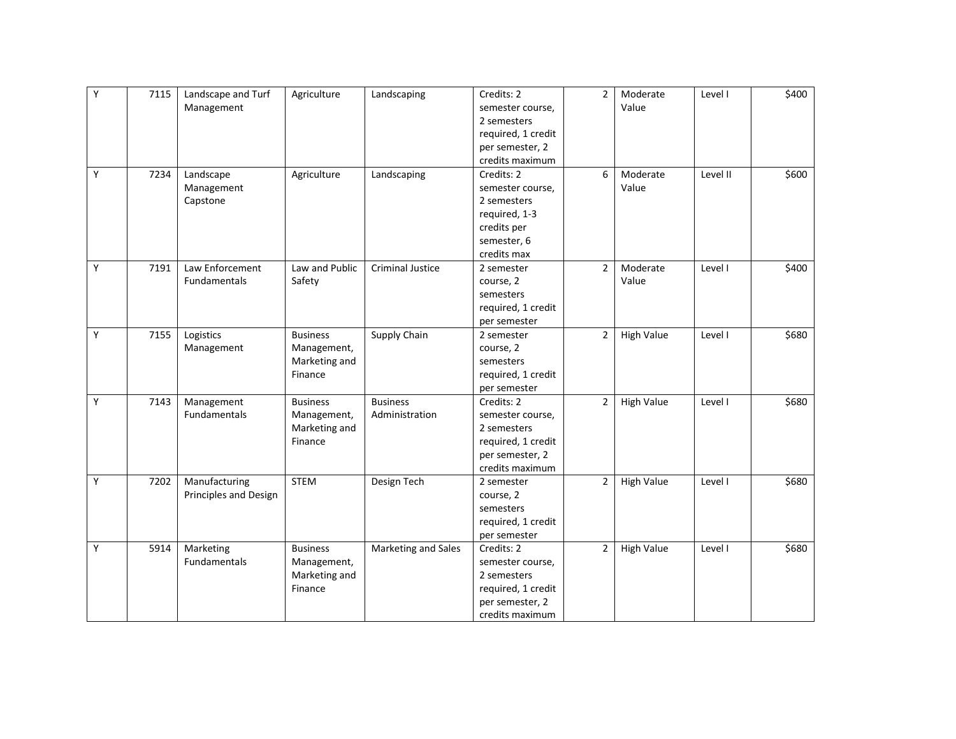| Υ | 7115 | Landscape and Turf    | Agriculture     | Landscaping             | Credits: 2         | $\overline{2}$ | Moderate          | Level I  | \$400 |
|---|------|-----------------------|-----------------|-------------------------|--------------------|----------------|-------------------|----------|-------|
|   |      | Management            |                 |                         | semester course,   |                | Value             |          |       |
|   |      |                       |                 |                         | 2 semesters        |                |                   |          |       |
|   |      |                       |                 |                         | required, 1 credit |                |                   |          |       |
|   |      |                       |                 |                         | per semester, 2    |                |                   |          |       |
|   |      |                       |                 |                         | credits maximum    |                |                   |          |       |
| Y | 7234 | Landscape             | Agriculture     | Landscaping             | Credits: 2         | 6              | Moderate          | Level II | \$600 |
|   |      | Management            |                 |                         | semester course,   |                | Value             |          |       |
|   |      | Capstone              |                 |                         | 2 semesters        |                |                   |          |       |
|   |      |                       |                 |                         | required, 1-3      |                |                   |          |       |
|   |      |                       |                 |                         | credits per        |                |                   |          |       |
|   |      |                       |                 |                         | semester, 6        |                |                   |          |       |
|   |      |                       |                 |                         | credits max        |                |                   |          |       |
| Υ | 7191 | Law Enforcement       | Law and Public  | <b>Criminal Justice</b> | 2 semester         | $\overline{2}$ | Moderate          | Level I  | \$400 |
|   |      | <b>Fundamentals</b>   | Safety          |                         | course, 2          |                | Value             |          |       |
|   |      |                       |                 |                         | semesters          |                |                   |          |       |
|   |      |                       |                 |                         | required, 1 credit |                |                   |          |       |
|   |      |                       |                 |                         | per semester       |                |                   |          |       |
| Y | 7155 | Logistics             | <b>Business</b> | Supply Chain            | 2 semester         | $\overline{2}$ | <b>High Value</b> | Level I  | \$680 |
|   |      | Management            | Management,     |                         | course, 2          |                |                   |          |       |
|   |      |                       | Marketing and   |                         | semesters          |                |                   |          |       |
|   |      |                       | Finance         |                         | required, 1 credit |                |                   |          |       |
|   |      |                       |                 |                         | per semester       |                |                   |          |       |
| Y | 7143 | Management            | <b>Business</b> | <b>Business</b>         | Credits: 2         | $\overline{2}$ | <b>High Value</b> | Level I  | \$680 |
|   |      | Fundamentals          | Management,     | Administration          | semester course,   |                |                   |          |       |
|   |      |                       | Marketing and   |                         | 2 semesters        |                |                   |          |       |
|   |      |                       | Finance         |                         | required, 1 credit |                |                   |          |       |
|   |      |                       |                 |                         | per semester, 2    |                |                   |          |       |
|   |      |                       |                 |                         | credits maximum    |                |                   |          |       |
| Υ | 7202 | Manufacturing         | <b>STEM</b>     | Design Tech             | 2 semester         | $\overline{2}$ | <b>High Value</b> | Level I  | \$680 |
|   |      | Principles and Design |                 |                         | course, 2          |                |                   |          |       |
|   |      |                       |                 |                         | semesters          |                |                   |          |       |
|   |      |                       |                 |                         | required, 1 credit |                |                   |          |       |
|   |      |                       |                 |                         | per semester       |                |                   |          |       |
| Υ | 5914 | Marketing             | <b>Business</b> | Marketing and Sales     | Credits: 2         | $\overline{2}$ | High Value        | Level I  | \$680 |
|   |      | <b>Fundamentals</b>   | Management,     |                         | semester course,   |                |                   |          |       |
|   |      |                       | Marketing and   |                         | 2 semesters        |                |                   |          |       |
|   |      |                       | Finance         |                         | required, 1 credit |                |                   |          |       |
|   |      |                       |                 |                         | per semester, 2    |                |                   |          |       |
|   |      |                       |                 |                         | credits maximum    |                |                   |          |       |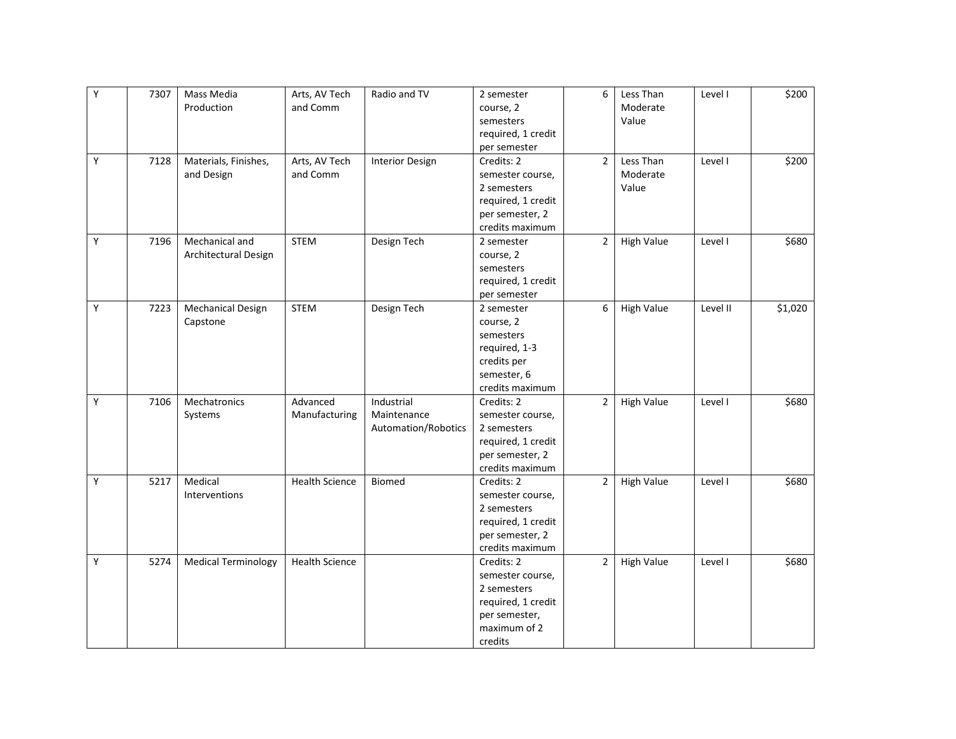| Y | 7307 | Mass Media                 | Arts, AV Tech         | Radio and TV           | 2 semester         | 6              | Less Than         | Level I  | \$200   |
|---|------|----------------------------|-----------------------|------------------------|--------------------|----------------|-------------------|----------|---------|
|   |      | Production                 | and Comm              |                        | course, 2          |                | Moderate          |          |         |
|   |      |                            |                       |                        | semesters          |                | Value             |          |         |
|   |      |                            |                       |                        | required, 1 credit |                |                   |          |         |
|   |      |                            |                       |                        | per semester       |                |                   |          |         |
| Υ | 7128 | Materials, Finishes,       | Arts, AV Tech         | <b>Interior Design</b> | Credits: 2         | $\overline{2}$ | Less Than         | Level I  | \$200   |
|   |      | and Design                 | and Comm              |                        | semester course,   |                | Moderate          |          |         |
|   |      |                            |                       |                        | 2 semesters        |                | Value             |          |         |
|   |      |                            |                       |                        | required, 1 credit |                |                   |          |         |
|   |      |                            |                       |                        | per semester, 2    |                |                   |          |         |
|   |      |                            |                       |                        | credits maximum    |                |                   |          |         |
| Υ | 7196 | Mechanical and             | STEM                  | Design Tech            | 2 semester         | $\overline{2}$ | <b>High Value</b> | Level I  | \$680   |
|   |      | Architectural Design       |                       |                        | course, 2          |                |                   |          |         |
|   |      |                            |                       |                        | semesters          |                |                   |          |         |
|   |      |                            |                       |                        | required, 1 credit |                |                   |          |         |
|   |      |                            |                       |                        | per semester       |                |                   |          |         |
| Υ | 7223 | <b>Mechanical Design</b>   | <b>STEM</b>           | Design Tech            | 2 semester         | 6              | <b>High Value</b> | Level II | \$1,020 |
|   |      | Capstone                   |                       |                        | course, 2          |                |                   |          |         |
|   |      |                            |                       |                        | semesters          |                |                   |          |         |
|   |      |                            |                       |                        | required, 1-3      |                |                   |          |         |
|   |      |                            |                       |                        | credits per        |                |                   |          |         |
|   |      |                            |                       |                        | semester, 6        |                |                   |          |         |
|   |      |                            |                       |                        | credits maximum    |                |                   |          |         |
| Y | 7106 | Mechatronics               | Advanced              | Industrial             | Credits: 2         | $\overline{2}$ | <b>High Value</b> | Level I  | \$680   |
|   |      | Systems                    | Manufacturing         | Maintenance            | semester course,   |                |                   |          |         |
|   |      |                            |                       | Automation/Robotics    | 2 semesters        |                |                   |          |         |
|   |      |                            |                       |                        | required, 1 credit |                |                   |          |         |
|   |      |                            |                       |                        | per semester, 2    |                |                   |          |         |
|   |      |                            |                       |                        | credits maximum    |                |                   |          |         |
| Y | 5217 | Medical                    | <b>Health Science</b> | <b>Biomed</b>          | Credits: 2         | $\overline{2}$ | <b>High Value</b> | Level I  | \$680   |
|   |      | Interventions              |                       |                        | semester course,   |                |                   |          |         |
|   |      |                            |                       |                        | 2 semesters        |                |                   |          |         |
|   |      |                            |                       |                        | required, 1 credit |                |                   |          |         |
|   |      |                            |                       |                        | per semester, 2    |                |                   |          |         |
|   |      |                            |                       |                        | credits maximum    |                |                   |          |         |
| Υ | 5274 | <b>Medical Terminology</b> | <b>Health Science</b> |                        | Credits: 2         | $\overline{2}$ | <b>High Value</b> | Level I  | \$680   |
|   |      |                            |                       |                        | semester course,   |                |                   |          |         |
|   |      |                            |                       |                        | 2 semesters        |                |                   |          |         |
|   |      |                            |                       |                        | required, 1 credit |                |                   |          |         |
|   |      |                            |                       |                        | per semester,      |                |                   |          |         |
|   |      |                            |                       |                        | maximum of 2       |                |                   |          |         |
|   |      |                            |                       |                        | credits            |                |                   |          |         |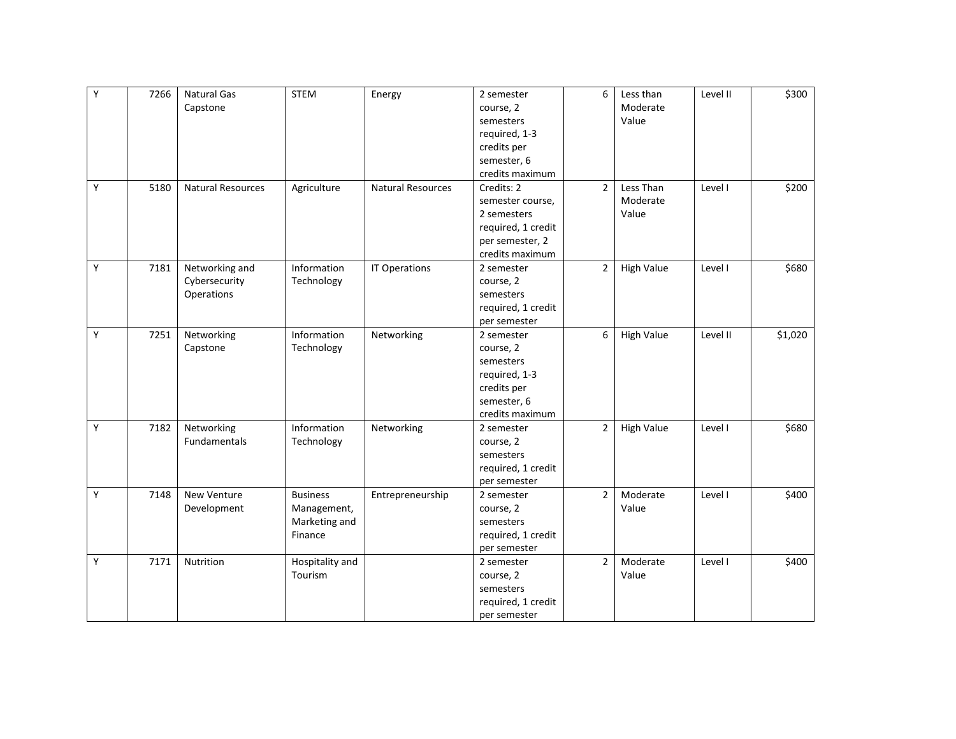| $\overline{Y}$ | 7266 | <b>Natural Gas</b> | <b>STEM</b>     | Energy                   | 2 semester         | 6              | Less than         | Level II | \$300   |
|----------------|------|--------------------|-----------------|--------------------------|--------------------|----------------|-------------------|----------|---------|
|                |      | Capstone           |                 |                          | course, 2          |                | Moderate          |          |         |
|                |      |                    |                 |                          | semesters          |                | Value             |          |         |
|                |      |                    |                 |                          | required, 1-3      |                |                   |          |         |
|                |      |                    |                 |                          | credits per        |                |                   |          |         |
|                |      |                    |                 |                          | semester, 6        |                |                   |          |         |
|                |      |                    |                 |                          | credits maximum    |                |                   |          |         |
| Y              | 5180 | Natural Resources  | Agriculture     | <b>Natural Resources</b> | Credits: 2         | $\overline{2}$ | Less Than         | Level I  | \$200   |
|                |      |                    |                 |                          | semester course,   |                | Moderate          |          |         |
|                |      |                    |                 |                          | 2 semesters        |                | Value             |          |         |
|                |      |                    |                 |                          | required, 1 credit |                |                   |          |         |
|                |      |                    |                 |                          | per semester, 2    |                |                   |          |         |
|                |      |                    |                 |                          | credits maximum    |                |                   |          |         |
| Υ              | 7181 | Networking and     | Information     | IT Operations            | 2 semester         | $\overline{2}$ | <b>High Value</b> | Level I  | \$680   |
|                |      | Cybersecurity      | Technology      |                          | course, 2          |                |                   |          |         |
|                |      | Operations         |                 |                          | semesters          |                |                   |          |         |
|                |      |                    |                 |                          | required, 1 credit |                |                   |          |         |
|                |      |                    |                 |                          | per semester       |                |                   |          |         |
| Y              | 7251 | Networking         | Information     | Networking               | 2 semester         | 6              | High Value        | Level II | \$1,020 |
|                |      | Capstone           | Technology      |                          | course, 2          |                |                   |          |         |
|                |      |                    |                 |                          | semesters          |                |                   |          |         |
|                |      |                    |                 |                          | required, 1-3      |                |                   |          |         |
|                |      |                    |                 |                          | credits per        |                |                   |          |         |
|                |      |                    |                 |                          | semester, 6        |                |                   |          |         |
|                |      |                    |                 |                          | credits maximum    |                |                   |          |         |
| Υ              | 7182 | Networking         | Information     | Networking               | 2 semester         | $\overline{2}$ | <b>High Value</b> | Level I  | \$680   |
|                |      | Fundamentals       | Technology      |                          | course, 2          |                |                   |          |         |
|                |      |                    |                 |                          | semesters          |                |                   |          |         |
|                |      |                    |                 |                          | required, 1 credit |                |                   |          |         |
|                |      |                    |                 |                          | per semester       |                |                   |          |         |
| Υ              | 7148 | New Venture        | <b>Business</b> | Entrepreneurship         | 2 semester         | $\overline{2}$ | Moderate          | Level I  | \$400   |
|                |      | Development        | Management,     |                          | course, 2          |                | Value             |          |         |
|                |      |                    | Marketing and   |                          | semesters          |                |                   |          |         |
|                |      |                    | Finance         |                          | required, 1 credit |                |                   |          |         |
|                |      |                    |                 |                          | per semester       |                |                   |          |         |
| Y              | 7171 | Nutrition          | Hospitality and |                          | 2 semester         | $\overline{2}$ | Moderate          | Level I  | \$400   |
|                |      |                    | Tourism         |                          | course, 2          |                | Value             |          |         |
|                |      |                    |                 |                          | semesters          |                |                   |          |         |
|                |      |                    |                 |                          | required, 1 credit |                |                   |          |         |
|                |      |                    |                 |                          | per semester       |                |                   |          |         |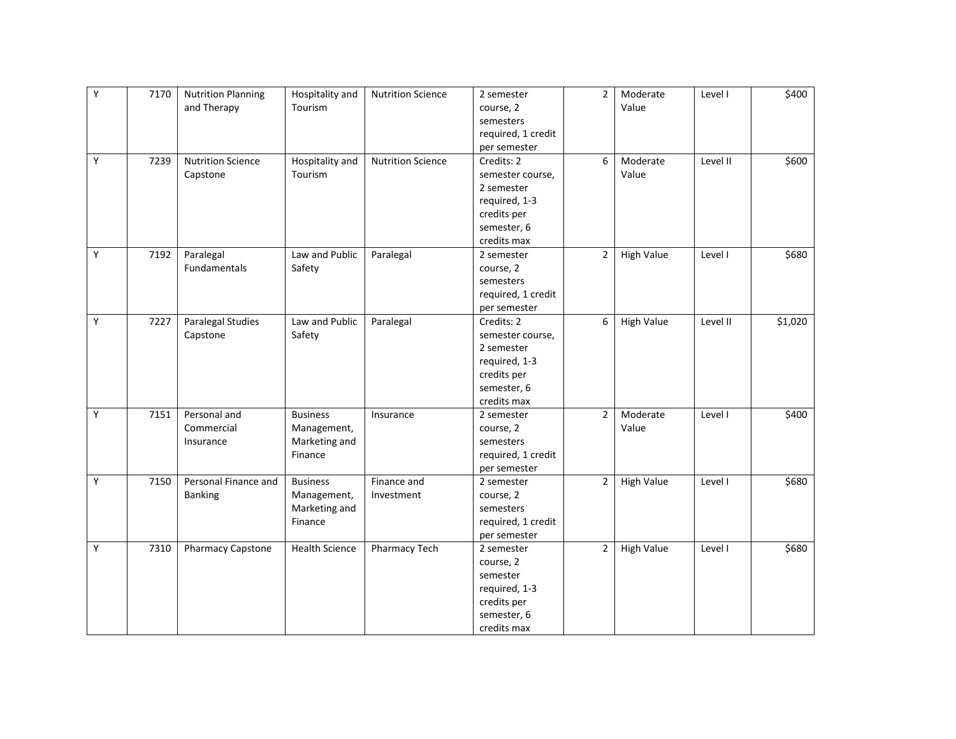| Υ | 7170 | <b>Nutrition Planning</b> | Hospitality and       | <b>Nutrition Science</b> | 2 semester         | $\overline{2}$ | Moderate          | Level I  | \$400   |
|---|------|---------------------------|-----------------------|--------------------------|--------------------|----------------|-------------------|----------|---------|
|   |      | and Therapy               | Tourism               |                          | course, 2          |                | Value             |          |         |
|   |      |                           |                       |                          | semesters          |                |                   |          |         |
|   |      |                           |                       |                          | required, 1 credit |                |                   |          |         |
|   |      |                           |                       |                          | per semester       |                |                   |          |         |
| Y | 7239 | <b>Nutrition Science</b>  | Hospitality and       | <b>Nutrition Science</b> | Credits: 2         | 6              | Moderate          | Level II | \$600   |
|   |      | Capstone                  | Tourism               |                          | semester course,   |                | Value             |          |         |
|   |      |                           |                       |                          | 2 semester         |                |                   |          |         |
|   |      |                           |                       |                          | required, 1-3      |                |                   |          |         |
|   |      |                           |                       |                          | credits per        |                |                   |          |         |
|   |      |                           |                       |                          | semester, 6        |                |                   |          |         |
|   |      |                           |                       |                          | credits max        |                |                   |          |         |
| Υ | 7192 | Paralegal                 | Law and Public        | Paralegal                | 2 semester         | $\overline{2}$ | <b>High Value</b> | Level I  | \$680   |
|   |      | Fundamentals              | Safety                |                          | course, 2          |                |                   |          |         |
|   |      |                           |                       |                          | semesters          |                |                   |          |         |
|   |      |                           |                       |                          | required, 1 credit |                |                   |          |         |
|   |      |                           |                       |                          | per semester       |                |                   |          |         |
| Y | 7227 | <b>Paralegal Studies</b>  | Law and Public        | Paralegal                | Credits: 2         | 6              | <b>High Value</b> | Level II | \$1,020 |
|   |      | Capstone                  | Safety                |                          | semester course,   |                |                   |          |         |
|   |      |                           |                       |                          | 2 semester         |                |                   |          |         |
|   |      |                           |                       |                          | required, 1-3      |                |                   |          |         |
|   |      |                           |                       |                          | credits per        |                |                   |          |         |
|   |      |                           |                       |                          | semester, 6        |                |                   |          |         |
|   |      |                           |                       |                          | credits max        |                |                   |          |         |
| Y | 7151 | Personal and              | <b>Business</b>       | Insurance                | 2 semester         | $\overline{2}$ | Moderate          | Level I  | \$400   |
|   |      | Commercial                | Management,           |                          | course, 2          |                | Value             |          |         |
|   |      | Insurance                 | Marketing and         |                          | semesters          |                |                   |          |         |
|   |      |                           | Finance               |                          | required, 1 credit |                |                   |          |         |
|   |      |                           |                       |                          | per semester       |                |                   |          |         |
| Y | 7150 | Personal Finance and      | <b>Business</b>       | Finance and              | 2 semester         | $\overline{2}$ | <b>High Value</b> | Level I  | \$680   |
|   |      | <b>Banking</b>            | Management,           | Investment               | course, 2          |                |                   |          |         |
|   |      |                           | Marketing and         |                          | semesters          |                |                   |          |         |
|   |      |                           | Finance               |                          | required, 1 credit |                |                   |          |         |
|   |      |                           |                       |                          | per semester       |                |                   |          |         |
| Υ | 7310 | Pharmacy Capstone         | <b>Health Science</b> | Pharmacy Tech            | 2 semester         | $\overline{2}$ | <b>High Value</b> | Level I  | \$680   |
|   |      |                           |                       |                          | course, 2          |                |                   |          |         |
|   |      |                           |                       |                          | semester           |                |                   |          |         |
|   |      |                           |                       |                          | required, 1-3      |                |                   |          |         |
|   |      |                           |                       |                          | credits per        |                |                   |          |         |
|   |      |                           |                       |                          | semester, 6        |                |                   |          |         |
|   |      |                           |                       |                          | credits max        |                |                   |          |         |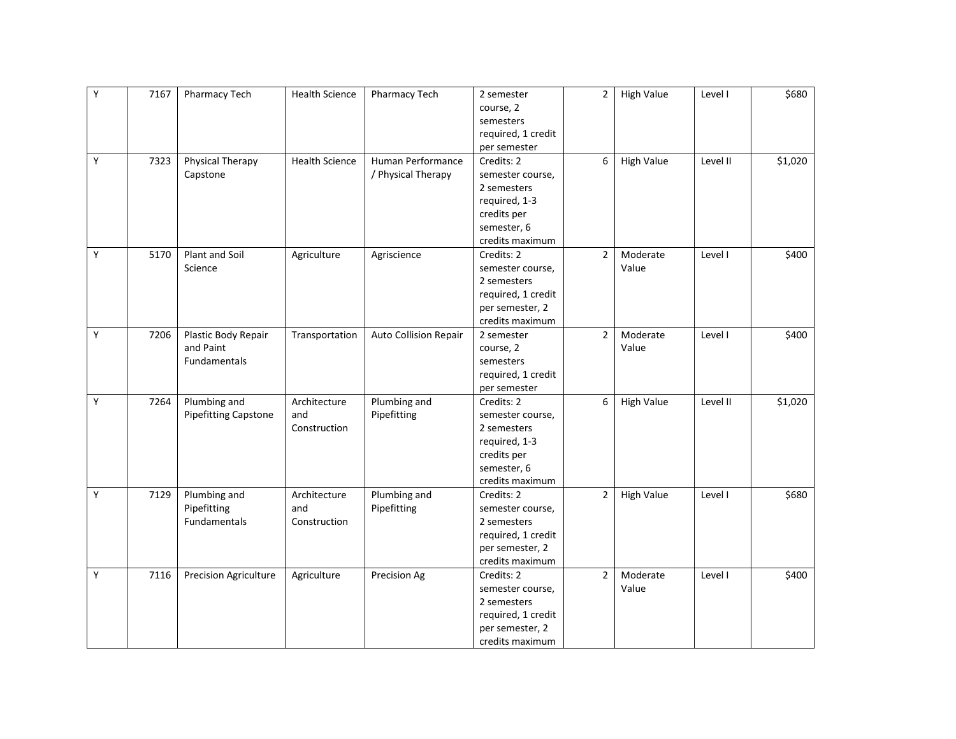| Y | 7167 | Pharmacy Tech                | <b>Health Science</b> | Pharmacy Tech         | 2 semester         | $\overline{2}$ | <b>High Value</b> | Level I  | \$680   |
|---|------|------------------------------|-----------------------|-----------------------|--------------------|----------------|-------------------|----------|---------|
|   |      |                              |                       |                       | course, 2          |                |                   |          |         |
|   |      |                              |                       |                       | semesters          |                |                   |          |         |
|   |      |                              |                       |                       | required, 1 credit |                |                   |          |         |
|   |      |                              |                       |                       | per semester       |                |                   |          |         |
| Y | 7323 | Physical Therapy             | <b>Health Science</b> | Human Performance     | Credits: 2         | 6              | <b>High Value</b> | Level II | \$1,020 |
|   |      | Capstone                     |                       | / Physical Therapy    | semester course,   |                |                   |          |         |
|   |      |                              |                       |                       | 2 semesters        |                |                   |          |         |
|   |      |                              |                       |                       | required, 1-3      |                |                   |          |         |
|   |      |                              |                       |                       | credits per        |                |                   |          |         |
|   |      |                              |                       |                       | semester, 6        |                |                   |          |         |
|   |      |                              |                       |                       | credits maximum    |                |                   |          |         |
| Y | 5170 | Plant and Soil               | Agriculture           | Agriscience           | Credits: 2         | $\overline{2}$ | Moderate          | Level I  | \$400   |
|   |      | Science                      |                       |                       | semester course,   |                | Value             |          |         |
|   |      |                              |                       |                       | 2 semesters        |                |                   |          |         |
|   |      |                              |                       |                       | required, 1 credit |                |                   |          |         |
|   |      |                              |                       |                       | per semester, 2    |                |                   |          |         |
|   |      |                              |                       |                       | credits maximum    |                |                   |          |         |
| Y | 7206 | Plastic Body Repair          | Transportation        | Auto Collision Repair | 2 semester         | $\overline{2}$ | Moderate          | Level I  | \$400   |
|   |      | and Paint                    |                       |                       | course, 2          |                | Value             |          |         |
|   |      | <b>Fundamentals</b>          |                       |                       | semesters          |                |                   |          |         |
|   |      |                              |                       |                       | required, 1 credit |                |                   |          |         |
|   |      |                              |                       |                       | per semester       |                |                   |          |         |
| Y | 7264 | Plumbing and                 | Architecture          | Plumbing and          | Credits: 2         | 6              | <b>High Value</b> | Level II | \$1,020 |
|   |      | <b>Pipefitting Capstone</b>  | and                   | Pipefitting           | semester course,   |                |                   |          |         |
|   |      |                              | Construction          |                       | 2 semesters        |                |                   |          |         |
|   |      |                              |                       |                       | required, 1-3      |                |                   |          |         |
|   |      |                              |                       |                       | credits per        |                |                   |          |         |
|   |      |                              |                       |                       | semester, 6        |                |                   |          |         |
|   |      |                              |                       |                       | credits maximum    |                |                   |          |         |
| Y | 7129 | Plumbing and                 | Architecture          | Plumbing and          | Credits: 2         | $\overline{2}$ | <b>High Value</b> | Level I  | \$680   |
|   |      | Pipefitting                  | and                   | Pipefitting           | semester course,   |                |                   |          |         |
|   |      | <b>Fundamentals</b>          | Construction          |                       | 2 semesters        |                |                   |          |         |
|   |      |                              |                       |                       | required, 1 credit |                |                   |          |         |
|   |      |                              |                       |                       | per semester, 2    |                |                   |          |         |
|   |      |                              |                       |                       | credits maximum    |                |                   |          |         |
| Y | 7116 | <b>Precision Agriculture</b> | Agriculture           | Precision Ag          | Credits: 2         | $\overline{2}$ | Moderate          | Level I  | \$400   |
|   |      |                              |                       |                       | semester course,   |                | Value             |          |         |
|   |      |                              |                       |                       | 2 semesters        |                |                   |          |         |
|   |      |                              |                       |                       | required, 1 credit |                |                   |          |         |
|   |      |                              |                       |                       | per semester, 2    |                |                   |          |         |
|   |      |                              |                       |                       | credits maximum    |                |                   |          |         |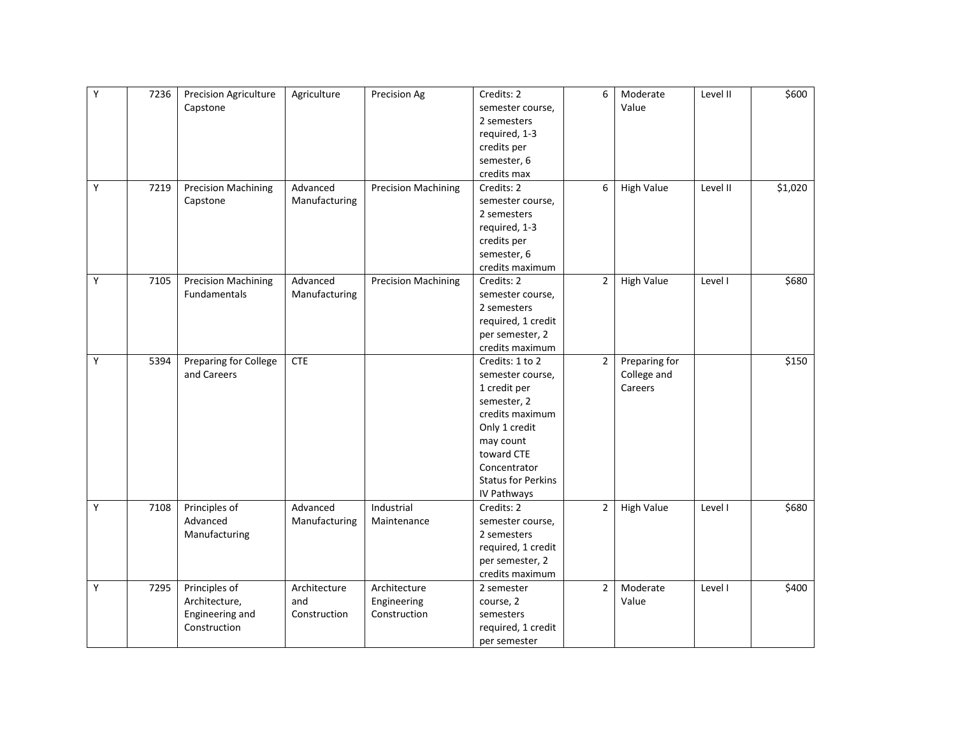| required, 1-3<br>credits per<br>semester, 6<br>credits max<br>Y<br>6<br>\$1,020<br>7219<br><b>Precision Machining</b><br>Advanced<br><b>Precision Machining</b><br>Credits: 2<br><b>High Value</b><br>Level II<br>Capstone<br>Manufacturing<br>semester course,<br>2 semesters<br>required, 1-3<br>credits per<br>semester, 6<br>credits maximum<br>Y<br>$\overline{2}$<br><b>High Value</b><br><b>Precision Machining</b><br>Advanced<br><b>Precision Machining</b><br>\$680<br>7105<br>Credits: 2<br>Level I<br><b>Fundamentals</b><br>Manufacturing<br>semester course,<br>2 semesters<br>required, 1 credit<br>per semester, 2<br>credits maximum<br>Υ<br>Preparing for College<br><b>CTE</b><br>$\overline{2}$<br>Preparing for<br>\$150<br>5394<br>Credits: 1 to 2<br>and Careers<br>College and<br>semester course,<br>Careers<br>1 credit per |
|-------------------------------------------------------------------------------------------------------------------------------------------------------------------------------------------------------------------------------------------------------------------------------------------------------------------------------------------------------------------------------------------------------------------------------------------------------------------------------------------------------------------------------------------------------------------------------------------------------------------------------------------------------------------------------------------------------------------------------------------------------------------------------------------------------------------------------------------------------|
|                                                                                                                                                                                                                                                                                                                                                                                                                                                                                                                                                                                                                                                                                                                                                                                                                                                       |
|                                                                                                                                                                                                                                                                                                                                                                                                                                                                                                                                                                                                                                                                                                                                                                                                                                                       |
|                                                                                                                                                                                                                                                                                                                                                                                                                                                                                                                                                                                                                                                                                                                                                                                                                                                       |
|                                                                                                                                                                                                                                                                                                                                                                                                                                                                                                                                                                                                                                                                                                                                                                                                                                                       |
|                                                                                                                                                                                                                                                                                                                                                                                                                                                                                                                                                                                                                                                                                                                                                                                                                                                       |
|                                                                                                                                                                                                                                                                                                                                                                                                                                                                                                                                                                                                                                                                                                                                                                                                                                                       |
|                                                                                                                                                                                                                                                                                                                                                                                                                                                                                                                                                                                                                                                                                                                                                                                                                                                       |
|                                                                                                                                                                                                                                                                                                                                                                                                                                                                                                                                                                                                                                                                                                                                                                                                                                                       |
|                                                                                                                                                                                                                                                                                                                                                                                                                                                                                                                                                                                                                                                                                                                                                                                                                                                       |
|                                                                                                                                                                                                                                                                                                                                                                                                                                                                                                                                                                                                                                                                                                                                                                                                                                                       |
|                                                                                                                                                                                                                                                                                                                                                                                                                                                                                                                                                                                                                                                                                                                                                                                                                                                       |
|                                                                                                                                                                                                                                                                                                                                                                                                                                                                                                                                                                                                                                                                                                                                                                                                                                                       |
|                                                                                                                                                                                                                                                                                                                                                                                                                                                                                                                                                                                                                                                                                                                                                                                                                                                       |
|                                                                                                                                                                                                                                                                                                                                                                                                                                                                                                                                                                                                                                                                                                                                                                                                                                                       |
|                                                                                                                                                                                                                                                                                                                                                                                                                                                                                                                                                                                                                                                                                                                                                                                                                                                       |
|                                                                                                                                                                                                                                                                                                                                                                                                                                                                                                                                                                                                                                                                                                                                                                                                                                                       |
|                                                                                                                                                                                                                                                                                                                                                                                                                                                                                                                                                                                                                                                                                                                                                                                                                                                       |
|                                                                                                                                                                                                                                                                                                                                                                                                                                                                                                                                                                                                                                                                                                                                                                                                                                                       |
|                                                                                                                                                                                                                                                                                                                                                                                                                                                                                                                                                                                                                                                                                                                                                                                                                                                       |
|                                                                                                                                                                                                                                                                                                                                                                                                                                                                                                                                                                                                                                                                                                                                                                                                                                                       |
| semester, 2                                                                                                                                                                                                                                                                                                                                                                                                                                                                                                                                                                                                                                                                                                                                                                                                                                           |
| credits maximum                                                                                                                                                                                                                                                                                                                                                                                                                                                                                                                                                                                                                                                                                                                                                                                                                                       |
| Only 1 credit                                                                                                                                                                                                                                                                                                                                                                                                                                                                                                                                                                                                                                                                                                                                                                                                                                         |
| may count                                                                                                                                                                                                                                                                                                                                                                                                                                                                                                                                                                                                                                                                                                                                                                                                                                             |
| toward CTE                                                                                                                                                                                                                                                                                                                                                                                                                                                                                                                                                                                                                                                                                                                                                                                                                                            |
| Concentrator                                                                                                                                                                                                                                                                                                                                                                                                                                                                                                                                                                                                                                                                                                                                                                                                                                          |
| <b>Status for Perkins</b>                                                                                                                                                                                                                                                                                                                                                                                                                                                                                                                                                                                                                                                                                                                                                                                                                             |
| IV Pathways                                                                                                                                                                                                                                                                                                                                                                                                                                                                                                                                                                                                                                                                                                                                                                                                                                           |
| Υ<br>Principles of<br>Advanced<br>Industrial<br>$\overline{2}$<br>7108<br>Credits: 2<br><b>High Value</b><br>Level I<br>\$680                                                                                                                                                                                                                                                                                                                                                                                                                                                                                                                                                                                                                                                                                                                         |
| Advanced<br>Manufacturing<br>Maintenance<br>semester course,                                                                                                                                                                                                                                                                                                                                                                                                                                                                                                                                                                                                                                                                                                                                                                                          |
| Manufacturing<br>2 semesters                                                                                                                                                                                                                                                                                                                                                                                                                                                                                                                                                                                                                                                                                                                                                                                                                          |
| required, 1 credit                                                                                                                                                                                                                                                                                                                                                                                                                                                                                                                                                                                                                                                                                                                                                                                                                                    |
| per semester, 2<br>credits maximum                                                                                                                                                                                                                                                                                                                                                                                                                                                                                                                                                                                                                                                                                                                                                                                                                    |
| Υ<br>$\overline{2}$<br>Moderate<br>7295<br>Principles of<br>Architecture<br>Architecture<br>\$400<br>Level I<br>2 semester                                                                                                                                                                                                                                                                                                                                                                                                                                                                                                                                                                                                                                                                                                                            |
| Architecture,<br>Engineering<br>Value<br>and<br>course, 2                                                                                                                                                                                                                                                                                                                                                                                                                                                                                                                                                                                                                                                                                                                                                                                             |
| Engineering and<br>Construction<br>Construction<br>semesters                                                                                                                                                                                                                                                                                                                                                                                                                                                                                                                                                                                                                                                                                                                                                                                          |
| Construction<br>required, 1 credit                                                                                                                                                                                                                                                                                                                                                                                                                                                                                                                                                                                                                                                                                                                                                                                                                    |
| per semester                                                                                                                                                                                                                                                                                                                                                                                                                                                                                                                                                                                                                                                                                                                                                                                                                                          |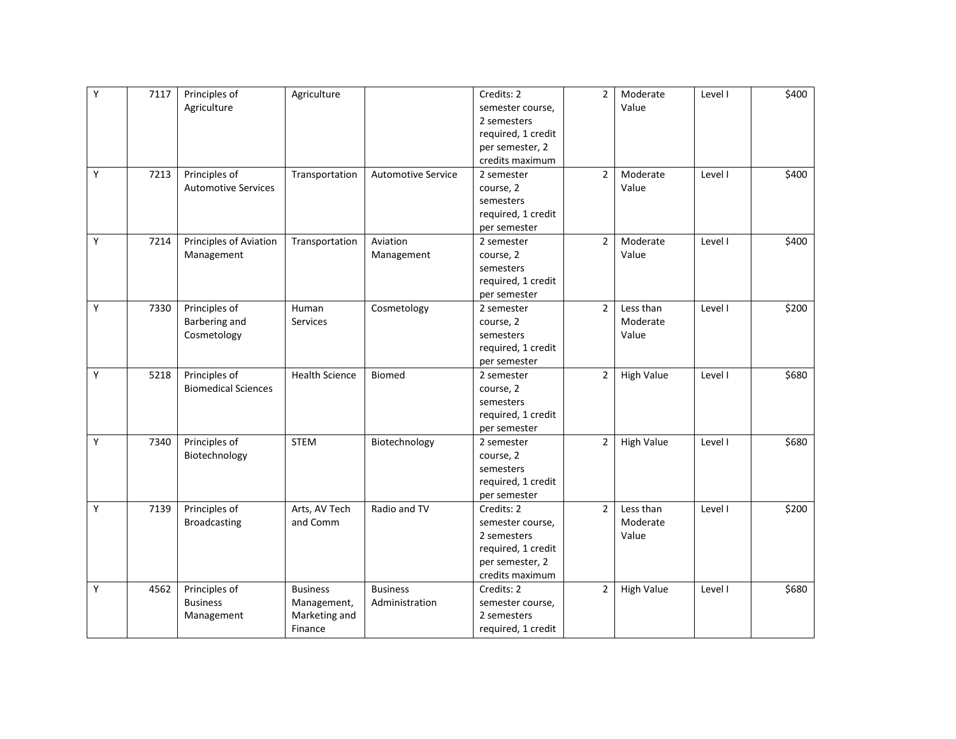| Υ | 7117 | Principles of              | Agriculture           |                           | Credits: 2         | $\overline{2}$ | Moderate          | Level I | \$400 |
|---|------|----------------------------|-----------------------|---------------------------|--------------------|----------------|-------------------|---------|-------|
|   |      | Agriculture                |                       |                           | semester course,   |                | Value             |         |       |
|   |      |                            |                       |                           | 2 semesters        |                |                   |         |       |
|   |      |                            |                       |                           | required, 1 credit |                |                   |         |       |
|   |      |                            |                       |                           | per semester, 2    |                |                   |         |       |
|   |      |                            |                       |                           | credits maximum    |                |                   |         |       |
| Y | 7213 | Principles of              | Transportation        | <b>Automotive Service</b> | 2 semester         | $\overline{2}$ | Moderate          | Level I | \$400 |
|   |      | <b>Automotive Services</b> |                       |                           | course, 2          |                | Value             |         |       |
|   |      |                            |                       |                           | semesters          |                |                   |         |       |
|   |      |                            |                       |                           | required, 1 credit |                |                   |         |       |
|   |      |                            |                       |                           | per semester       |                |                   |         |       |
| Y | 7214 | Principles of Aviation     | Transportation        | Aviation                  | 2 semester         | $\overline{2}$ | Moderate          | Level I | \$400 |
|   |      | Management                 |                       | Management                | course, 2          |                | Value             |         |       |
|   |      |                            |                       |                           | semesters          |                |                   |         |       |
|   |      |                            |                       |                           | required, 1 credit |                |                   |         |       |
|   |      |                            |                       |                           | per semester       |                |                   |         |       |
| Υ | 7330 | Principles of              | Human                 | Cosmetology               | 2 semester         | $\overline{2}$ | Less than         | Level I | \$200 |
|   |      | Barbering and              | <b>Services</b>       |                           | course, 2          |                | Moderate          |         |       |
|   |      | Cosmetology                |                       |                           | semesters          |                | Value             |         |       |
|   |      |                            |                       |                           | required, 1 credit |                |                   |         |       |
|   |      |                            |                       |                           | per semester       |                |                   |         |       |
| Y | 5218 | Principles of              | <b>Health Science</b> | <b>Biomed</b>             | 2 semester         | $\overline{2}$ | <b>High Value</b> | Level I | \$680 |
|   |      | <b>Biomedical Sciences</b> |                       |                           | course, 2          |                |                   |         |       |
|   |      |                            |                       |                           | semesters          |                |                   |         |       |
|   |      |                            |                       |                           | required, 1 credit |                |                   |         |       |
|   |      |                            |                       |                           | per semester       |                |                   |         |       |
| Υ | 7340 | Principles of              | <b>STEM</b>           | Biotechnology             | 2 semester         | $\overline{2}$ | <b>High Value</b> | Level I | \$680 |
|   |      | Biotechnology              |                       |                           | course, 2          |                |                   |         |       |
|   |      |                            |                       |                           | semesters          |                |                   |         |       |
|   |      |                            |                       |                           | required, 1 credit |                |                   |         |       |
|   |      |                            |                       |                           | per semester       |                |                   |         |       |
| Υ | 7139 | Principles of              | Arts, AV Tech         | Radio and TV              | Credits: 2         | $\overline{2}$ | Less than         | Level I | \$200 |
|   |      | <b>Broadcasting</b>        | and Comm              |                           | semester course,   |                | Moderate          |         |       |
|   |      |                            |                       |                           | 2 semesters        |                | Value             |         |       |
|   |      |                            |                       |                           | required, 1 credit |                |                   |         |       |
|   |      |                            |                       |                           | per semester, 2    |                |                   |         |       |
|   |      |                            |                       |                           | credits maximum    |                |                   |         |       |
| Υ | 4562 | Principles of              | <b>Business</b>       | <b>Business</b>           | Credits: 2         | $\overline{2}$ | <b>High Value</b> | Level I | \$680 |
|   |      | <b>Business</b>            | Management,           | Administration            | semester course,   |                |                   |         |       |
|   |      | Management                 | Marketing and         |                           | 2 semesters        |                |                   |         |       |
|   |      |                            | Finance               |                           | required, 1 credit |                |                   |         |       |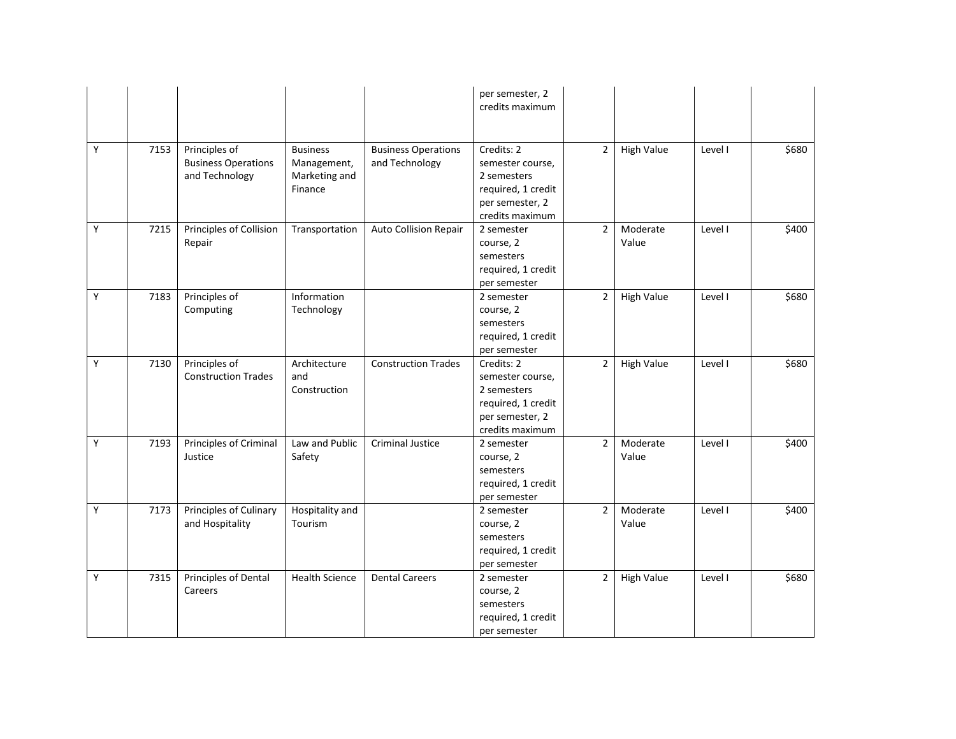|   |      |                                                               |                                                            |                                              | per semester, 2<br>credits maximum                                                                        |                |                   |         |       |
|---|------|---------------------------------------------------------------|------------------------------------------------------------|----------------------------------------------|-----------------------------------------------------------------------------------------------------------|----------------|-------------------|---------|-------|
| Y | 7153 | Principles of<br><b>Business Operations</b><br>and Technology | <b>Business</b><br>Management,<br>Marketing and<br>Finance | <b>Business Operations</b><br>and Technology | Credits: 2<br>semester course,<br>2 semesters<br>required, 1 credit<br>per semester, 2<br>credits maximum | $\overline{2}$ | <b>High Value</b> | Level I | \$680 |
| Y | 7215 | Principles of Collision<br>Repair                             | Transportation                                             | <b>Auto Collision Repair</b>                 | 2 semester<br>course, 2<br>semesters<br>required, 1 credit<br>per semester                                | $\overline{2}$ | Moderate<br>Value | Level I | \$400 |
| Y | 7183 | Principles of<br>Computing                                    | Information<br>Technology                                  |                                              | 2 semester<br>course, 2<br>semesters<br>required, 1 credit<br>per semester                                | $\overline{2}$ | High Value        | Level I | \$680 |
| Y | 7130 | Principles of<br><b>Construction Trades</b>                   | Architecture<br>and<br>Construction                        | <b>Construction Trades</b>                   | Credits: 2<br>semester course,<br>2 semesters<br>required, 1 credit<br>per semester, 2<br>credits maximum | $\overline{2}$ | <b>High Value</b> | Level I | \$680 |
| Y | 7193 | Principles of Criminal<br>Justice                             | Law and Public<br>Safety                                   | <b>Criminal Justice</b>                      | 2 semester<br>course, 2<br>semesters<br>required, 1 credit<br>per semester                                | $\overline{2}$ | Moderate<br>Value | Level I | \$400 |
| Υ | 7173 | Principles of Culinary<br>and Hospitality                     | Hospitality and<br>Tourism                                 |                                              | 2 semester<br>course, 2<br>semesters<br>required, 1 credit<br>per semester                                | $\overline{2}$ | Moderate<br>Value | Level I | \$400 |
| Y | 7315 | Principles of Dental<br>Careers                               | <b>Health Science</b>                                      | <b>Dental Careers</b>                        | 2 semester<br>course, 2<br>semesters<br>required, 1 credit<br>per semester                                | $\overline{2}$ | <b>High Value</b> | Level I | \$680 |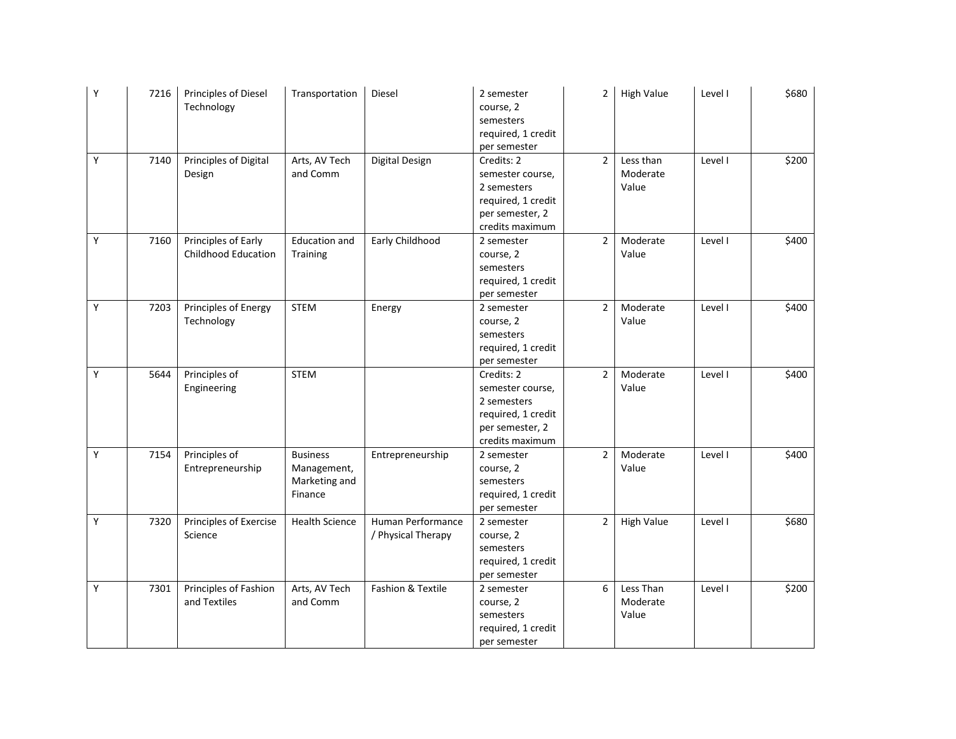| Y | 7216 | Principles of Diesel<br>Technology                | Transportation                                             | Diesel                                  | 2 semester<br>course, 2<br>semesters<br>required, 1 credit<br>per semester                                | $\overline{2}$ | <b>High Value</b>              | Level I | \$680 |
|---|------|---------------------------------------------------|------------------------------------------------------------|-----------------------------------------|-----------------------------------------------------------------------------------------------------------|----------------|--------------------------------|---------|-------|
| Υ | 7140 | Principles of Digital<br>Design                   | Arts, AV Tech<br>and Comm                                  | Digital Design                          | Credits: 2<br>semester course,<br>2 semesters<br>required, 1 credit<br>per semester, 2<br>credits maximum | $\overline{2}$ | Less than<br>Moderate<br>Value | Level I | \$200 |
| Y | 7160 | Principles of Early<br><b>Childhood Education</b> | <b>Education and</b><br>Training                           | Early Childhood                         | 2 semester<br>course, 2<br>semesters<br>required, 1 credit<br>per semester                                | $\overline{2}$ | Moderate<br>Value              | Level I | \$400 |
| Y | 7203 | Principles of Energy<br>Technology                | <b>STEM</b>                                                | Energy                                  | 2 semester<br>course, 2<br>semesters<br>required, 1 credit<br>per semester                                | $\overline{2}$ | Moderate<br>Value              | Level I | \$400 |
| Y | 5644 | Principles of<br>Engineering                      | <b>STEM</b>                                                |                                         | Credits: 2<br>semester course,<br>2 semesters<br>required, 1 credit<br>per semester, 2<br>credits maximum | $\overline{2}$ | Moderate<br>Value              | Level I | \$400 |
| Υ | 7154 | Principles of<br>Entrepreneurship                 | <b>Business</b><br>Management,<br>Marketing and<br>Finance | Entrepreneurship                        | 2 semester<br>course, 2<br>semesters<br>required, 1 credit<br>per semester                                | $\overline{2}$ | Moderate<br>Value              | Level I | \$400 |
| Y | 7320 | Principles of Exercise<br>Science                 | <b>Health Science</b>                                      | Human Performance<br>/ Physical Therapy | 2 semester<br>course, 2<br>semesters<br>required, 1 credit<br>per semester                                | $\overline{2}$ | <b>High Value</b>              | Level I | \$680 |
| Υ | 7301 | Principles of Fashion<br>and Textiles             | Arts, AV Tech<br>and Comm                                  | Fashion & Textile                       | 2 semester<br>course, 2<br>semesters<br>required, 1 credit<br>per semester                                | 6              | Less Than<br>Moderate<br>Value | Level I | \$200 |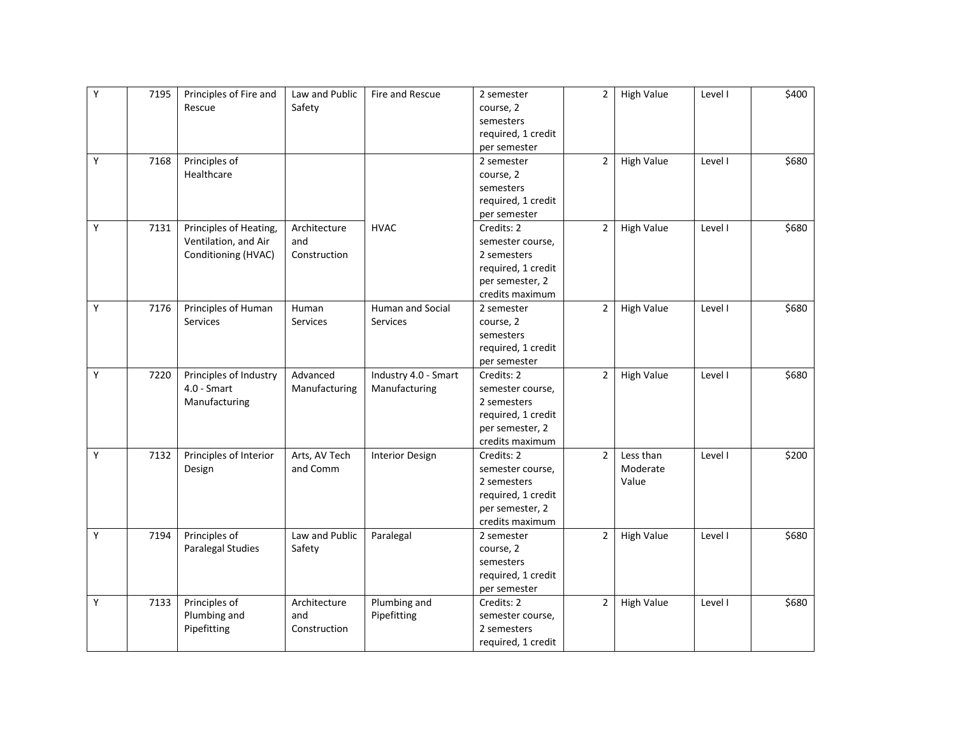| Υ | 7195 | Principles of Fire and | Law and Public | Fire and Rescue        | 2 semester         | $\overline{2}$ | <b>High Value</b> | Level I | \$400 |
|---|------|------------------------|----------------|------------------------|--------------------|----------------|-------------------|---------|-------|
|   |      | Rescue                 | Safety         |                        | course, 2          |                |                   |         |       |
|   |      |                        |                |                        | semesters          |                |                   |         |       |
|   |      |                        |                |                        | required, 1 credit |                |                   |         |       |
|   |      |                        |                |                        | per semester       |                |                   |         |       |
| Υ | 7168 | Principles of          |                |                        | 2 semester         | $\overline{2}$ | <b>High Value</b> | Level I | \$680 |
|   |      | Healthcare             |                |                        | course, 2          |                |                   |         |       |
|   |      |                        |                |                        | semesters          |                |                   |         |       |
|   |      |                        |                |                        | required, 1 credit |                |                   |         |       |
|   |      |                        |                |                        | per semester       |                |                   |         |       |
| Y | 7131 | Principles of Heating, | Architecture   | <b>HVAC</b>            | Credits: 2         | $\overline{2}$ | <b>High Value</b> | Level I | \$680 |
|   |      | Ventilation, and Air   | and            |                        | semester course,   |                |                   |         |       |
|   |      | Conditioning (HVAC)    | Construction   |                        | 2 semesters        |                |                   |         |       |
|   |      |                        |                |                        | required, 1 credit |                |                   |         |       |
|   |      |                        |                |                        | per semester, 2    |                |                   |         |       |
|   |      |                        |                |                        | credits maximum    |                |                   |         |       |
| Υ | 7176 | Principles of Human    | Human          | Human and Social       | 2 semester         | $\overline{2}$ | <b>High Value</b> | Level I | \$680 |
|   |      | Services               | Services       | Services               | course, 2          |                |                   |         |       |
|   |      |                        |                |                        | semesters          |                |                   |         |       |
|   |      |                        |                |                        | required, 1 credit |                |                   |         |       |
|   |      |                        |                |                        | per semester       |                |                   |         |       |
| Y | 7220 | Principles of Industry | Advanced       | Industry 4.0 - Smart   | Credits: 2         | $\overline{2}$ | <b>High Value</b> | Level I | \$680 |
|   |      | $4.0 - S$ mart         | Manufacturing  | Manufacturing          | semester course,   |                |                   |         |       |
|   |      | Manufacturing          |                |                        | 2 semesters        |                |                   |         |       |
|   |      |                        |                |                        | required, 1 credit |                |                   |         |       |
|   |      |                        |                |                        | per semester, 2    |                |                   |         |       |
|   |      |                        |                |                        | credits maximum    |                |                   |         |       |
| Y | 7132 | Principles of Interior | Arts, AV Tech  | <b>Interior Design</b> | Credits: 2         | $\overline{2}$ | Less than         | Level I | \$200 |
|   |      | Design                 | and Comm       |                        | semester course,   |                | Moderate          |         |       |
|   |      |                        |                |                        | 2 semesters        |                | Value             |         |       |
|   |      |                        |                |                        | required, 1 credit |                |                   |         |       |
|   |      |                        |                |                        | per semester, 2    |                |                   |         |       |
|   |      |                        |                |                        | credits maximum    |                |                   |         |       |
| Υ | 7194 | Principles of          | Law and Public | Paralegal              | 2 semester         | $\overline{2}$ | <b>High Value</b> | Level I | \$680 |
|   |      | Paralegal Studies      | Safety         |                        | course, 2          |                |                   |         |       |
|   |      |                        |                |                        | semesters          |                |                   |         |       |
|   |      |                        |                |                        | required, 1 credit |                |                   |         |       |
|   |      |                        |                |                        | per semester       |                |                   |         |       |
| Υ | 7133 | Principles of          | Architecture   | Plumbing and           | Credits: 2         | $\overline{2}$ | <b>High Value</b> | Level I | \$680 |
|   |      | Plumbing and           | and            | Pipefitting            | semester course,   |                |                   |         |       |
|   |      | Pipefitting            | Construction   |                        | 2 semesters        |                |                   |         |       |
|   |      |                        |                |                        | required, 1 credit |                |                   |         |       |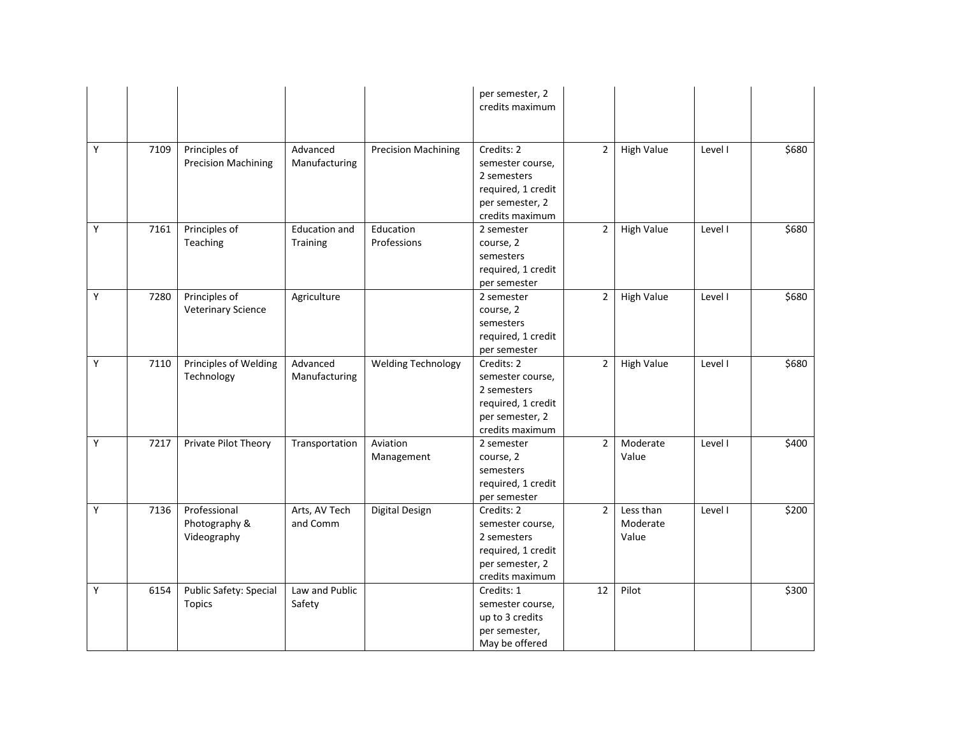|   |      |                                              |                                  |                            | per semester, 2<br>credits maximum                                                                        |                |                                |         |       |
|---|------|----------------------------------------------|----------------------------------|----------------------------|-----------------------------------------------------------------------------------------------------------|----------------|--------------------------------|---------|-------|
| Υ | 7109 | Principles of<br><b>Precision Machining</b>  | Advanced<br>Manufacturing        | <b>Precision Machining</b> | Credits: 2<br>semester course,<br>2 semesters<br>required, 1 credit<br>per semester, 2<br>credits maximum | $\overline{2}$ | <b>High Value</b>              | Level I | \$680 |
| Y | 7161 | Principles of<br>Teaching                    | <b>Education and</b><br>Training | Education<br>Professions   | 2 semester<br>course, 2<br>semesters<br>required, 1 credit<br>per semester                                | $\overline{2}$ | <b>High Value</b>              | Level I | \$680 |
| Y | 7280 | Principles of<br><b>Veterinary Science</b>   | Agriculture                      |                            | 2 semester<br>course, 2<br>semesters<br>required, 1 credit<br>per semester                                | $\overline{2}$ | <b>High Value</b>              | Level I | \$680 |
| Y | 7110 | Principles of Welding<br>Technology          | Advanced<br>Manufacturing        | <b>Welding Technology</b>  | Credits: 2<br>semester course,<br>2 semesters<br>required, 1 credit<br>per semester, 2<br>credits maximum | $\overline{2}$ | <b>High Value</b>              | Level I | \$680 |
| Υ | 7217 | Private Pilot Theory                         | Transportation                   | Aviation<br>Management     | 2 semester<br>course, 2<br>semesters<br>required, 1 credit<br>per semester                                | $\overline{2}$ | Moderate<br>Value              | Level I | \$400 |
| Υ | 7136 | Professional<br>Photography &<br>Videography | Arts, AV Tech<br>and Comm        | Digital Design             | Credits: 2<br>semester course,<br>2 semesters<br>required, 1 credit<br>per semester, 2<br>credits maximum | $\overline{2}$ | Less than<br>Moderate<br>Value | Level I | \$200 |
| Y | 6154 | Public Safety: Special<br><b>Topics</b>      | Law and Public<br>Safety         |                            | Credits: 1<br>semester course,<br>up to 3 credits<br>per semester,<br>May be offered                      | 12             | Pilot                          |         | \$300 |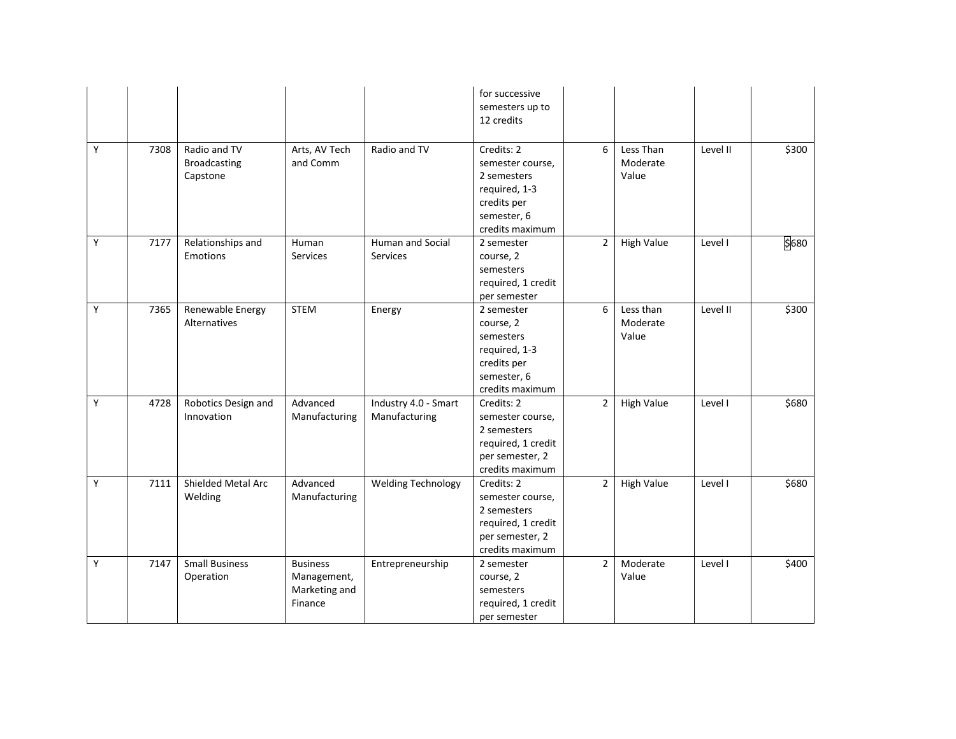|   |      |                                                 |                                                            |                                       | for successive<br>semesters up to<br>12 credits                                                                 |                |                                |          |       |
|---|------|-------------------------------------------------|------------------------------------------------------------|---------------------------------------|-----------------------------------------------------------------------------------------------------------------|----------------|--------------------------------|----------|-------|
| Y | 7308 | Radio and TV<br><b>Broadcasting</b><br>Capstone | Arts, AV Tech<br>and Comm                                  | Radio and TV                          | Credits: 2<br>semester course,<br>2 semesters<br>required, 1-3<br>credits per<br>semester, 6<br>credits maximum | 6              | Less Than<br>Moderate<br>Value | Level II | \$300 |
| Y | 7177 | Relationships and<br><b>Emotions</b>            | Human<br><b>Services</b>                                   | Human and Social<br><b>Services</b>   | 2 semester<br>course, 2<br>semesters<br>required, 1 credit<br>per semester                                      | $\overline{2}$ | <b>High Value</b>              | Level I  | \$680 |
| Y | 7365 | Renewable Energy<br>Alternatives                | <b>STEM</b>                                                | Energy                                | 2 semester<br>course, 2<br>semesters<br>required, 1-3<br>credits per<br>semester, 6<br>credits maximum          | 6              | Less than<br>Moderate<br>Value | Level II | \$300 |
| Υ | 4728 | Robotics Design and<br>Innovation               | Advanced<br>Manufacturing                                  | Industry 4.0 - Smart<br>Manufacturing | Credits: 2<br>semester course,<br>2 semesters<br>required, 1 credit<br>per semester, 2<br>credits maximum       | $\overline{2}$ | <b>High Value</b>              | Level I  | \$680 |
| Υ | 7111 | Shielded Metal Arc<br>Welding                   | Advanced<br>Manufacturing                                  | <b>Welding Technology</b>             | Credits: 2<br>semester course,<br>2 semesters<br>required, 1 credit<br>per semester, 2<br>credits maximum       | $\overline{2}$ | <b>High Value</b>              | Level I  | \$680 |
| Υ | 7147 | <b>Small Business</b><br>Operation              | <b>Business</b><br>Management,<br>Marketing and<br>Finance | Entrepreneurship                      | 2 semester<br>course, 2<br>semesters<br>required, 1 credit<br>per semester                                      | $\overline{2}$ | Moderate<br>Value              | Level I  | \$400 |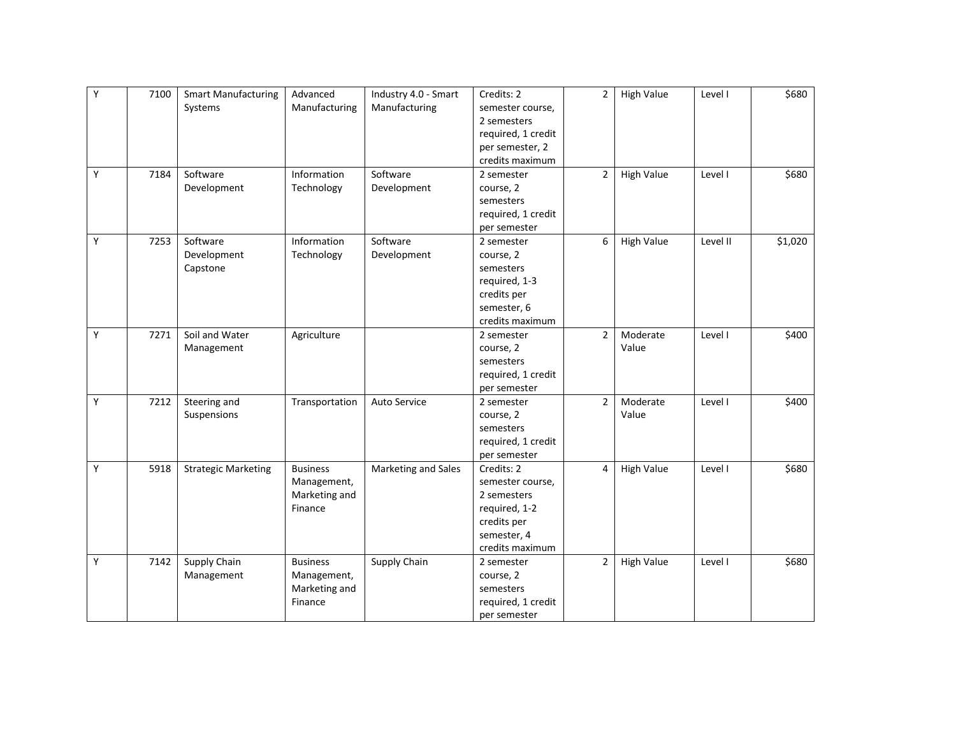| Υ | 7100 | <b>Smart Manufacturing</b> | Advanced        | Industry 4.0 - Smart | Credits: 2         | $\overline{2}$ | <b>High Value</b> | Level I  | \$680   |
|---|------|----------------------------|-----------------|----------------------|--------------------|----------------|-------------------|----------|---------|
|   |      | Systems                    | Manufacturing   | Manufacturing        | semester course,   |                |                   |          |         |
|   |      |                            |                 |                      | 2 semesters        |                |                   |          |         |
|   |      |                            |                 |                      | required, 1 credit |                |                   |          |         |
|   |      |                            |                 |                      | per semester, 2    |                |                   |          |         |
|   |      |                            |                 |                      | credits maximum    |                |                   |          |         |
| Υ | 7184 | Software                   | Information     | Software             | 2 semester         | 2              | <b>High Value</b> | Level I  | \$680   |
|   |      | Development                | Technology      | Development          | course, 2          |                |                   |          |         |
|   |      |                            |                 |                      | semesters          |                |                   |          |         |
|   |      |                            |                 |                      | required, 1 credit |                |                   |          |         |
|   |      |                            |                 |                      | per semester       |                |                   |          |         |
| Υ | 7253 | Software                   | Information     | Software             | 2 semester         | 6              | <b>High Value</b> | Level II | \$1,020 |
|   |      | Development                | Technology      | Development          | course, 2          |                |                   |          |         |
|   |      | Capstone                   |                 |                      | semesters          |                |                   |          |         |
|   |      |                            |                 |                      | required, 1-3      |                |                   |          |         |
|   |      |                            |                 |                      | credits per        |                |                   |          |         |
|   |      |                            |                 |                      | semester, 6        |                |                   |          |         |
|   |      |                            |                 |                      | credits maximum    |                |                   |          |         |
| Y | 7271 | Soil and Water             | Agriculture     |                      | 2 semester         | $\overline{2}$ | Moderate          | Level I  | \$400   |
|   |      | Management                 |                 |                      | course, 2          |                | Value             |          |         |
|   |      |                            |                 |                      | semesters          |                |                   |          |         |
|   |      |                            |                 |                      | required, 1 credit |                |                   |          |         |
|   |      |                            |                 |                      | per semester       |                |                   |          |         |
| Y | 7212 | Steering and               | Transportation  | Auto Service         | 2 semester         | $\overline{2}$ | Moderate          | Level I  | \$400   |
|   |      | Suspensions                |                 |                      | course, 2          |                | Value             |          |         |
|   |      |                            |                 |                      | semesters          |                |                   |          |         |
|   |      |                            |                 |                      | required, 1 credit |                |                   |          |         |
|   |      |                            |                 |                      | per semester       |                |                   |          |         |
| Υ | 5918 | <b>Strategic Marketing</b> | <b>Business</b> | Marketing and Sales  | Credits: 2         | $\overline{4}$ | <b>High Value</b> | Level I  | \$680   |
|   |      |                            | Management,     |                      | semester course,   |                |                   |          |         |
|   |      |                            | Marketing and   |                      | 2 semesters        |                |                   |          |         |
|   |      |                            | Finance         |                      | required, 1-2      |                |                   |          |         |
|   |      |                            |                 |                      | credits per        |                |                   |          |         |
|   |      |                            |                 |                      | semester, 4        |                |                   |          |         |
|   |      |                            |                 |                      | credits maximum    |                |                   |          |         |
| Y | 7142 | Supply Chain               | <b>Business</b> | Supply Chain         | 2 semester         | $\overline{2}$ | <b>High Value</b> | Level I  | \$680   |
|   |      | Management                 | Management,     |                      | course, 2          |                |                   |          |         |
|   |      |                            | Marketing and   |                      | semesters          |                |                   |          |         |
|   |      |                            | Finance         |                      | required, 1 credit |                |                   |          |         |
|   |      |                            |                 |                      | per semester       |                |                   |          |         |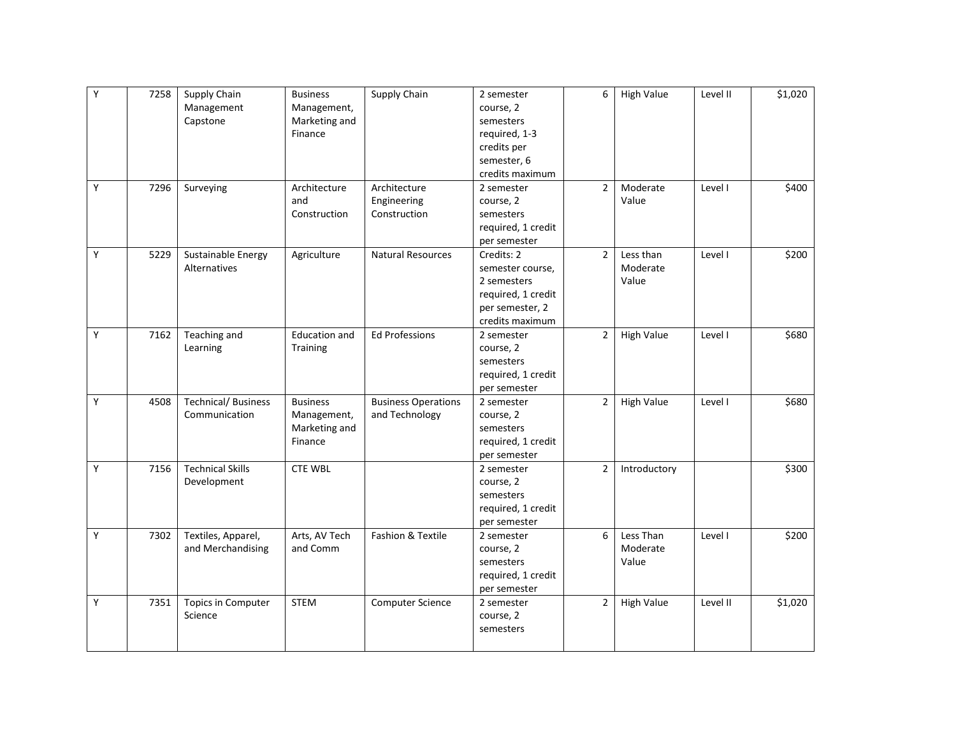| Υ | 7258 | Supply Chain              | <b>Business</b>      | Supply Chain               | 2 semester         | 6              | <b>High Value</b> | Level II | \$1,020 |
|---|------|---------------------------|----------------------|----------------------------|--------------------|----------------|-------------------|----------|---------|
|   |      | Management                | Management,          |                            | course, 2          |                |                   |          |         |
|   |      | Capstone                  | Marketing and        |                            | semesters          |                |                   |          |         |
|   |      |                           | Finance              |                            | required, 1-3      |                |                   |          |         |
|   |      |                           |                      |                            | credits per        |                |                   |          |         |
|   |      |                           |                      |                            | semester, 6        |                |                   |          |         |
|   |      |                           |                      |                            | credits maximum    |                |                   |          |         |
| Υ | 7296 | Surveying                 | Architecture         | Architecture               | 2 semester         | $\overline{2}$ | Moderate          | Level I  | \$400   |
|   |      |                           | and                  | Engineering                | course, 2          |                | Value             |          |         |
|   |      |                           | Construction         | Construction               | semesters          |                |                   |          |         |
|   |      |                           |                      |                            | required, 1 credit |                |                   |          |         |
|   |      |                           |                      |                            | per semester       |                |                   |          |         |
| Υ | 5229 | Sustainable Energy        | Agriculture          | <b>Natural Resources</b>   | Credits: 2         | $\overline{2}$ | Less than         | Level I  | \$200   |
|   |      | Alternatives              |                      |                            | semester course,   |                | Moderate          |          |         |
|   |      |                           |                      |                            | 2 semesters        |                | Value             |          |         |
|   |      |                           |                      |                            | required, 1 credit |                |                   |          |         |
|   |      |                           |                      |                            | per semester, 2    |                |                   |          |         |
|   |      |                           |                      |                            | credits maximum    |                |                   |          |         |
| Υ | 7162 | Teaching and              | <b>Education and</b> | <b>Ed Professions</b>      | 2 semester         | $\overline{2}$ | <b>High Value</b> | Level I  | \$680   |
|   |      | Learning                  | Training             |                            | course, 2          |                |                   |          |         |
|   |      |                           |                      |                            | semesters          |                |                   |          |         |
|   |      |                           |                      |                            | required, 1 credit |                |                   |          |         |
|   |      |                           |                      |                            | per semester       |                |                   |          |         |
| Y | 4508 | <b>Technical/Business</b> | <b>Business</b>      | <b>Business Operations</b> | 2 semester         | $\overline{2}$ | <b>High Value</b> | Level I  | \$680   |
|   |      | Communication             | Management,          | and Technology             | course, 2          |                |                   |          |         |
|   |      |                           | Marketing and        |                            | semesters          |                |                   |          |         |
|   |      |                           | Finance              |                            | required, 1 credit |                |                   |          |         |
|   |      |                           |                      |                            | per semester       |                |                   |          |         |
| Y | 7156 | <b>Technical Skills</b>   | <b>CTE WBL</b>       |                            | 2 semester         | $\overline{2}$ | Introductory      |          | \$300   |
|   |      | Development               |                      |                            | course, 2          |                |                   |          |         |
|   |      |                           |                      |                            | semesters          |                |                   |          |         |
|   |      |                           |                      |                            | required, 1 credit |                |                   |          |         |
|   |      |                           |                      |                            | per semester       |                |                   |          |         |
| Υ | 7302 | Textiles, Apparel,        | Arts, AV Tech        | Fashion & Textile          | 2 semester         | 6              | Less Than         | Level I  | \$200   |
|   |      | and Merchandising         | and Comm             |                            | course, 2          |                | Moderate          |          |         |
|   |      |                           |                      |                            | semesters          |                | Value             |          |         |
|   |      |                           |                      |                            | required, 1 credit |                |                   |          |         |
|   |      |                           |                      |                            | per semester       |                |                   |          |         |
| Υ | 7351 | Topics in Computer        | <b>STEM</b>          | Computer Science           | 2 semester         | $\overline{2}$ | <b>High Value</b> | Level II | \$1,020 |
|   |      | Science                   |                      |                            | course, 2          |                |                   |          |         |
|   |      |                           |                      |                            | semesters          |                |                   |          |         |
|   |      |                           |                      |                            |                    |                |                   |          |         |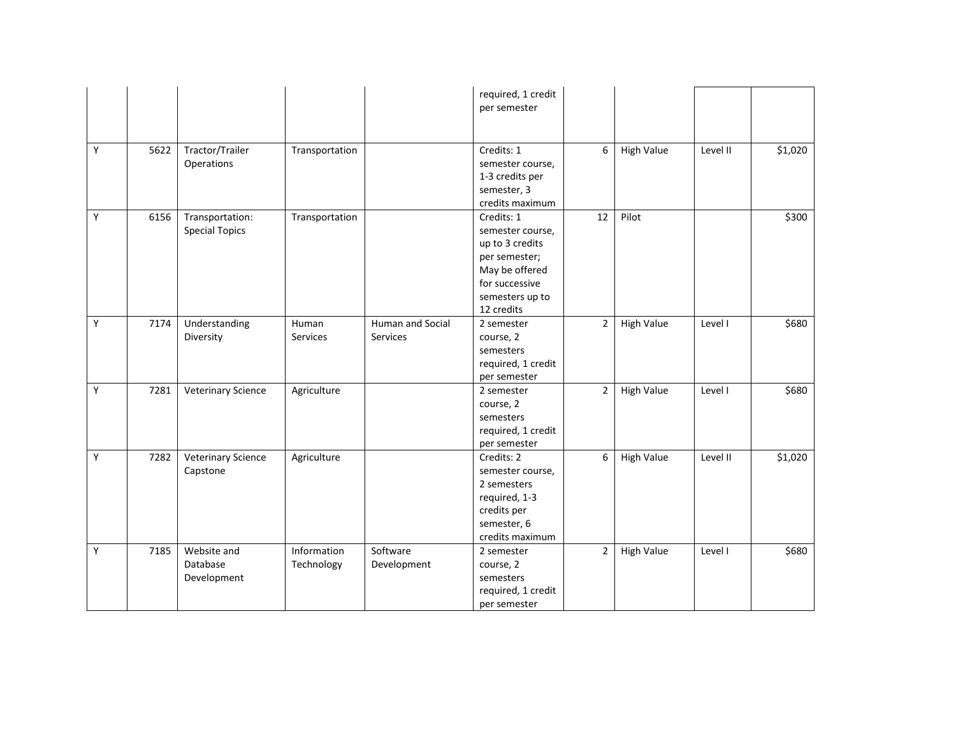|   |      |                                          |                           |                              | required, 1 credit<br>per semester                                                                                                      |                |                   |          |         |
|---|------|------------------------------------------|---------------------------|------------------------------|-----------------------------------------------------------------------------------------------------------------------------------------|----------------|-------------------|----------|---------|
| Y | 5622 | Tractor/Trailer<br>Operations            | Transportation            |                              | Credits: 1<br>semester course,<br>1-3 credits per<br>semester, 3<br>credits maximum                                                     | 6              | <b>High Value</b> | Level II | \$1,020 |
| Y | 6156 | Transportation:<br><b>Special Topics</b> | Transportation            |                              | Credits: 1<br>semester course,<br>up to 3 credits<br>per semester;<br>May be offered<br>for successive<br>semesters up to<br>12 credits | 12             | Pilot             |          | \$300   |
| Y | 7174 | Understanding<br>Diversity               | Human<br>Services         | Human and Social<br>Services | 2 semester<br>course, 2<br>semesters<br>required, 1 credit<br>per semester                                                              | $\overline{2}$ | <b>High Value</b> | Level I  | \$680   |
| Υ | 7281 | <b>Veterinary Science</b>                | Agriculture               |                              | 2 semester<br>course, 2<br>semesters<br>required, 1 credit<br>per semester                                                              | $\overline{2}$ | <b>High Value</b> | Level I  | \$680   |
| Υ | 7282 | <b>Veterinary Science</b><br>Capstone    | Agriculture               |                              | Credits: 2<br>semester course,<br>2 semesters<br>required, 1-3<br>credits per<br>semester, 6<br>credits maximum                         | 6              | <b>High Value</b> | Level II | \$1,020 |
| Υ | 7185 | Website and<br>Database<br>Development   | Information<br>Technology | Software<br>Development      | 2 semester<br>course, 2<br>semesters<br>required, 1 credit<br>per semester                                                              | $\overline{2}$ | <b>High Value</b> | Level I  | \$680   |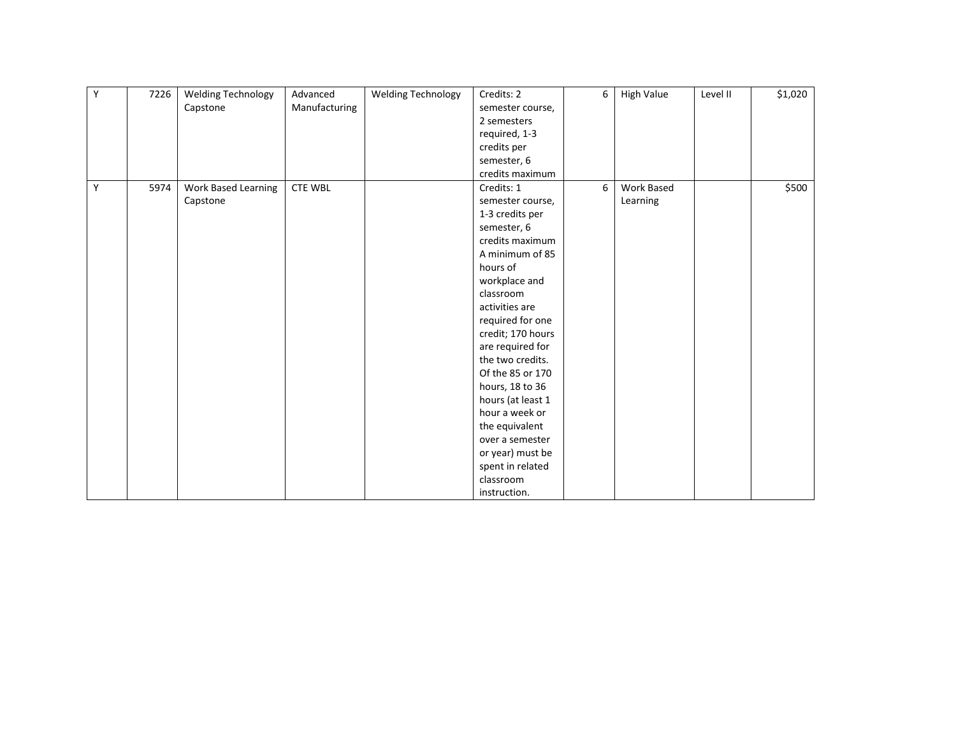| Υ | 7226 | <b>Welding Technology</b> | Advanced       | <b>Welding Technology</b> | Credits: 2        | 6 | <b>High Value</b> | Level II | \$1,020 |
|---|------|---------------------------|----------------|---------------------------|-------------------|---|-------------------|----------|---------|
|   |      | Capstone                  | Manufacturing  |                           | semester course,  |   |                   |          |         |
|   |      |                           |                |                           | 2 semesters       |   |                   |          |         |
|   |      |                           |                |                           | required, 1-3     |   |                   |          |         |
|   |      |                           |                |                           | credits per       |   |                   |          |         |
|   |      |                           |                |                           | semester, 6       |   |                   |          |         |
|   |      |                           |                |                           | credits maximum   |   |                   |          |         |
| Y | 5974 | Work Based Learning       | <b>CTE WBL</b> |                           | Credits: 1        | 6 | Work Based        |          | \$500   |
|   |      | Capstone                  |                |                           | semester course,  |   | Learning          |          |         |
|   |      |                           |                |                           | 1-3 credits per   |   |                   |          |         |
|   |      |                           |                |                           | semester, 6       |   |                   |          |         |
|   |      |                           |                |                           | credits maximum   |   |                   |          |         |
|   |      |                           |                |                           | A minimum of 85   |   |                   |          |         |
|   |      |                           |                |                           | hours of          |   |                   |          |         |
|   |      |                           |                |                           | workplace and     |   |                   |          |         |
|   |      |                           |                |                           | classroom         |   |                   |          |         |
|   |      |                           |                |                           | activities are    |   |                   |          |         |
|   |      |                           |                |                           | required for one  |   |                   |          |         |
|   |      |                           |                |                           | credit; 170 hours |   |                   |          |         |
|   |      |                           |                |                           | are required for  |   |                   |          |         |
|   |      |                           |                |                           | the two credits.  |   |                   |          |         |
|   |      |                           |                |                           | Of the 85 or 170  |   |                   |          |         |
|   |      |                           |                |                           | hours, 18 to 36   |   |                   |          |         |
|   |      |                           |                |                           | hours (at least 1 |   |                   |          |         |
|   |      |                           |                |                           | hour a week or    |   |                   |          |         |
|   |      |                           |                |                           | the equivalent    |   |                   |          |         |
|   |      |                           |                |                           | over a semester   |   |                   |          |         |
|   |      |                           |                |                           | or year) must be  |   |                   |          |         |
|   |      |                           |                |                           | spent in related  |   |                   |          |         |
|   |      |                           |                |                           | classroom         |   |                   |          |         |
|   |      |                           |                |                           | instruction.      |   |                   |          |         |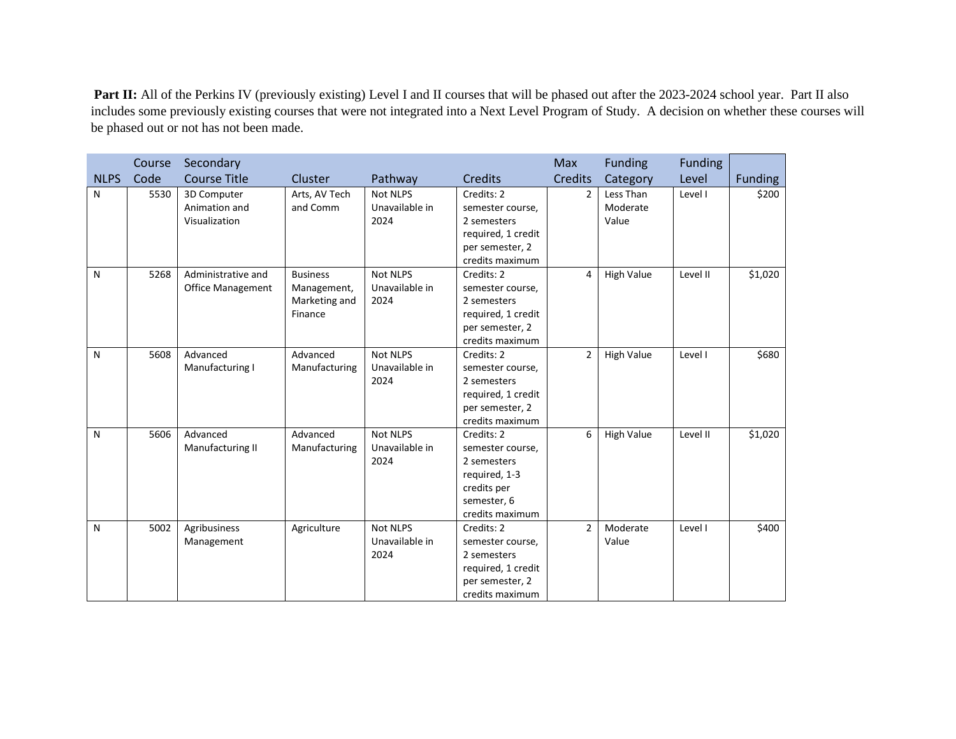Part II: All of the Perkins IV (previously existing) Level I and II courses that will be phased out after the 2023-2024 school year. Part II also includes some previously existing courses that were not integrated into a Next Level Program of Study. A decision on whether these courses will be phased out or not has not been made.

|             | Course | Secondary                                      |                                                            |                                           |                                                                                                                 | <b>Max</b>     | <b>Funding</b>                 | <b>Funding</b> |                |
|-------------|--------|------------------------------------------------|------------------------------------------------------------|-------------------------------------------|-----------------------------------------------------------------------------------------------------------------|----------------|--------------------------------|----------------|----------------|
| <b>NLPS</b> | Code   | <b>Course Title</b>                            | Cluster                                                    | Pathway                                   | Credits                                                                                                         | <b>Credits</b> | Category                       | Level          | <b>Funding</b> |
| N           | 5530   | 3D Computer<br>Animation and<br>Visualization  | Arts, AV Tech<br>and Comm                                  | <b>Not NLPS</b><br>Unavailable in<br>2024 | Credits: 2<br>semester course,<br>2 semesters<br>required, 1 credit<br>per semester, 2<br>credits maximum       | $\mathcal{P}$  | Less Than<br>Moderate<br>Value | Level I        | \$200          |
| N           | 5268   | Administrative and<br><b>Office Management</b> | <b>Business</b><br>Management,<br>Marketing and<br>Finance | <b>Not NLPS</b><br>Unavailable in<br>2024 | Credits: 2<br>semester course,<br>2 semesters<br>required, 1 credit<br>per semester, 2<br>credits maximum       | 4              | <b>High Value</b>              | Level II       | \$1,020        |
| N           | 5608   | Advanced<br>Manufacturing I                    | Advanced<br>Manufacturing                                  | <b>Not NLPS</b><br>Unavailable in<br>2024 | Credits: 2<br>semester course,<br>2 semesters<br>required, 1 credit<br>per semester, 2<br>credits maximum       | 2              | <b>High Value</b>              | Level I        | \$680          |
| N           | 5606   | Advanced<br>Manufacturing II                   | Advanced<br>Manufacturing                                  | <b>Not NLPS</b><br>Unavailable in<br>2024 | Credits: 2<br>semester course,<br>2 semesters<br>required, 1-3<br>credits per<br>semester, 6<br>credits maximum | 6              | <b>High Value</b>              | Level II       | \$1,020        |
| N           | 5002   | Agribusiness<br>Management                     | Agriculture                                                | <b>Not NLPS</b><br>Unavailable in<br>2024 | Credits: 2<br>semester course,<br>2 semesters<br>required, 1 credit<br>per semester, 2<br>credits maximum       | $\overline{2}$ | Moderate<br>Value              | Level I        | \$400          |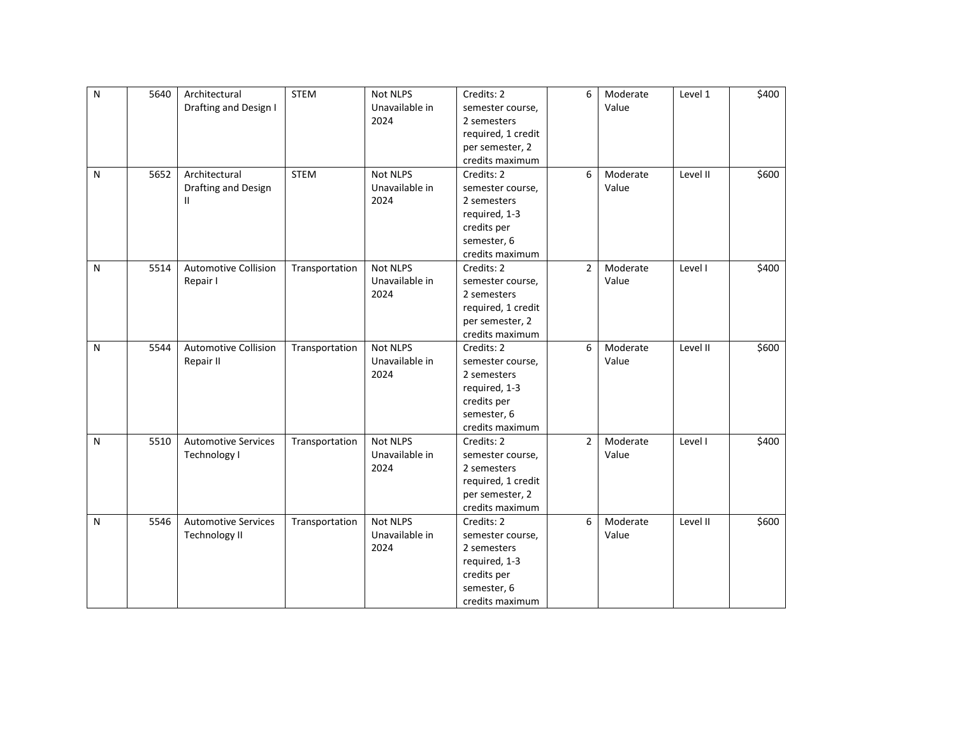| $\mathsf{N}$ | 5640 | Architectural               | <b>STEM</b>    | <b>Not NLPS</b> | Credits: 2         | 6              | Moderate | Level 1  | \$400 |
|--------------|------|-----------------------------|----------------|-----------------|--------------------|----------------|----------|----------|-------|
|              |      | Drafting and Design I       |                | Unavailable in  | semester course,   |                | Value    |          |       |
|              |      |                             |                | 2024            | 2 semesters        |                |          |          |       |
|              |      |                             |                |                 | required, 1 credit |                |          |          |       |
|              |      |                             |                |                 | per semester, 2    |                |          |          |       |
|              |      |                             |                |                 | credits maximum    |                |          |          |       |
| N            | 5652 | Architectural               | <b>STEM</b>    | <b>Not NLPS</b> | Credits: 2         | 6              | Moderate | Level II | \$600 |
|              |      | Drafting and Design         |                | Unavailable in  | semester course,   |                | Value    |          |       |
|              |      | Ш                           |                | 2024            | 2 semesters        |                |          |          |       |
|              |      |                             |                |                 | required, 1-3      |                |          |          |       |
|              |      |                             |                |                 | credits per        |                |          |          |       |
|              |      |                             |                |                 | semester, 6        |                |          |          |       |
|              |      |                             |                |                 | credits maximum    |                |          |          |       |
| N            | 5514 | <b>Automotive Collision</b> | Transportation | Not NLPS        | Credits: 2         | $\overline{2}$ | Moderate | Level I  | \$400 |
|              |      | Repair I                    |                | Unavailable in  | semester course,   |                | Value    |          |       |
|              |      |                             |                | 2024            | 2 semesters        |                |          |          |       |
|              |      |                             |                |                 | required, 1 credit |                |          |          |       |
|              |      |                             |                |                 | per semester, 2    |                |          |          |       |
|              |      |                             |                |                 | credits maximum    |                |          |          |       |
| N            | 5544 | <b>Automotive Collision</b> | Transportation | <b>Not NLPS</b> | Credits: 2         | 6              | Moderate | Level II | \$600 |
|              |      | Repair II                   |                | Unavailable in  | semester course,   |                | Value    |          |       |
|              |      |                             |                | 2024            | 2 semesters        |                |          |          |       |
|              |      |                             |                |                 | required, 1-3      |                |          |          |       |
|              |      |                             |                |                 | credits per        |                |          |          |       |
|              |      |                             |                |                 | semester, 6        |                |          |          |       |
|              |      |                             |                |                 | credits maximum    |                |          |          |       |
| N            | 5510 | <b>Automotive Services</b>  | Transportation | <b>Not NLPS</b> | Credits: 2         | $\overline{2}$ | Moderate | Level I  | \$400 |
|              |      | Technology I                |                | Unavailable in  | semester course,   |                | Value    |          |       |
|              |      |                             |                | 2024            | 2 semesters        |                |          |          |       |
|              |      |                             |                |                 | required, 1 credit |                |          |          |       |
|              |      |                             |                |                 | per semester, 2    |                |          |          |       |
|              |      |                             |                |                 | credits maximum    |                |          |          |       |
| N            | 5546 | <b>Automotive Services</b>  | Transportation | <b>Not NLPS</b> | Credits: 2         | 6              | Moderate | Level II | \$600 |
|              |      | <b>Technology II</b>        |                | Unavailable in  | semester course,   |                | Value    |          |       |
|              |      |                             |                | 2024            | 2 semesters        |                |          |          |       |
|              |      |                             |                |                 | required, 1-3      |                |          |          |       |
|              |      |                             |                |                 | credits per        |                |          |          |       |
|              |      |                             |                |                 | semester, 6        |                |          |          |       |
|              |      |                             |                |                 | credits maximum    |                |          |          |       |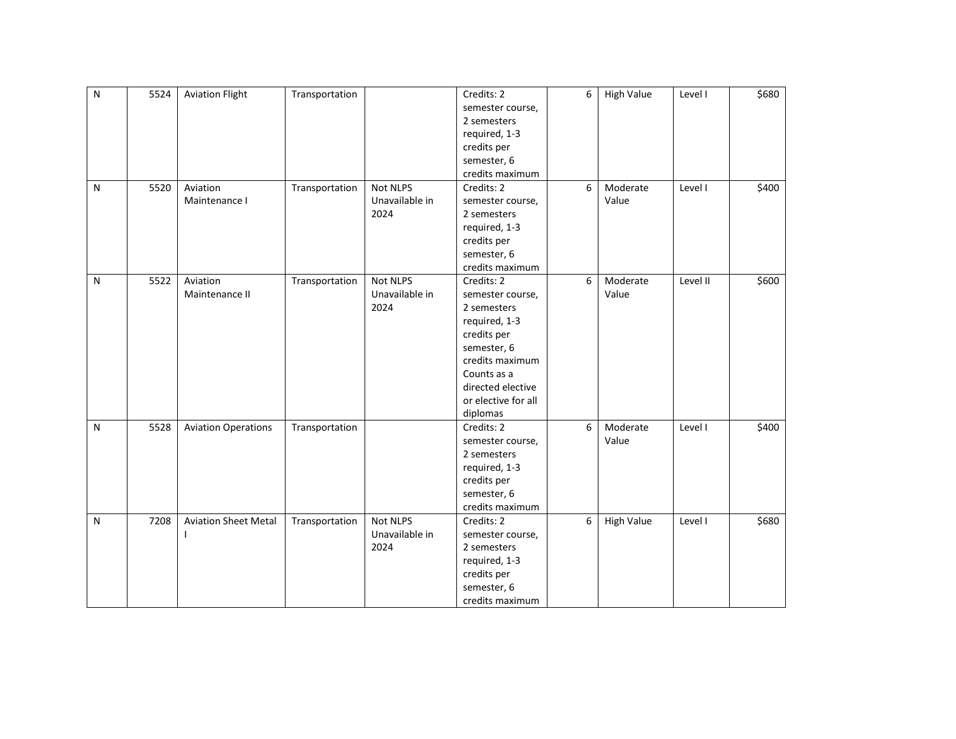| $\mathsf{N}$ | 5524 | <b>Aviation Flight</b>      | Transportation |                 | Credits: 2          | 6 | <b>High Value</b> | Level I  | \$680 |
|--------------|------|-----------------------------|----------------|-----------------|---------------------|---|-------------------|----------|-------|
|              |      |                             |                |                 | semester course,    |   |                   |          |       |
|              |      |                             |                |                 | 2 semesters         |   |                   |          |       |
|              |      |                             |                |                 | required, 1-3       |   |                   |          |       |
|              |      |                             |                |                 | credits per         |   |                   |          |       |
|              |      |                             |                |                 | semester, 6         |   |                   |          |       |
|              |      |                             |                |                 | credits maximum     |   |                   |          |       |
| N            | 5520 | Aviation                    | Transportation | <b>Not NLPS</b> | Credits: 2          | 6 | Moderate          | Level I  | \$400 |
|              |      | Maintenance I               |                | Unavailable in  | semester course,    |   | Value             |          |       |
|              |      |                             |                | 2024            | 2 semesters         |   |                   |          |       |
|              |      |                             |                |                 | required, 1-3       |   |                   |          |       |
|              |      |                             |                |                 | credits per         |   |                   |          |       |
|              |      |                             |                |                 | semester, 6         |   |                   |          |       |
|              |      |                             |                |                 | credits maximum     |   |                   |          |       |
| N            | 5522 | Aviation                    | Transportation | Not NLPS        | Credits: 2          | 6 | Moderate          | Level II | \$600 |
|              |      | Maintenance II              |                | Unavailable in  | semester course,    |   | Value             |          |       |
|              |      |                             |                | 2024            | 2 semesters         |   |                   |          |       |
|              |      |                             |                |                 | required, 1-3       |   |                   |          |       |
|              |      |                             |                |                 | credits per         |   |                   |          |       |
|              |      |                             |                |                 | semester, 6         |   |                   |          |       |
|              |      |                             |                |                 | credits maximum     |   |                   |          |       |
|              |      |                             |                |                 | Counts as a         |   |                   |          |       |
|              |      |                             |                |                 | directed elective   |   |                   |          |       |
|              |      |                             |                |                 | or elective for all |   |                   |          |       |
|              |      |                             |                |                 | diplomas            |   |                   |          |       |
| N            | 5528 | <b>Aviation Operations</b>  | Transportation |                 | Credits: 2          | 6 | Moderate          | Level I  | \$400 |
|              |      |                             |                |                 | semester course,    |   | Value             |          |       |
|              |      |                             |                |                 | 2 semesters         |   |                   |          |       |
|              |      |                             |                |                 | required, 1-3       |   |                   |          |       |
|              |      |                             |                |                 | credits per         |   |                   |          |       |
|              |      |                             |                |                 | semester, 6         |   |                   |          |       |
|              |      |                             |                |                 | credits maximum     |   |                   |          |       |
| N            | 7208 | <b>Aviation Sheet Metal</b> | Transportation | Not NLPS        | Credits: 2          | 6 | <b>High Value</b> | Level I  | \$680 |
|              |      |                             |                | Unavailable in  | semester course,    |   |                   |          |       |
|              |      |                             |                | 2024            | 2 semesters         |   |                   |          |       |
|              |      |                             |                |                 | required, 1-3       |   |                   |          |       |
|              |      |                             |                |                 | credits per         |   |                   |          |       |
|              |      |                             |                |                 | semester, 6         |   |                   |          |       |
|              |      |                             |                |                 | credits maximum     |   |                   |          |       |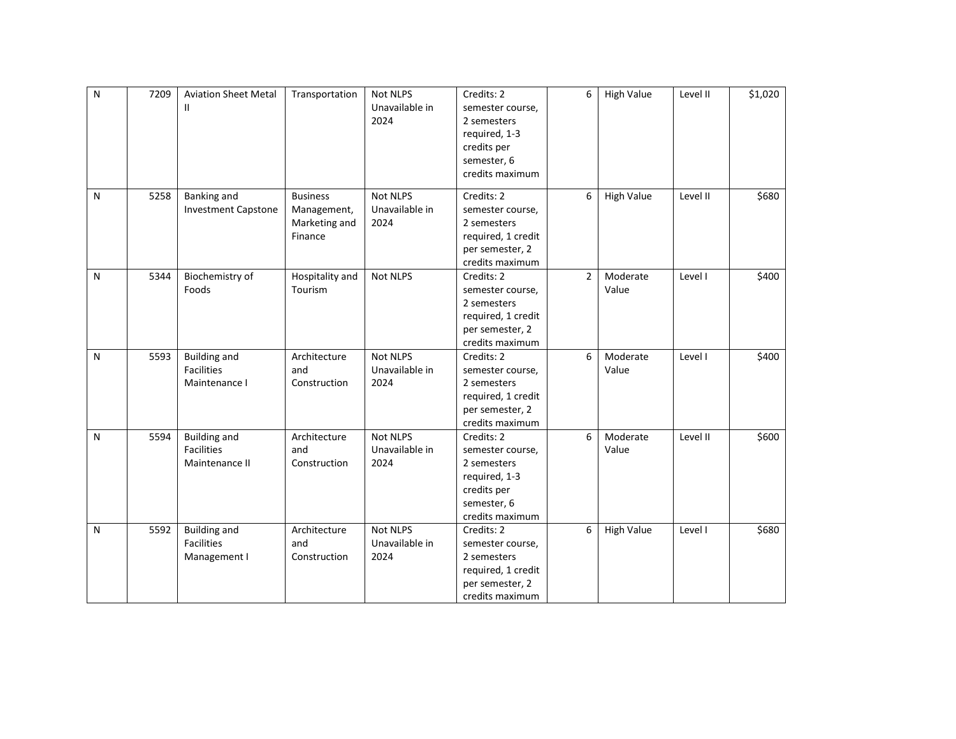| ${\sf N}$ | 7209 | <b>Aviation Sheet Metal</b><br>Ш                           | Transportation                                             | <b>Not NLPS</b><br>Unavailable in<br>2024 | Credits: 2<br>semester course,<br>2 semesters<br>required, 1-3<br>credits per<br>semester, 6<br>credits maximum | 6              | <b>High Value</b> | Level II | \$1,020 |
|-----------|------|------------------------------------------------------------|------------------------------------------------------------|-------------------------------------------|-----------------------------------------------------------------------------------------------------------------|----------------|-------------------|----------|---------|
| N         | 5258 | <b>Banking and</b><br><b>Investment Capstone</b>           | <b>Business</b><br>Management,<br>Marketing and<br>Finance | <b>Not NLPS</b><br>Unavailable in<br>2024 | Credits: 2<br>semester course,<br>2 semesters<br>required, 1 credit<br>per semester, 2<br>credits maximum       | 6              | <b>High Value</b> | Level II | \$680   |
| N         | 5344 | Biochemistry of<br>Foods                                   | Hospitality and<br>Tourism                                 | Not NLPS                                  | Credits: 2<br>semester course,<br>2 semesters<br>required, 1 credit<br>per semester, 2<br>credits maximum       | $\overline{2}$ | Moderate<br>Value | Level I  | \$400   |
| N         | 5593 | <b>Building and</b><br><b>Facilities</b><br>Maintenance I  | Architecture<br>and<br>Construction                        | <b>Not NLPS</b><br>Unavailable in<br>2024 | Credits: 2<br>semester course,<br>2 semesters<br>required, 1 credit<br>per semester, 2<br>credits maximum       | 6              | Moderate<br>Value | Level I  | \$400   |
| N         | 5594 | <b>Building and</b><br><b>Facilities</b><br>Maintenance II | Architecture<br>and<br>Construction                        | Not NLPS<br>Unavailable in<br>2024        | Credits: 2<br>semester course,<br>2 semesters<br>required, 1-3<br>credits per<br>semester, 6<br>credits maximum | 6              | Moderate<br>Value | Level II | \$600   |
| N         | 5592 | <b>Building and</b><br><b>Facilities</b><br>Management I   | Architecture<br>and<br>Construction                        | Not NLPS<br>Unavailable in<br>2024        | Credits: 2<br>semester course,<br>2 semesters<br>required, 1 credit<br>per semester, 2<br>credits maximum       | 6              | <b>High Value</b> | Level I  | \$680   |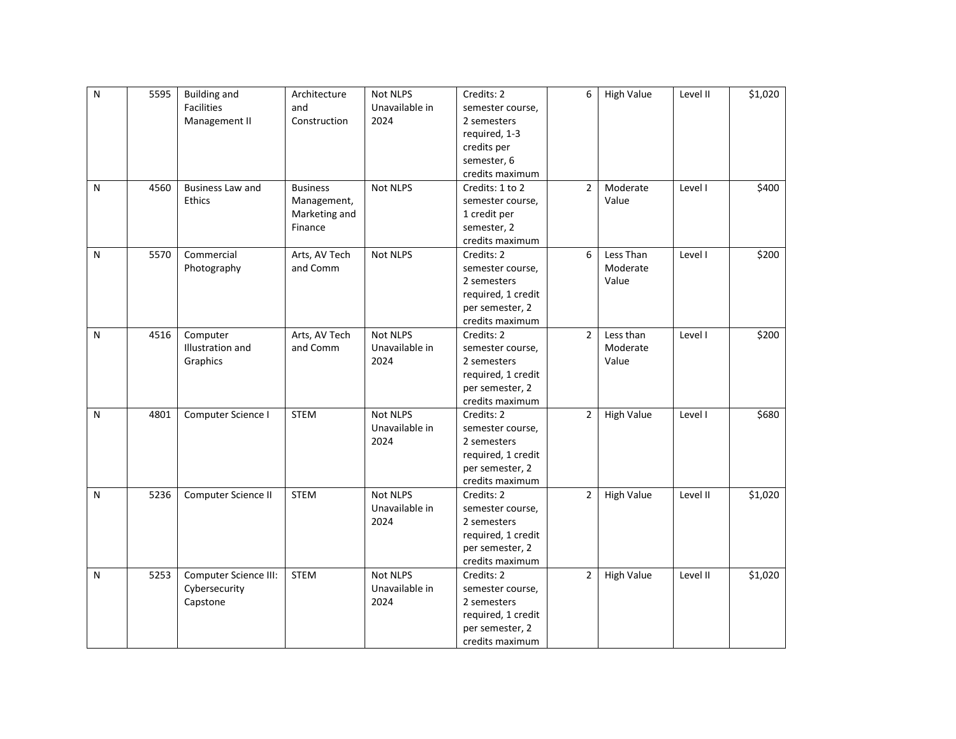| ${\sf N}$ | 5595 | <b>Building and</b>     | Architecture    | Not NLPS        | Credits: 2         | 6              | <b>High Value</b> | Level II | \$1,020 |
|-----------|------|-------------------------|-----------------|-----------------|--------------------|----------------|-------------------|----------|---------|
|           |      | Facilities              | and             | Unavailable in  | semester course,   |                |                   |          |         |
|           |      | Management II           | Construction    | 2024            | 2 semesters        |                |                   |          |         |
|           |      |                         |                 |                 | required, 1-3      |                |                   |          |         |
|           |      |                         |                 |                 | credits per        |                |                   |          |         |
|           |      |                         |                 |                 | semester, 6        |                |                   |          |         |
|           |      |                         |                 |                 | credits maximum    |                |                   |          |         |
| N         | 4560 | <b>Business Law and</b> | <b>Business</b> | Not NLPS        | Credits: 1 to 2    | $\overline{2}$ | Moderate          | Level I  | \$400   |
|           |      | <b>Ethics</b>           | Management,     |                 | semester course,   |                | Value             |          |         |
|           |      |                         | Marketing and   |                 | 1 credit per       |                |                   |          |         |
|           |      |                         | Finance         |                 | semester, 2        |                |                   |          |         |
|           |      |                         |                 |                 | credits maximum    |                |                   |          |         |
| N         | 5570 | Commercial              | Arts, AV Tech   | <b>Not NLPS</b> | Credits: 2         | 6              | Less Than         | Level I  | \$200   |
|           |      | Photography             | and Comm        |                 | semester course,   |                | Moderate          |          |         |
|           |      |                         |                 |                 | 2 semesters        |                | Value             |          |         |
|           |      |                         |                 |                 | required, 1 credit |                |                   |          |         |
|           |      |                         |                 |                 | per semester, 2    |                |                   |          |         |
|           |      |                         |                 |                 | credits maximum    |                |                   |          |         |
| N         | 4516 | Computer                | Arts, AV Tech   | Not NLPS        | Credits: 2         | $\overline{2}$ | Less than         | Level I  | \$200   |
|           |      | Illustration and        | and Comm        | Unavailable in  | semester course,   |                | Moderate          |          |         |
|           |      | Graphics                |                 | 2024            | 2 semesters        |                | Value             |          |         |
|           |      |                         |                 |                 | required, 1 credit |                |                   |          |         |
|           |      |                         |                 |                 | per semester, 2    |                |                   |          |         |
|           |      |                         |                 |                 | credits maximum    |                |                   |          |         |
| N         | 4801 | Computer Science I      | <b>STEM</b>     | Not NLPS        | Credits: 2         | $\overline{2}$ | <b>High Value</b> | Level I  | \$680   |
|           |      |                         |                 | Unavailable in  | semester course,   |                |                   |          |         |
|           |      |                         |                 | 2024            | 2 semesters        |                |                   |          |         |
|           |      |                         |                 |                 | required, 1 credit |                |                   |          |         |
|           |      |                         |                 |                 | per semester, 2    |                |                   |          |         |
|           |      |                         |                 |                 | credits maximum    |                |                   |          |         |
| ${\sf N}$ | 5236 | Computer Science II     | <b>STEM</b>     | Not NLPS        | Credits: 2         | $\overline{2}$ | <b>High Value</b> | Level II | \$1,020 |
|           |      |                         |                 | Unavailable in  | semester course,   |                |                   |          |         |
|           |      |                         |                 | 2024            | 2 semesters        |                |                   |          |         |
|           |      |                         |                 |                 | required, 1 credit |                |                   |          |         |
|           |      |                         |                 |                 | per semester, 2    |                |                   |          |         |
|           |      |                         |                 |                 | credits maximum    |                |                   |          |         |
| N         | 5253 | Computer Science III:   | <b>STEM</b>     | Not NLPS        | Credits: 2         | 2              | <b>High Value</b> | Level II | \$1,020 |
|           |      | Cybersecurity           |                 | Unavailable in  | semester course,   |                |                   |          |         |
|           |      | Capstone                |                 | 2024            | 2 semesters        |                |                   |          |         |
|           |      |                         |                 |                 | required, 1 credit |                |                   |          |         |
|           |      |                         |                 |                 | per semester, 2    |                |                   |          |         |
|           |      |                         |                 |                 | credits maximum    |                |                   |          |         |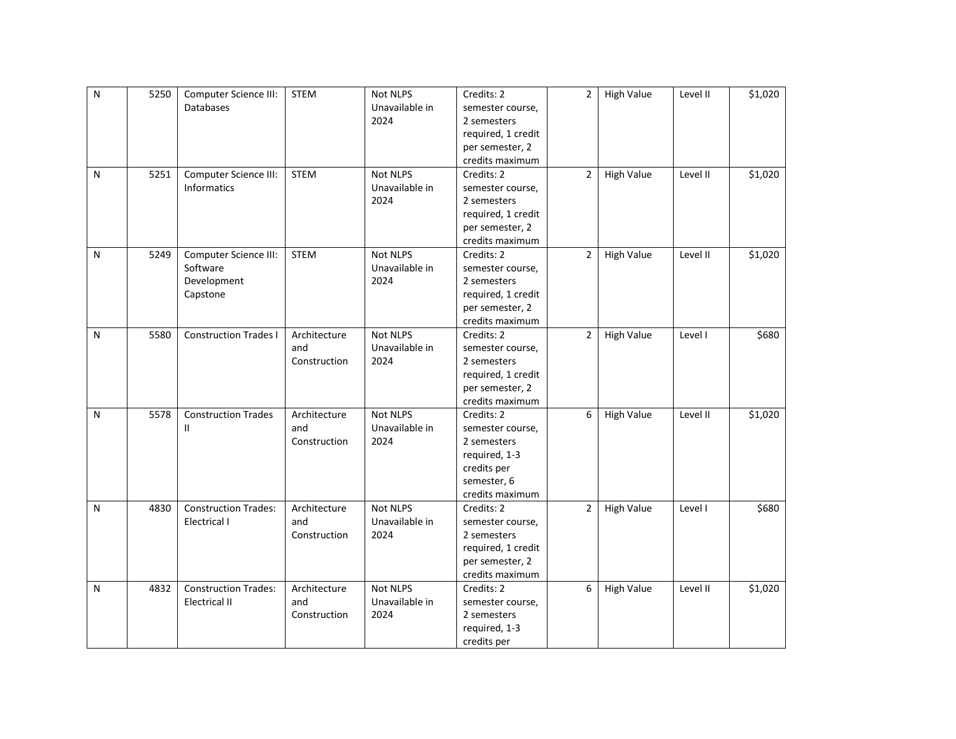| N         | 5250 | Computer Science III:        | STEM         | Not NLPS        | Credits: 2         | $\overline{2}$ | <b>High Value</b> | Level II | \$1,020 |
|-----------|------|------------------------------|--------------|-----------------|--------------------|----------------|-------------------|----------|---------|
|           |      | <b>Databases</b>             |              | Unavailable in  | semester course,   |                |                   |          |         |
|           |      |                              |              | 2024            | 2 semesters        |                |                   |          |         |
|           |      |                              |              |                 | required, 1 credit |                |                   |          |         |
|           |      |                              |              |                 | per semester, 2    |                |                   |          |         |
|           |      |                              |              |                 | credits maximum    |                |                   |          |         |
| N         | 5251 | Computer Science III:        | <b>STEM</b>  | Not NLPS        | Credits: 2         | $\overline{2}$ | <b>High Value</b> | Level II | \$1,020 |
|           |      | <b>Informatics</b>           |              | Unavailable in  | semester course,   |                |                   |          |         |
|           |      |                              |              | 2024            | 2 semesters        |                |                   |          |         |
|           |      |                              |              |                 | required, 1 credit |                |                   |          |         |
|           |      |                              |              |                 | per semester, 2    |                |                   |          |         |
|           |      |                              |              |                 | credits maximum    |                |                   |          |         |
| ${\sf N}$ | 5249 | Computer Science III:        | <b>STEM</b>  | Not NLPS        | Credits: 2         | $\overline{2}$ | <b>High Value</b> | Level II | \$1,020 |
|           |      | Software                     |              | Unavailable in  | semester course,   |                |                   |          |         |
|           |      | Development                  |              | 2024            | 2 semesters        |                |                   |          |         |
|           |      | Capstone                     |              |                 | required, 1 credit |                |                   |          |         |
|           |      |                              |              |                 | per semester, 2    |                |                   |          |         |
|           |      |                              |              |                 | credits maximum    |                |                   |          |         |
| N         | 5580 | <b>Construction Trades I</b> | Architecture | <b>Not NLPS</b> | Credits: 2         | $\overline{2}$ | <b>High Value</b> | Level I  | \$680   |
|           |      |                              | and          | Unavailable in  | semester course,   |                |                   |          |         |
|           |      |                              | Construction | 2024            | 2 semesters        |                |                   |          |         |
|           |      |                              |              |                 | required, 1 credit |                |                   |          |         |
|           |      |                              |              |                 | per semester, 2    |                |                   |          |         |
|           |      |                              |              |                 | credits maximum    |                |                   |          |         |
| N         | 5578 | <b>Construction Trades</b>   | Architecture | Not NLPS        | Credits: 2         | 6              | <b>High Value</b> | Level II | \$1,020 |
|           |      | $\mathbf{H}$                 | and          | Unavailable in  | semester course,   |                |                   |          |         |
|           |      |                              | Construction | 2024            | 2 semesters        |                |                   |          |         |
|           |      |                              |              |                 | required, 1-3      |                |                   |          |         |
|           |      |                              |              |                 | credits per        |                |                   |          |         |
|           |      |                              |              |                 | semester, 6        |                |                   |          |         |
|           |      |                              |              |                 | credits maximum    |                |                   |          |         |
| N         | 4830 | <b>Construction Trades:</b>  | Architecture | <b>Not NLPS</b> | Credits: 2         | $\overline{2}$ | <b>High Value</b> | Level I  | \$680   |
|           |      | Electrical I                 | and          | Unavailable in  | semester course,   |                |                   |          |         |
|           |      |                              | Construction | 2024            | 2 semesters        |                |                   |          |         |
|           |      |                              |              |                 | required, 1 credit |                |                   |          |         |
|           |      |                              |              |                 | per semester, 2    |                |                   |          |         |
|           |      |                              |              |                 | credits maximum    |                |                   |          |         |
| N         | 4832 | <b>Construction Trades:</b>  | Architecture | Not NLPS        | Credits: 2         | 6              | <b>High Value</b> | Level II | \$1,020 |
|           |      | <b>Electrical II</b>         | and          | Unavailable in  | semester course,   |                |                   |          |         |
|           |      |                              | Construction | 2024            | 2 semesters        |                |                   |          |         |
|           |      |                              |              |                 | required, 1-3      |                |                   |          |         |
|           |      |                              |              |                 | credits per        |                |                   |          |         |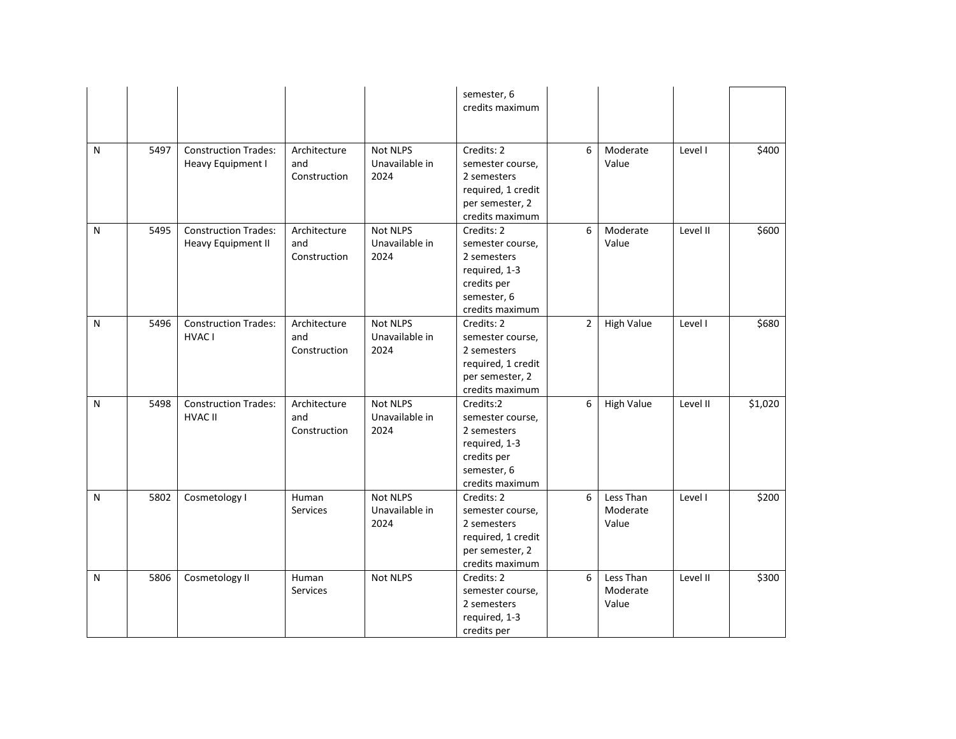|           |      |                                                   |                                     |                                           | semester, 6<br>credits maximum                                                                                  |   |                                |          |         |
|-----------|------|---------------------------------------------------|-------------------------------------|-------------------------------------------|-----------------------------------------------------------------------------------------------------------------|---|--------------------------------|----------|---------|
| N         | 5497 | <b>Construction Trades:</b><br>Heavy Equipment I  | Architecture<br>and<br>Construction | Not NLPS<br>Unavailable in<br>2024        | Credits: 2<br>semester course,<br>2 semesters<br>required, 1 credit<br>per semester, 2<br>credits maximum       | 6 | Moderate<br>Value              | Level I  | \$400   |
| N         | 5495 | <b>Construction Trades:</b><br>Heavy Equipment II | Architecture<br>and<br>Construction | <b>Not NLPS</b><br>Unavailable in<br>2024 | Credits: 2<br>semester course,<br>2 semesters<br>required, 1-3<br>credits per<br>semester, 6<br>credits maximum | 6 | Moderate<br>Value              | Level II | \$600   |
| ${\sf N}$ | 5496 | <b>Construction Trades:</b><br>HVAC I             | Architecture<br>and<br>Construction | <b>Not NLPS</b><br>Unavailable in<br>2024 | Credits: 2<br>semester course,<br>2 semesters<br>required, 1 credit<br>per semester, 2<br>credits maximum       | 2 | <b>High Value</b>              | Level I  | \$680   |
| N         | 5498 | <b>Construction Trades:</b><br><b>HVAC II</b>     | Architecture<br>and<br>Construction | Not NLPS<br>Unavailable in<br>2024        | Credits:2<br>semester course,<br>2 semesters<br>required, 1-3<br>credits per<br>semester, 6<br>credits maximum  | 6 | <b>High Value</b>              | Level II | \$1,020 |
| N         | 5802 | Cosmetology I                                     | Human<br>Services                   | <b>Not NLPS</b><br>Unavailable in<br>2024 | Credits: 2<br>semester course,<br>2 semesters<br>required, 1 credit<br>per semester, 2<br>credits maximum       | 6 | Less Than<br>Moderate<br>Value | Level I  | \$200   |
| N         | 5806 | Cosmetology II                                    | Human<br>Services                   | Not NLPS                                  | Credits: 2<br>semester course,<br>2 semesters<br>required, 1-3<br>credits per                                   | 6 | Less Than<br>Moderate<br>Value | Level II | \$300   |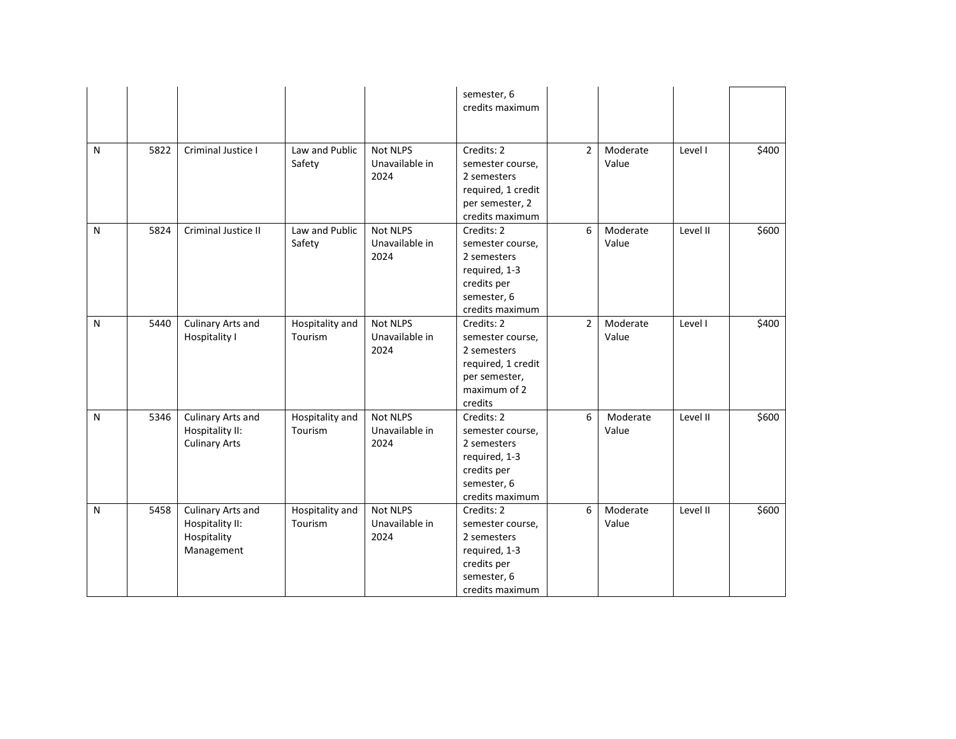|   |      |                                                                   |                            |                                           | semester, 6<br>credits maximum                                                                                  |                |                   |          |       |
|---|------|-------------------------------------------------------------------|----------------------------|-------------------------------------------|-----------------------------------------------------------------------------------------------------------------|----------------|-------------------|----------|-------|
| N | 5822 | Criminal Justice I                                                | Law and Public<br>Safety   | <b>Not NLPS</b><br>Unavailable in<br>2024 | Credits: 2<br>semester course,<br>2 semesters<br>required, 1 credit<br>per semester, 2<br>credits maximum       | $\overline{2}$ | Moderate<br>Value | Level I  | \$400 |
| N | 5824 | Criminal Justice II                                               | Law and Public<br>Safety   | <b>Not NLPS</b><br>Unavailable in<br>2024 | Credits: 2<br>semester course,<br>2 semesters<br>required, 1-3<br>credits per<br>semester, 6<br>credits maximum | 6              | Moderate<br>Value | Level II | \$600 |
| N | 5440 | Culinary Arts and<br>Hospitality I                                | Hospitality and<br>Tourism | <b>Not NLPS</b><br>Unavailable in<br>2024 | Credits: 2<br>semester course,<br>2 semesters<br>required, 1 credit<br>per semester,<br>maximum of 2<br>credits | $\overline{2}$ | Moderate<br>Value | Level I  | \$400 |
| N | 5346 | Culinary Arts and<br>Hospitality II:<br><b>Culinary Arts</b>      | Hospitality and<br>Tourism | Not NLPS<br>Unavailable in<br>2024        | Credits: 2<br>semester course,<br>2 semesters<br>required, 1-3<br>credits per<br>semester, 6<br>credits maximum | 6              | Moderate<br>Value | Level II | \$600 |
| N | 5458 | Culinary Arts and<br>Hospitality II:<br>Hospitality<br>Management | Hospitality and<br>Tourism | Not NLPS<br>Unavailable in<br>2024        | Credits: 2<br>semester course,<br>2 semesters<br>required, 1-3<br>credits per<br>semester, 6<br>credits maximum | 6              | Moderate<br>Value | Level II | \$600 |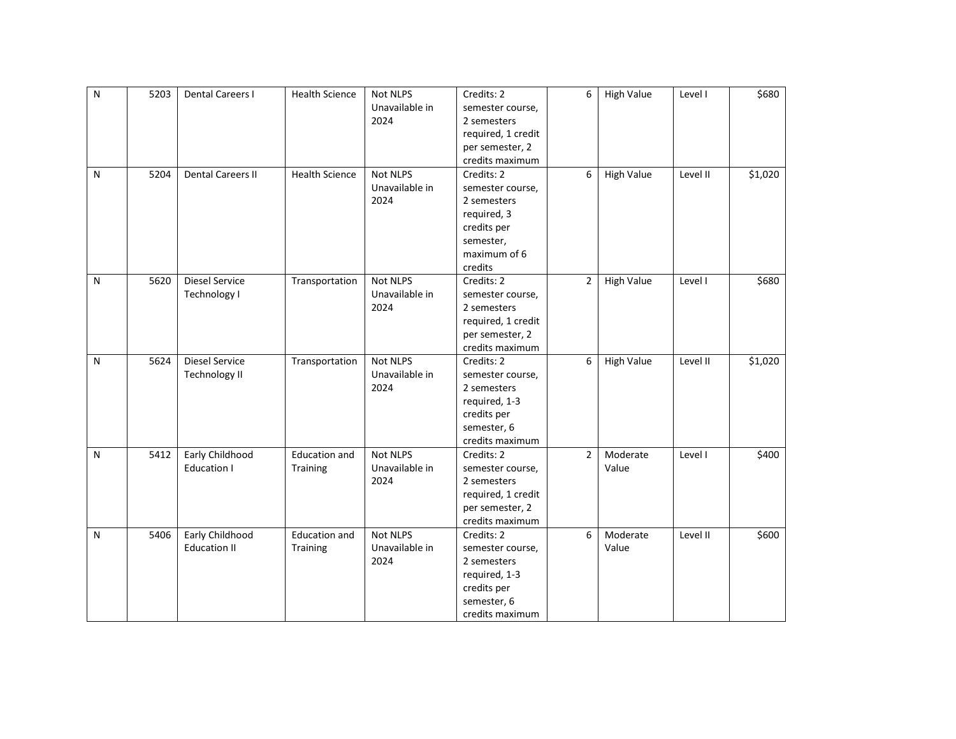| $\overline{N}$ | 5203 | <b>Dental Careers I</b>  | <b>Health Science</b> | Not NLPS        | Credits: 2         | 6              | <b>High Value</b> | Level I  | \$680   |
|----------------|------|--------------------------|-----------------------|-----------------|--------------------|----------------|-------------------|----------|---------|
|                |      |                          |                       | Unavailable in  | semester course,   |                |                   |          |         |
|                |      |                          |                       | 2024            | 2 semesters        |                |                   |          |         |
|                |      |                          |                       |                 | required, 1 credit |                |                   |          |         |
|                |      |                          |                       |                 | per semester, 2    |                |                   |          |         |
|                |      |                          |                       |                 | credits maximum    |                |                   |          |         |
| ${\sf N}$      | 5204 | <b>Dental Careers II</b> | <b>Health Science</b> | Not NLPS        | Credits: 2         | 6              | <b>High Value</b> | Level II | \$1,020 |
|                |      |                          |                       | Unavailable in  | semester course,   |                |                   |          |         |
|                |      |                          |                       | 2024            | 2 semesters        |                |                   |          |         |
|                |      |                          |                       |                 | required, 3        |                |                   |          |         |
|                |      |                          |                       |                 | credits per        |                |                   |          |         |
|                |      |                          |                       |                 | semester,          |                |                   |          |         |
|                |      |                          |                       |                 | maximum of 6       |                |                   |          |         |
|                |      |                          |                       |                 | credits            |                |                   |          |         |
| ${\sf N}$      | 5620 | Diesel Service           | Transportation        | Not NLPS        | Credits: 2         | $\overline{2}$ | <b>High Value</b> | Level I  | \$680   |
|                |      | Technology I             |                       | Unavailable in  | semester course,   |                |                   |          |         |
|                |      |                          |                       | 2024            | 2 semesters        |                |                   |          |         |
|                |      |                          |                       |                 | required, 1 credit |                |                   |          |         |
|                |      |                          |                       |                 | per semester, 2    |                |                   |          |         |
|                |      |                          |                       |                 | credits maximum    |                |                   |          |         |
| ${\sf N}$      | 5624 | <b>Diesel Service</b>    | Transportation        | Not NLPS        | Credits: 2         | 6              | <b>High Value</b> | Level II | \$1,020 |
|                |      | <b>Technology II</b>     |                       | Unavailable in  | semester course,   |                |                   |          |         |
|                |      |                          |                       | 2024            | 2 semesters        |                |                   |          |         |
|                |      |                          |                       |                 | required, 1-3      |                |                   |          |         |
|                |      |                          |                       |                 | credits per        |                |                   |          |         |
|                |      |                          |                       |                 | semester, 6        |                |                   |          |         |
|                |      |                          |                       |                 | credits maximum    |                |                   |          |         |
| N              | 5412 | Early Childhood          | Education and         | <b>Not NLPS</b> | Credits: 2         | $\overline{2}$ | Moderate          | Level I  | \$400   |
|                |      | <b>Education I</b>       | Training              | Unavailable in  | semester course,   |                | Value             |          |         |
|                |      |                          |                       | 2024            | 2 semesters        |                |                   |          |         |
|                |      |                          |                       |                 | required, 1 credit |                |                   |          |         |
|                |      |                          |                       |                 | per semester, 2    |                |                   |          |         |
|                |      |                          |                       |                 | credits maximum    |                |                   |          |         |
| ${\sf N}$      | 5406 | Early Childhood          | <b>Education and</b>  | Not NLPS        | Credits: 2         | 6              | Moderate          | Level II | \$600   |
|                |      | <b>Education II</b>      | Training              | Unavailable in  | semester course,   |                | Value             |          |         |
|                |      |                          |                       | 2024            | 2 semesters        |                |                   |          |         |
|                |      |                          |                       |                 |                    |                |                   |          |         |
|                |      |                          |                       |                 | required, 1-3      |                |                   |          |         |
|                |      |                          |                       |                 | credits per        |                |                   |          |         |
|                |      |                          |                       |                 | semester, 6        |                |                   |          |         |
|                |      |                          |                       |                 | credits maximum    |                |                   |          |         |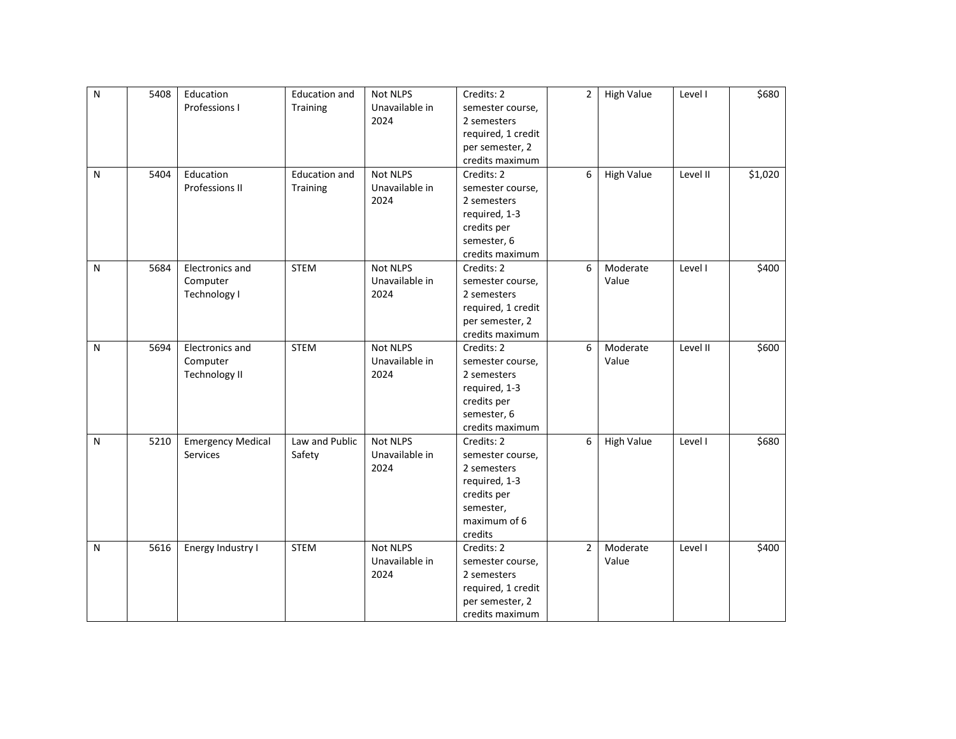| $\mathsf{N}$ | 5408 | Education                | <b>Education and</b> | Not NLPS        | Credits: 2         | $\overline{2}$ | <b>High Value</b> | Level I  | \$680   |
|--------------|------|--------------------------|----------------------|-----------------|--------------------|----------------|-------------------|----------|---------|
|              |      | Professions I            | Training             | Unavailable in  | semester course,   |                |                   |          |         |
|              |      |                          |                      | 2024            | 2 semesters        |                |                   |          |         |
|              |      |                          |                      |                 | required, 1 credit |                |                   |          |         |
|              |      |                          |                      |                 | per semester, 2    |                |                   |          |         |
|              |      |                          |                      |                 | credits maximum    |                |                   |          |         |
| N            | 5404 | Education                | <b>Education and</b> | <b>Not NLPS</b> | Credits: 2         | 6              | <b>High Value</b> | Level II | \$1,020 |
|              |      | Professions II           | Training             | Unavailable in  | semester course,   |                |                   |          |         |
|              |      |                          |                      | 2024            | 2 semesters        |                |                   |          |         |
|              |      |                          |                      |                 | required, 1-3      |                |                   |          |         |
|              |      |                          |                      |                 | credits per        |                |                   |          |         |
|              |      |                          |                      |                 | semester, 6        |                |                   |          |         |
|              |      |                          |                      |                 | credits maximum    |                |                   |          |         |
| N            | 5684 | Electronics and          | <b>STEM</b>          | Not NLPS        | Credits: 2         | 6              | Moderate          | Level I  | \$400   |
|              |      | Computer                 |                      | Unavailable in  | semester course,   |                | Value             |          |         |
|              |      | Technology I             |                      | 2024            | 2 semesters        |                |                   |          |         |
|              |      |                          |                      |                 | required, 1 credit |                |                   |          |         |
|              |      |                          |                      |                 | per semester, 2    |                |                   |          |         |
|              |      |                          |                      |                 | credits maximum    |                |                   |          |         |
| N            | 5694 | Electronics and          | <b>STEM</b>          | Not NLPS        | Credits: 2         | 6              | Moderate          | Level II | \$600   |
|              |      | Computer                 |                      | Unavailable in  | semester course,   |                | Value             |          |         |
|              |      | <b>Technology II</b>     |                      | 2024            | 2 semesters        |                |                   |          |         |
|              |      |                          |                      |                 | required, 1-3      |                |                   |          |         |
|              |      |                          |                      |                 | credits per        |                |                   |          |         |
|              |      |                          |                      |                 | semester, 6        |                |                   |          |         |
|              |      |                          |                      |                 | credits maximum    |                |                   |          |         |
| N            | 5210 | <b>Emergency Medical</b> | Law and Public       | Not NLPS        | Credits: 2         | 6              | <b>High Value</b> | Level I  | \$680   |
|              |      | Services                 | Safety               | Unavailable in  | semester course,   |                |                   |          |         |
|              |      |                          |                      | 2024            | 2 semesters        |                |                   |          |         |
|              |      |                          |                      |                 | required, 1-3      |                |                   |          |         |
|              |      |                          |                      |                 | credits per        |                |                   |          |         |
|              |      |                          |                      |                 | semester,          |                |                   |          |         |
|              |      |                          |                      |                 | maximum of 6       |                |                   |          |         |
|              |      |                          |                      |                 | credits            |                |                   |          |         |
| N            | 5616 | Energy Industry I        | <b>STEM</b>          | <b>Not NLPS</b> | Credits: 2         | $\overline{2}$ | Moderate          | Level I  | \$400   |
|              |      |                          |                      | Unavailable in  | semester course,   |                | Value             |          |         |
|              |      |                          |                      | 2024            | 2 semesters        |                |                   |          |         |
|              |      |                          |                      |                 | required, 1 credit |                |                   |          |         |
|              |      |                          |                      |                 | per semester, 2    |                |                   |          |         |
|              |      |                          |                      |                 | credits maximum    |                |                   |          |         |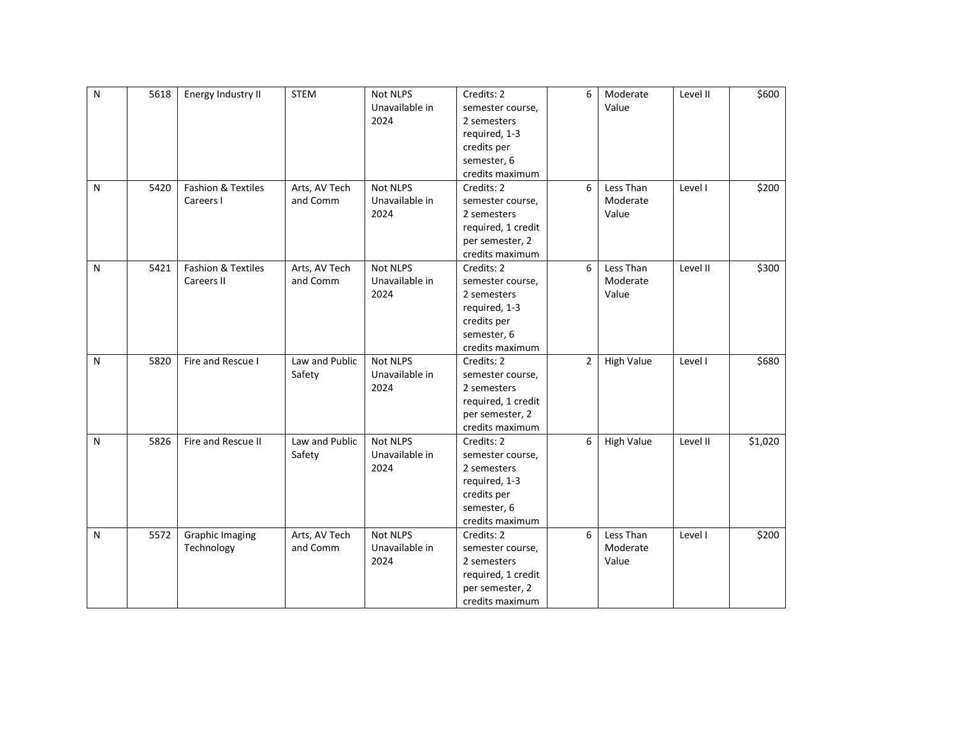| $\overline{N}$ | 5618 | Energy Industry II            | <b>STEM</b>    | <b>Not NLPS</b> | Credits: 2         | 6              | Moderate          | Level II | \$600   |
|----------------|------|-------------------------------|----------------|-----------------|--------------------|----------------|-------------------|----------|---------|
|                |      |                               |                | Unavailable in  | semester course,   |                | Value             |          |         |
|                |      |                               |                | 2024            | 2 semesters        |                |                   |          |         |
|                |      |                               |                |                 | required, 1-3      |                |                   |          |         |
|                |      |                               |                |                 | credits per        |                |                   |          |         |
|                |      |                               |                |                 | semester, 6        |                |                   |          |         |
|                |      |                               |                |                 | credits maximum    |                |                   |          |         |
| N              | 5420 | <b>Fashion &amp; Textiles</b> | Arts, AV Tech  | Not NLPS        | Credits: 2         | 6              | Less Than         | Level I  | \$200   |
|                |      | Careers I                     | and Comm       | Unavailable in  | semester course,   |                | Moderate          |          |         |
|                |      |                               |                | 2024            | 2 semesters        |                | Value             |          |         |
|                |      |                               |                |                 | required, 1 credit |                |                   |          |         |
|                |      |                               |                |                 | per semester, 2    |                |                   |          |         |
|                |      |                               |                |                 | credits maximum    |                |                   |          |         |
| N              | 5421 | <b>Fashion &amp; Textiles</b> | Arts, AV Tech  | <b>Not NLPS</b> | Credits: 2         | 6              | Less Than         | Level II | \$300   |
|                |      | Careers II                    | and Comm       | Unavailable in  | semester course,   |                | Moderate          |          |         |
|                |      |                               |                | 2024            | 2 semesters        |                | Value             |          |         |
|                |      |                               |                |                 | required, 1-3      |                |                   |          |         |
|                |      |                               |                |                 | credits per        |                |                   |          |         |
|                |      |                               |                |                 | semester, 6        |                |                   |          |         |
|                |      |                               |                |                 | credits maximum    |                |                   |          |         |
| $\mathsf{N}$   | 5820 | Fire and Rescue I             | Law and Public | <b>Not NLPS</b> | Credits: 2         | $\overline{2}$ | <b>High Value</b> | Level I  | \$680   |
|                |      |                               | Safety         | Unavailable in  | semester course,   |                |                   |          |         |
|                |      |                               |                | 2024            | 2 semesters        |                |                   |          |         |
|                |      |                               |                |                 | required, 1 credit |                |                   |          |         |
|                |      |                               |                |                 | per semester, 2    |                |                   |          |         |
|                |      |                               |                |                 | credits maximum    |                |                   |          |         |
| $\mathsf{N}$   | 5826 | Fire and Rescue II            | Law and Public | <b>Not NLPS</b> | Credits: 2         | 6              | <b>High Value</b> | Level II | \$1,020 |
|                |      |                               | Safety         | Unavailable in  | semester course,   |                |                   |          |         |
|                |      |                               |                | 2024            | 2 semesters        |                |                   |          |         |
|                |      |                               |                |                 | required, 1-3      |                |                   |          |         |
|                |      |                               |                |                 | credits per        |                |                   |          |         |
|                |      |                               |                |                 | semester, 6        |                |                   |          |         |
|                |      |                               |                |                 | credits maximum    |                |                   |          |         |
| N              | 5572 | <b>Graphic Imaging</b>        | Arts, AV Tech  | <b>Not NLPS</b> | Credits: 2         | 6              | Less Than         | Level I  | \$200   |
|                |      | Technology                    | and Comm       | Unavailable in  | semester course,   |                | Moderate          |          |         |
|                |      |                               |                | 2024            | 2 semesters        |                | Value             |          |         |
|                |      |                               |                |                 | required, 1 credit |                |                   |          |         |
|                |      |                               |                |                 | per semester, 2    |                |                   |          |         |
|                |      |                               |                |                 | credits maximum    |                |                   |          |         |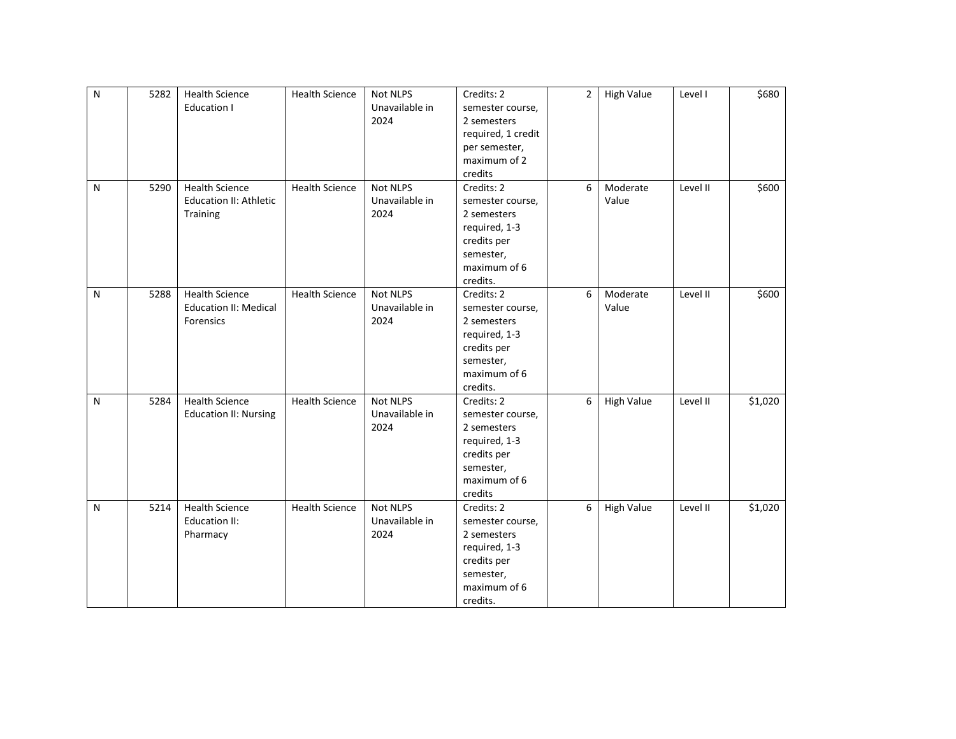| $\overline{N}$ | 5282 | <b>Health Science</b><br><b>Education I</b>                        | <b>Health Science</b> | <b>Not NLPS</b><br>Unavailable in<br>2024 | Credits: 2<br>semester course,<br>2 semesters<br>required, 1 credit<br>per semester,<br>maximum of 2<br>credits        | $\overline{2}$ | <b>High Value</b> | Level I  | \$680   |
|----------------|------|--------------------------------------------------------------------|-----------------------|-------------------------------------------|------------------------------------------------------------------------------------------------------------------------|----------------|-------------------|----------|---------|
| N              | 5290 | <b>Health Science</b><br><b>Education II: Athletic</b><br>Training | <b>Health Science</b> | <b>Not NLPS</b><br>Unavailable in<br>2024 | Credits: 2<br>semester course,<br>2 semesters<br>required, 1-3<br>credits per<br>semester,<br>maximum of 6<br>credits. | 6              | Moderate<br>Value | Level II | \$600   |
| ${\sf N}$      | 5288 | <b>Health Science</b><br><b>Education II: Medical</b><br>Forensics | <b>Health Science</b> | Not NLPS<br>Unavailable in<br>2024        | Credits: 2<br>semester course,<br>2 semesters<br>required, 1-3<br>credits per<br>semester,<br>maximum of 6<br>credits. | 6              | Moderate<br>Value | Level II | \$600   |
| ${\sf N}$      | 5284 | <b>Health Science</b><br><b>Education II: Nursing</b>              | <b>Health Science</b> | Not NLPS<br>Unavailable in<br>2024        | Credits: 2<br>semester course,<br>2 semesters<br>required, 1-3<br>credits per<br>semester,<br>maximum of 6<br>credits  | 6              | <b>High Value</b> | Level II | \$1,020 |
| N              | 5214 | <b>Health Science</b><br>Education II:<br>Pharmacy                 | <b>Health Science</b> | Not NLPS<br>Unavailable in<br>2024        | Credits: 2<br>semester course,<br>2 semesters<br>required, 1-3<br>credits per<br>semester,<br>maximum of 6<br>credits. | 6              | <b>High Value</b> | Level II | \$1,020 |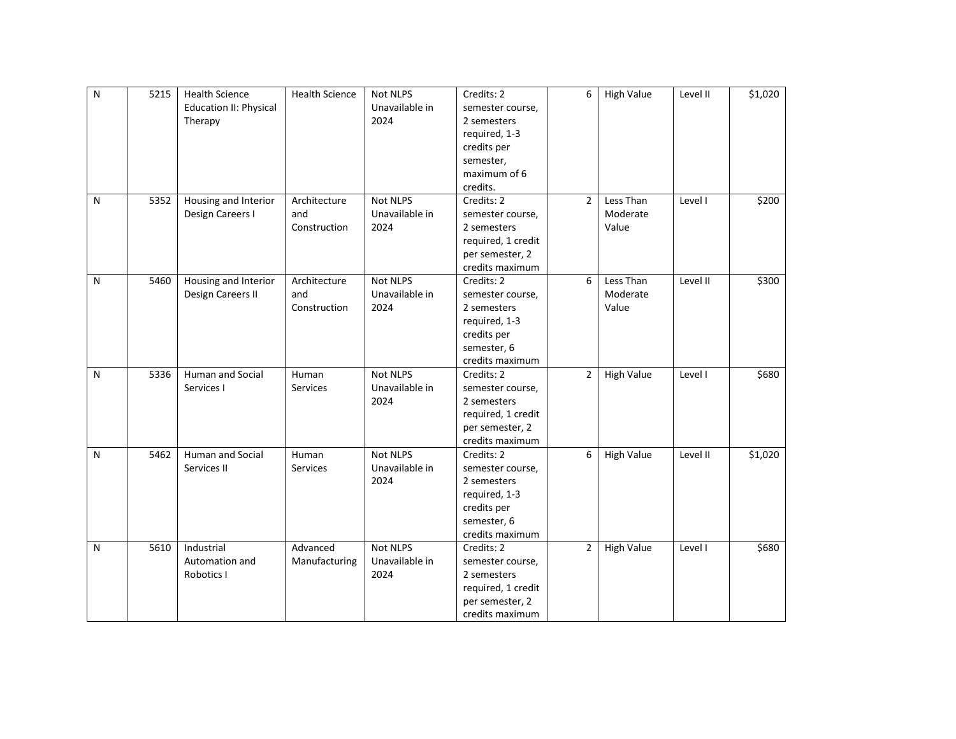| $\mathsf{N}$ | 5215 | <b>Health Science</b>         | <b>Health Science</b> | <b>Not NLPS</b> | Credits: 2         | 6              | <b>High Value</b> | Level II | \$1,020 |
|--------------|------|-------------------------------|-----------------------|-----------------|--------------------|----------------|-------------------|----------|---------|
|              |      | <b>Education II: Physical</b> |                       | Unavailable in  | semester course,   |                |                   |          |         |
|              |      | Therapy                       |                       | 2024            | 2 semesters        |                |                   |          |         |
|              |      |                               |                       |                 | required, 1-3      |                |                   |          |         |
|              |      |                               |                       |                 | credits per        |                |                   |          |         |
|              |      |                               |                       |                 | semester,          |                |                   |          |         |
|              |      |                               |                       |                 | maximum of 6       |                |                   |          |         |
|              |      |                               |                       |                 | credits.           |                |                   |          |         |
| N            | 5352 | Housing and Interior          | Architecture          | Not NLPS        | Credits: 2         | $\overline{2}$ | Less Than         | Level I  | \$200   |
|              |      | Design Careers I              | and                   | Unavailable in  | semester course,   |                | Moderate          |          |         |
|              |      |                               | Construction          | 2024            | 2 semesters        |                | Value             |          |         |
|              |      |                               |                       |                 | required, 1 credit |                |                   |          |         |
|              |      |                               |                       |                 | per semester, 2    |                |                   |          |         |
|              |      |                               |                       |                 | credits maximum    |                |                   |          |         |
| N            | 5460 | Housing and Interior          | Architecture          | Not NLPS        | Credits: 2         | 6              | Less Than         | Level II | \$300   |
|              |      | Design Careers II             | and                   | Unavailable in  | semester course,   |                | Moderate          |          |         |
|              |      |                               | Construction          | 2024            | 2 semesters        |                | Value             |          |         |
|              |      |                               |                       |                 | required, 1-3      |                |                   |          |         |
|              |      |                               |                       |                 | credits per        |                |                   |          |         |
|              |      |                               |                       |                 | semester, 6        |                |                   |          |         |
|              |      |                               |                       |                 | credits maximum    |                |                   |          |         |
| N            | 5336 | <b>Human and Social</b>       | Human                 | <b>Not NLPS</b> | Credits: 2         | $\overline{2}$ | <b>High Value</b> | Level I  | \$680   |
|              |      | Services I                    | <b>Services</b>       | Unavailable in  | semester course,   |                |                   |          |         |
|              |      |                               |                       | 2024            | 2 semesters        |                |                   |          |         |
|              |      |                               |                       |                 | required, 1 credit |                |                   |          |         |
|              |      |                               |                       |                 | per semester, 2    |                |                   |          |         |
|              |      |                               |                       |                 | credits maximum    |                |                   |          |         |
| N            | 5462 | <b>Human and Social</b>       | Human                 | <b>Not NLPS</b> | Credits: 2         | 6              | <b>High Value</b> | Level II | \$1,020 |
|              |      | Services II                   | <b>Services</b>       | Unavailable in  | semester course,   |                |                   |          |         |
|              |      |                               |                       | 2024            | 2 semesters        |                |                   |          |         |
|              |      |                               |                       |                 | required, 1-3      |                |                   |          |         |
|              |      |                               |                       |                 | credits per        |                |                   |          |         |
|              |      |                               |                       |                 | semester, 6        |                |                   |          |         |
|              |      |                               |                       |                 | credits maximum    |                |                   |          |         |
| N            | 5610 | Industrial                    | Advanced              | Not NLPS        | Credits: 2         | $\overline{2}$ | <b>High Value</b> | Level I  | \$680   |
|              |      | Automation and                | Manufacturing         | Unavailable in  | semester course,   |                |                   |          |         |
|              |      | Robotics I                    |                       | 2024            | 2 semesters        |                |                   |          |         |
|              |      |                               |                       |                 | required, 1 credit |                |                   |          |         |
|              |      |                               |                       |                 | per semester, 2    |                |                   |          |         |
|              |      |                               |                       |                 | credits maximum    |                |                   |          |         |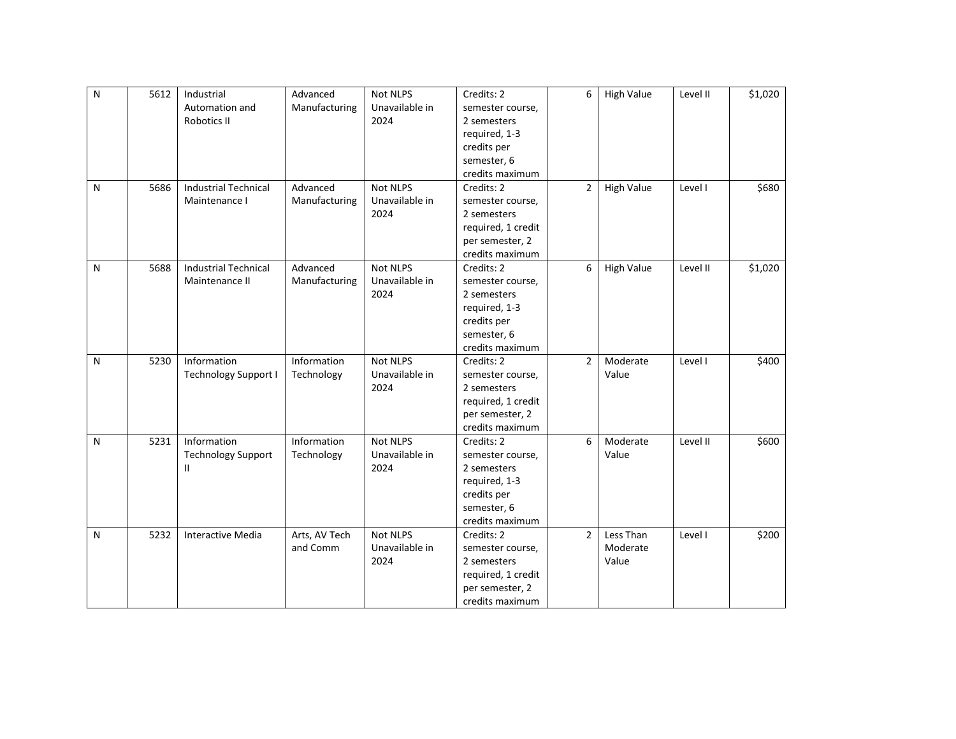| ${\sf N}$ | 5612 | Industrial                  | Advanced      | <b>Not NLPS</b> | Credits: 2         | 6              | <b>High Value</b> | Level II | \$1,020 |
|-----------|------|-----------------------------|---------------|-----------------|--------------------|----------------|-------------------|----------|---------|
|           |      | Automation and              | Manufacturing | Unavailable in  | semester course,   |                |                   |          |         |
|           |      | Robotics II                 |               | 2024            | 2 semesters        |                |                   |          |         |
|           |      |                             |               |                 | required, 1-3      |                |                   |          |         |
|           |      |                             |               |                 | credits per        |                |                   |          |         |
|           |      |                             |               |                 | semester, 6        |                |                   |          |         |
|           |      |                             |               |                 | credits maximum    |                |                   |          |         |
| N         | 5686 | <b>Industrial Technical</b> | Advanced      | <b>Not NLPS</b> | Credits: 2         | $\overline{2}$ | <b>High Value</b> | Level I  | \$680   |
|           |      | Maintenance I               | Manufacturing | Unavailable in  | semester course,   |                |                   |          |         |
|           |      |                             |               | 2024            | 2 semesters        |                |                   |          |         |
|           |      |                             |               |                 | required, 1 credit |                |                   |          |         |
|           |      |                             |               |                 | per semester, 2    |                |                   |          |         |
|           |      |                             |               |                 | credits maximum    |                |                   |          |         |
| N         | 5688 | <b>Industrial Technical</b> | Advanced      | Not NLPS        | Credits: 2         | 6              | <b>High Value</b> | Level II | \$1,020 |
|           |      | Maintenance II              | Manufacturing | Unavailable in  | semester course,   |                |                   |          |         |
|           |      |                             |               | 2024            | 2 semesters        |                |                   |          |         |
|           |      |                             |               |                 | required, 1-3      |                |                   |          |         |
|           |      |                             |               |                 | credits per        |                |                   |          |         |
|           |      |                             |               |                 | semester, 6        |                |                   |          |         |
|           |      |                             |               |                 | credits maximum    |                |                   |          |         |
| N         | 5230 | Information                 | Information   | Not NLPS        | Credits: 2         | $\overline{2}$ | Moderate          | Level I  | \$400   |
|           |      | Technology Support I        | Technology    | Unavailable in  | semester course,   |                | Value             |          |         |
|           |      |                             |               | 2024            | 2 semesters        |                |                   |          |         |
|           |      |                             |               |                 | required, 1 credit |                |                   |          |         |
|           |      |                             |               |                 | per semester, 2    |                |                   |          |         |
|           |      |                             |               |                 | credits maximum    |                |                   |          |         |
| N         | 5231 | Information                 | Information   | Not NLPS        | Credits: 2         | 6              | Moderate          | Level II | \$600   |
|           |      | <b>Technology Support</b>   | Technology    | Unavailable in  | semester course,   |                | Value             |          |         |
|           |      | Ш                           |               | 2024            | 2 semesters        |                |                   |          |         |
|           |      |                             |               |                 | required, 1-3      |                |                   |          |         |
|           |      |                             |               |                 | credits per        |                |                   |          |         |
|           |      |                             |               |                 | semester, 6        |                |                   |          |         |
|           |      |                             |               |                 | credits maximum    |                |                   |          |         |
| N         | 5232 | <b>Interactive Media</b>    | Arts, AV Tech | <b>Not NLPS</b> | Credits: 2         | $\overline{2}$ | Less Than         | Level I  | \$200   |
|           |      |                             | and Comm      | Unavailable in  | semester course,   |                | Moderate          |          |         |
|           |      |                             |               | 2024            | 2 semesters        |                | Value             |          |         |
|           |      |                             |               |                 | required, 1 credit |                |                   |          |         |
|           |      |                             |               |                 | per semester, 2    |                |                   |          |         |
|           |      |                             |               |                 | credits maximum    |                |                   |          |         |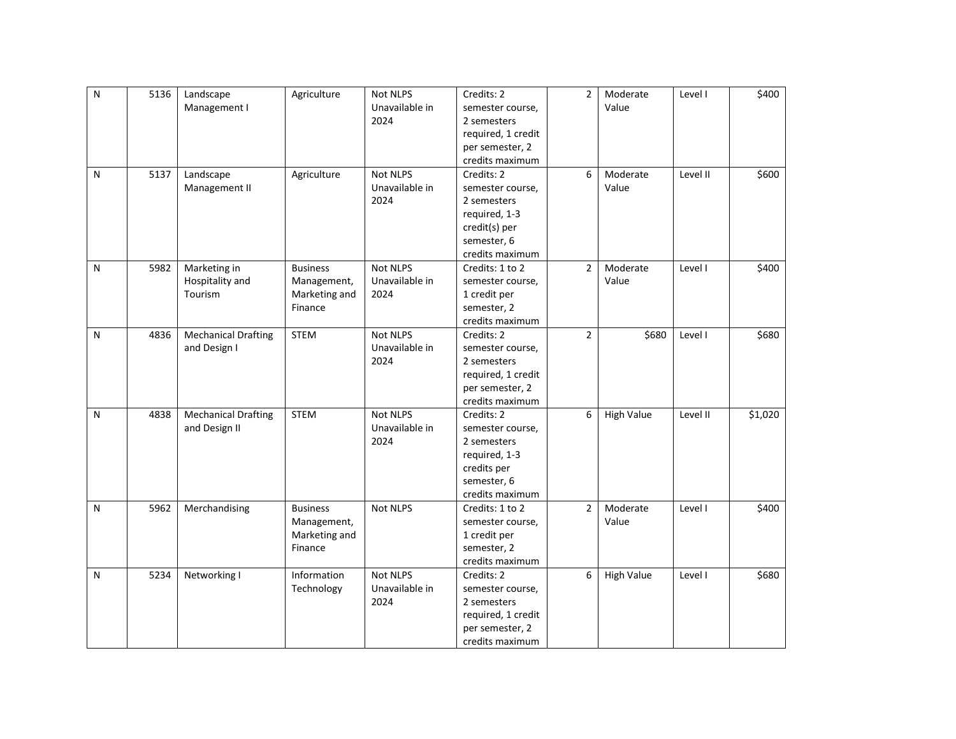| ${\sf N}$ | 5136 | Landscape                  | Agriculture     | Not NLPS        | Credits: 2         | $\overline{2}$ | Moderate          | Level I  | \$400   |
|-----------|------|----------------------------|-----------------|-----------------|--------------------|----------------|-------------------|----------|---------|
|           |      | Management I               |                 | Unavailable in  | semester course,   |                | Value             |          |         |
|           |      |                            |                 | 2024            | 2 semesters        |                |                   |          |         |
|           |      |                            |                 |                 | required, 1 credit |                |                   |          |         |
|           |      |                            |                 |                 | per semester, 2    |                |                   |          |         |
|           |      |                            |                 |                 | credits maximum    |                |                   |          |         |
| N         | 5137 | Landscape                  | Agriculture     | <b>Not NLPS</b> | Credits: 2         | 6              | Moderate          | Level II | \$600   |
|           |      | Management II              |                 | Unavailable in  | semester course,   |                | Value             |          |         |
|           |      |                            |                 | 2024            | 2 semesters        |                |                   |          |         |
|           |      |                            |                 |                 | required, 1-3      |                |                   |          |         |
|           |      |                            |                 |                 | credit(s) per      |                |                   |          |         |
|           |      |                            |                 |                 | semester, 6        |                |                   |          |         |
|           |      |                            |                 |                 | credits maximum    |                |                   |          |         |
| N         | 5982 | Marketing in               | <b>Business</b> | Not NLPS        | Credits: 1 to 2    | $\overline{2}$ | Moderate          | Level I  | \$400   |
|           |      | Hospitality and            | Management,     | Unavailable in  | semester course,   |                | Value             |          |         |
|           |      | Tourism                    | Marketing and   | 2024            | 1 credit per       |                |                   |          |         |
|           |      |                            | Finance         |                 | semester, 2        |                |                   |          |         |
|           |      |                            |                 |                 | credits maximum    |                |                   |          |         |
| N         | 4836 | <b>Mechanical Drafting</b> | <b>STEM</b>     | Not NLPS        | Credits: 2         | $\overline{2}$ | \$680             | Level I  | \$680   |
|           |      | and Design I               |                 | Unavailable in  | semester course,   |                |                   |          |         |
|           |      |                            |                 | 2024            | 2 semesters        |                |                   |          |         |
|           |      |                            |                 |                 | required, 1 credit |                |                   |          |         |
|           |      |                            |                 |                 | per semester, 2    |                |                   |          |         |
|           |      |                            |                 |                 | credits maximum    |                |                   |          |         |
| N         | 4838 | <b>Mechanical Drafting</b> | <b>STEM</b>     | Not NLPS        | Credits: 2         | 6              | <b>High Value</b> | Level II | \$1,020 |
|           |      | and Design II              |                 | Unavailable in  | semester course,   |                |                   |          |         |
|           |      |                            |                 | 2024            | 2 semesters        |                |                   |          |         |
|           |      |                            |                 |                 | required, 1-3      |                |                   |          |         |
|           |      |                            |                 |                 | credits per        |                |                   |          |         |
|           |      |                            |                 |                 | semester, 6        |                |                   |          |         |
|           |      |                            |                 |                 | credits maximum    |                |                   |          |         |
| N         | 5962 | Merchandising              | <b>Business</b> | Not NLPS        | Credits: 1 to 2    | $\overline{2}$ | Moderate          | Level I  | \$400   |
|           |      |                            | Management,     |                 | semester course,   |                | Value             |          |         |
|           |      |                            | Marketing and   |                 | 1 credit per       |                |                   |          |         |
|           |      |                            | Finance         |                 | semester, 2        |                |                   |          |         |
|           |      |                            |                 |                 | credits maximum    |                |                   |          |         |
| N         | 5234 | Networking I               | Information     | Not NLPS        | Credits: 2         | 6              | <b>High Value</b> | Level I  | \$680   |
|           |      |                            | Technology      | Unavailable in  | semester course,   |                |                   |          |         |
|           |      |                            |                 | 2024            | 2 semesters        |                |                   |          |         |
|           |      |                            |                 |                 | required, 1 credit |                |                   |          |         |
|           |      |                            |                 |                 | per semester, 2    |                |                   |          |         |
|           |      |                            |                 |                 | credits maximum    |                |                   |          |         |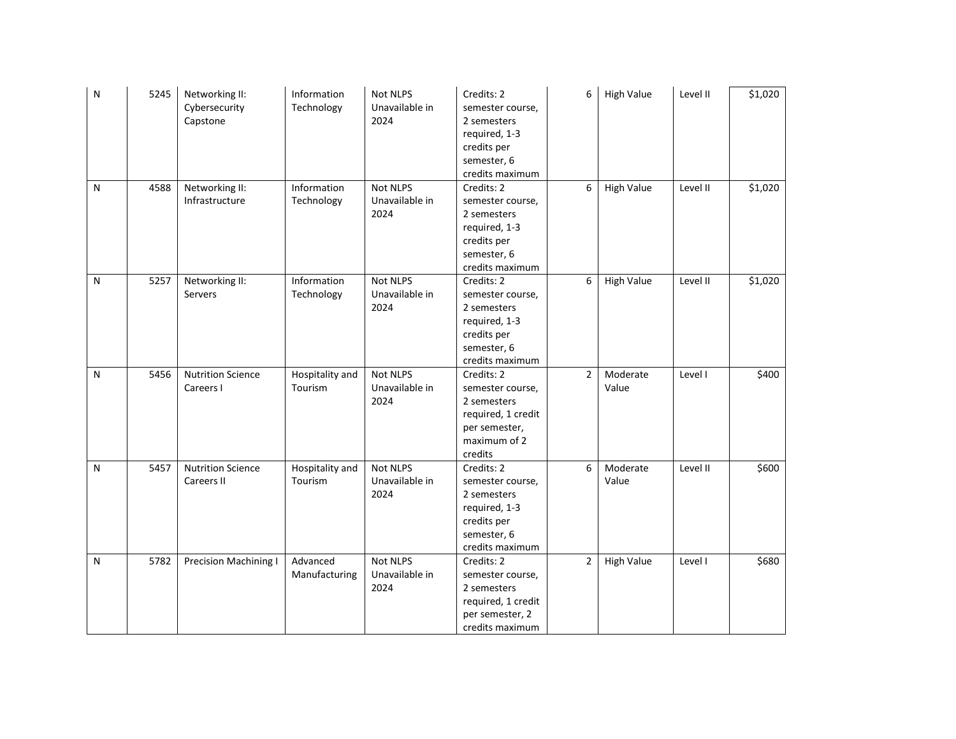| N | 5245 | Networking II:<br>Cybersecurity<br>Capstone | Information<br>Technology  | Not NLPS<br>Unavailable in<br>2024        | Credits: 2<br>semester course,<br>2 semesters<br>required, 1-3<br>credits per<br>semester, 6<br>credits maximum | 6              | <b>High Value</b> | Level II | \$1,020 |
|---|------|---------------------------------------------|----------------------------|-------------------------------------------|-----------------------------------------------------------------------------------------------------------------|----------------|-------------------|----------|---------|
| N | 4588 | Networking II:<br>Infrastructure            | Information<br>Technology  | Not NLPS<br>Unavailable in<br>2024        | Credits: 2<br>semester course,<br>2 semesters<br>required, 1-3<br>credits per<br>semester, 6<br>credits maximum | 6              | <b>High Value</b> | Level II | \$1,020 |
| N | 5257 | Networking II:<br>Servers                   | Information<br>Technology  | Not NLPS<br>Unavailable in<br>2024        | Credits: 2<br>semester course,<br>2 semesters<br>required, 1-3<br>credits per<br>semester, 6<br>credits maximum | 6              | <b>High Value</b> | Level II | \$1,020 |
| N | 5456 | <b>Nutrition Science</b><br>Careers I       | Hospitality and<br>Tourism | Not NLPS<br>Unavailable in<br>2024        | Credits: 2<br>semester course,<br>2 semesters<br>required, 1 credit<br>per semester,<br>maximum of 2<br>credits | $\overline{2}$ | Moderate<br>Value | Level I  | \$400   |
| N | 5457 | <b>Nutrition Science</b><br>Careers II      | Hospitality and<br>Tourism | Not NLPS<br>Unavailable in<br>2024        | Credits: 2<br>semester course,<br>2 semesters<br>required, 1-3<br>credits per<br>semester, 6<br>credits maximum | 6              | Moderate<br>Value | Level II | \$600   |
| N | 5782 | <b>Precision Machining I</b>                | Advanced<br>Manufacturing  | <b>Not NLPS</b><br>Unavailable in<br>2024 | Credits: 2<br>semester course,<br>2 semesters<br>required, 1 credit<br>per semester, 2<br>credits maximum       | $\overline{2}$ | <b>High Value</b> | Level I  | \$680   |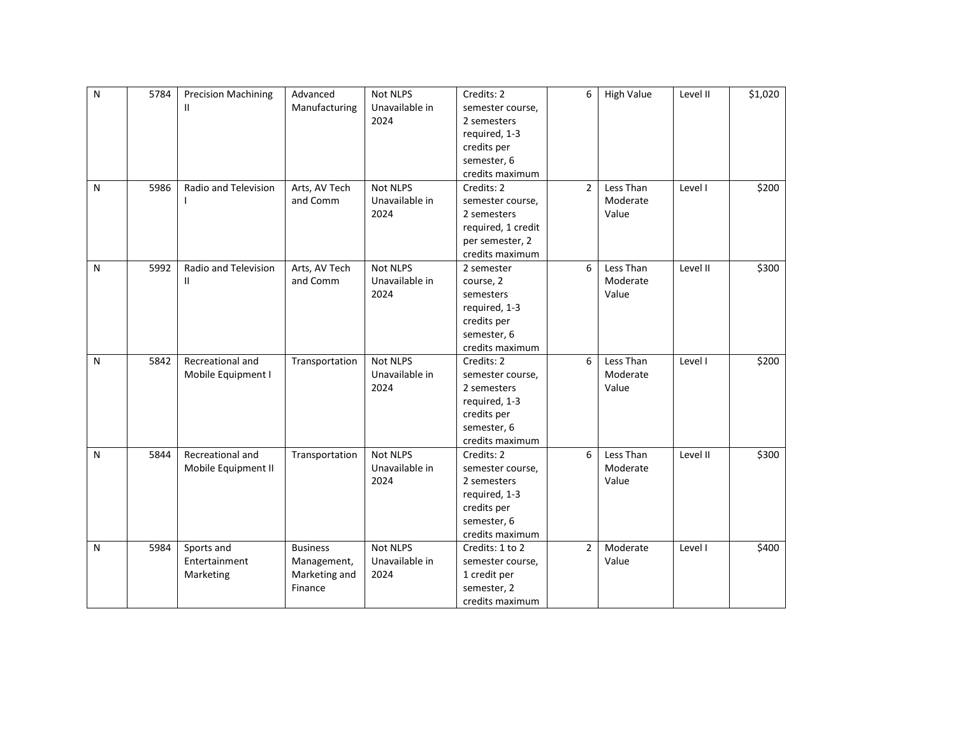| $\mathsf{N}$ | 5784 | <b>Precision Machining</b> | Advanced        | <b>Not NLPS</b> | Credits: 2         | 6              | <b>High Value</b> | Level II | \$1,020 |
|--------------|------|----------------------------|-----------------|-----------------|--------------------|----------------|-------------------|----------|---------|
|              |      | Ш                          | Manufacturing   | Unavailable in  | semester course,   |                |                   |          |         |
|              |      |                            |                 | 2024            | 2 semesters        |                |                   |          |         |
|              |      |                            |                 |                 | required, 1-3      |                |                   |          |         |
|              |      |                            |                 |                 | credits per        |                |                   |          |         |
|              |      |                            |                 |                 | semester, 6        |                |                   |          |         |
|              |      |                            |                 |                 | credits maximum    |                |                   |          |         |
| N            | 5986 | Radio and Television       | Arts, AV Tech   | <b>Not NLPS</b> | Credits: 2         | $\overline{2}$ | Less Than         | Level I  | \$200   |
|              |      |                            | and Comm        | Unavailable in  | semester course,   |                | Moderate          |          |         |
|              |      |                            |                 | 2024            | 2 semesters        |                | Value             |          |         |
|              |      |                            |                 |                 | required, 1 credit |                |                   |          |         |
|              |      |                            |                 |                 | per semester, 2    |                |                   |          |         |
|              |      |                            |                 |                 | credits maximum    |                |                   |          |         |
| N            | 5992 | Radio and Television       | Arts, AV Tech   | <b>Not NLPS</b> | 2 semester         | 6              | Less Than         | Level II | \$300   |
|              |      | Ш                          | and Comm        | Unavailable in  | course, 2          |                | Moderate          |          |         |
|              |      |                            |                 | 2024            | semesters          |                | Value             |          |         |
|              |      |                            |                 |                 | required, 1-3      |                |                   |          |         |
|              |      |                            |                 |                 | credits per        |                |                   |          |         |
|              |      |                            |                 |                 | semester, 6        |                |                   |          |         |
|              |      |                            |                 |                 | credits maximum    |                |                   |          |         |
| N            | 5842 | Recreational and           | Transportation  | Not NLPS        | Credits: 2         | 6              | Less Than         | Level I  | \$200   |
|              |      | Mobile Equipment I         |                 | Unavailable in  | semester course,   |                | Moderate          |          |         |
|              |      |                            |                 | 2024            | 2 semesters        |                | Value             |          |         |
|              |      |                            |                 |                 | required, 1-3      |                |                   |          |         |
|              |      |                            |                 |                 | credits per        |                |                   |          |         |
|              |      |                            |                 |                 | semester, 6        |                |                   |          |         |
|              |      |                            |                 |                 | credits maximum    |                |                   |          |         |
| N            | 5844 | Recreational and           | Transportation  | Not NLPS        | Credits: 2         | 6              | Less Than         | Level II | \$300   |
|              |      | Mobile Equipment II        |                 | Unavailable in  | semester course,   |                | Moderate          |          |         |
|              |      |                            |                 | 2024            | 2 semesters        |                | Value             |          |         |
|              |      |                            |                 |                 | required, 1-3      |                |                   |          |         |
|              |      |                            |                 |                 | credits per        |                |                   |          |         |
|              |      |                            |                 |                 | semester, 6        |                |                   |          |         |
|              |      |                            |                 |                 | credits maximum    |                |                   |          |         |
| N            | 5984 | Sports and                 | <b>Business</b> | Not NLPS        | Credits: 1 to 2    | $\overline{2}$ | Moderate          | Level I  | \$400   |
|              |      | Entertainment              | Management,     | Unavailable in  | semester course,   |                | Value             |          |         |
|              |      | Marketing                  | Marketing and   | 2024            | 1 credit per       |                |                   |          |         |
|              |      |                            | Finance         |                 | semester, 2        |                |                   |          |         |
|              |      |                            |                 |                 | credits maximum    |                |                   |          |         |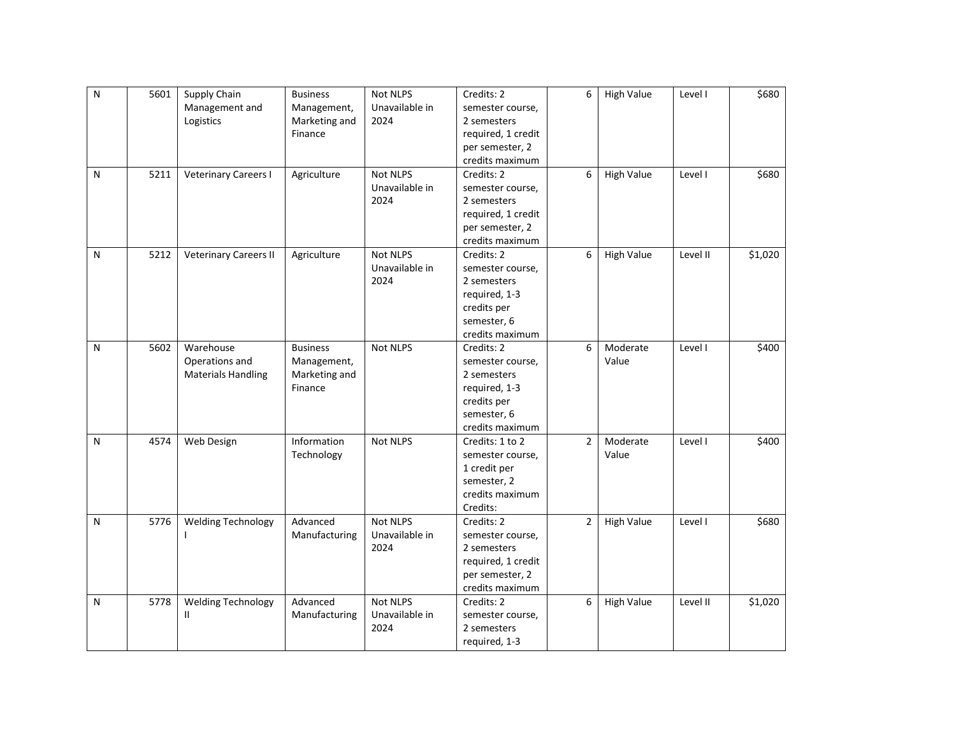| N            | 5601 | Supply Chain                 | <b>Business</b> | Not NLPS        | Credits: 2         | 6              | <b>High Value</b> | Level I  | \$680   |
|--------------|------|------------------------------|-----------------|-----------------|--------------------|----------------|-------------------|----------|---------|
|              |      | Management and               | Management,     | Unavailable in  | semester course,   |                |                   |          |         |
|              |      | Logistics                    | Marketing and   | 2024            | 2 semesters        |                |                   |          |         |
|              |      |                              | Finance         |                 | required, 1 credit |                |                   |          |         |
|              |      |                              |                 |                 | per semester, 2    |                |                   |          |         |
|              |      |                              |                 |                 | credits maximum    |                |                   |          |         |
| N            | 5211 | <b>Veterinary Careers I</b>  | Agriculture     | Not NLPS        | Credits: 2         | 6              | <b>High Value</b> | Level I  | \$680   |
|              |      |                              |                 | Unavailable in  | semester course,   |                |                   |          |         |
|              |      |                              |                 | 2024            | 2 semesters        |                |                   |          |         |
|              |      |                              |                 |                 | required, 1 credit |                |                   |          |         |
|              |      |                              |                 |                 | per semester, 2    |                |                   |          |         |
|              |      |                              |                 |                 | credits maximum    |                |                   |          |         |
| N            | 5212 | <b>Veterinary Careers II</b> | Agriculture     | <b>Not NLPS</b> | Credits: 2         | 6              | <b>High Value</b> | Level II | \$1,020 |
|              |      |                              |                 | Unavailable in  | semester course,   |                |                   |          |         |
|              |      |                              |                 | 2024            | 2 semesters        |                |                   |          |         |
|              |      |                              |                 |                 | required, 1-3      |                |                   |          |         |
|              |      |                              |                 |                 | credits per        |                |                   |          |         |
|              |      |                              |                 |                 | semester, 6        |                |                   |          |         |
|              |      |                              |                 |                 | credits maximum    |                |                   |          |         |
| $\mathsf{N}$ | 5602 | Warehouse                    | <b>Business</b> | Not NLPS        | Credits: 2         | 6              | Moderate          | Level I  | \$400   |
|              |      | Operations and               | Management,     |                 | semester course,   |                | Value             |          |         |
|              |      | <b>Materials Handling</b>    | Marketing and   |                 | 2 semesters        |                |                   |          |         |
|              |      |                              | Finance         |                 | required, 1-3      |                |                   |          |         |
|              |      |                              |                 |                 | credits per        |                |                   |          |         |
|              |      |                              |                 |                 | semester, 6        |                |                   |          |         |
|              |      |                              |                 |                 | credits maximum    |                |                   |          |         |
| N            | 4574 | Web Design                   | Information     | Not NLPS        | Credits: 1 to 2    | $\overline{2}$ | Moderate          | Level I  | \$400   |
|              |      |                              | Technology      |                 | semester course,   |                | Value             |          |         |
|              |      |                              |                 |                 | 1 credit per       |                |                   |          |         |
|              |      |                              |                 |                 | semester, 2        |                |                   |          |         |
|              |      |                              |                 |                 | credits maximum    |                |                   |          |         |
|              |      |                              |                 |                 | Credits:           |                |                   |          |         |
| N            | 5776 | <b>Welding Technology</b>    | Advanced        | Not NLPS        | Credits: 2         | $\overline{2}$ | <b>High Value</b> | Level I  | \$680   |
|              |      |                              | Manufacturing   | Unavailable in  | semester course,   |                |                   |          |         |
|              |      |                              |                 | 2024            | 2 semesters        |                |                   |          |         |
|              |      |                              |                 |                 | required, 1 credit |                |                   |          |         |
|              |      |                              |                 |                 | per semester, 2    |                |                   |          |         |
|              |      |                              |                 |                 | credits maximum    |                |                   |          |         |
| N            | 5778 | <b>Welding Technology</b>    | Advanced        | Not NLPS        | Credits: 2         | 6              | <b>High Value</b> | Level II | \$1,020 |
|              |      | Ш.                           | Manufacturing   | Unavailable in  | semester course,   |                |                   |          |         |
|              |      |                              |                 | 2024            | 2 semesters        |                |                   |          |         |
|              |      |                              |                 |                 | required, 1-3      |                |                   |          |         |